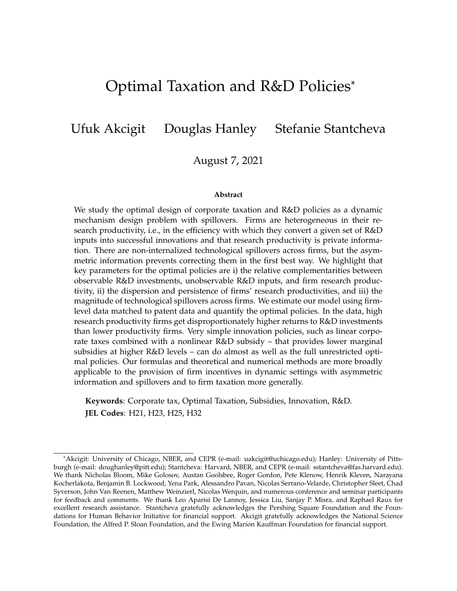# <span id="page-0-0"></span>Optimal Taxation and R&D Policies\*

Ufuk Akcigit Douglas Hanley Stefanie Stantcheva

August 7, 2021

#### **Abstract**

We study the optimal design of corporate taxation and R&D policies as a dynamic mechanism design problem with spillovers. Firms are heterogeneous in their research productivity, i.e., in the efficiency with which they convert a given set of R&D inputs into successful innovations and that research productivity is private information. There are non-internalized technological spillovers across firms, but the asymmetric information prevents correcting them in the first best way. We highlight that key parameters for the optimal policies are i) the relative complementarities between observable R&D investments, unobservable R&D inputs, and firm research productivity, ii) the dispersion and persistence of firms' research productivities, and iii) the magnitude of technological spillovers across firms. We estimate our model using firmlevel data matched to patent data and quantify the optimal policies. In the data, high research productivity firms get disproportionately higher returns to R&D investments than lower productivity firms. Very simple innovation policies, such as linear corporate taxes combined with a nonlinear R&D subsidy – that provides lower marginal subsidies at higher R&D levels – can do almost as well as the full unrestricted optimal policies. Our formulas and theoretical and numerical methods are more broadly applicable to the provision of firm incentives in dynamic settings with asymmetric information and spillovers and to firm taxation more generally.

**Keywords**: Corporate tax, Optimal Taxation, Subsidies, Innovation, R&D. **JEL Codes**: H21, H23, H25, H32

<sup>\*</sup>Akcigit: University of Chicago, NBER, and CEPR (e-mail: uakcigit@uchicago.edu); Hanley: University of Pittsburgh (e-mail: doughanley@pitt.edu); Stantcheva: Harvard, NBER, and CEPR (e-mail: sstantcheva@fas.harvard.edu). We thank Nicholas Bloom, Mike Golosov, Austan Goolsbee, Roger Gordon, Pete Klenow, Henrik Kleven, Narayana Kocherlakota, Benjamin B. Lockwood, Yena Park, Alessandro Pavan, Nicolas Serrano-Velarde, Christopher Sleet, Chad Syverson, John Van Reenen, Matthew Weinzierl, Nicolas Werquin, and numerous conference and seminar participants for feedback and comments. We thank Leo Aparisi De Lannoy, Jessica Liu, Sanjay P. Misra, and Raphael Raux for excellent research assistance. Stantcheva gratefully acknowledges the Pershing Square Foundation and the Foundations for Human Behavior Initiative for financial support. Akcigit gratefully acknowledges the National Science Foundation, the Alfred P. Sloan Foundation, and the Ewing Marion Kauffman Foundation for financial support.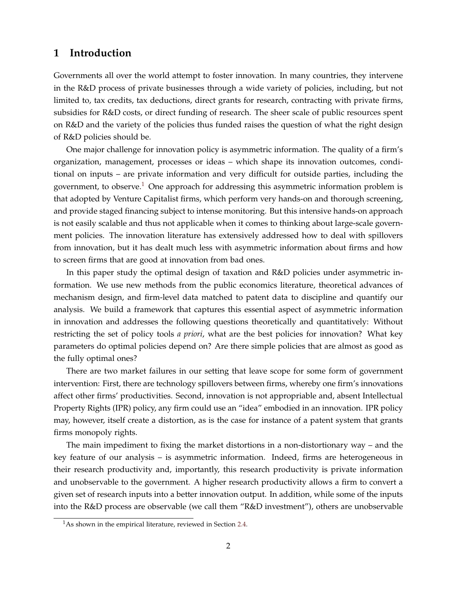### **1 Introduction**

Governments all over the world attempt to foster innovation. In many countries, they intervene in the R&D process of private businesses through a wide variety of policies, including, but not limited to, tax credits, tax deductions, direct grants for research, contracting with private firms, subsidies for R&D costs, or direct funding of research. The sheer scale of public resources spent on R&D and the variety of the policies thus funded raises the question of what the right design of R&D policies should be.

One major challenge for innovation policy is asymmetric information. The quality of a firm's organization, management, processes or ideas – which shape its innovation outcomes, conditional on inputs – are private information and very difficult for outside parties, including the government, to observe.<sup>[1](#page-0-0)</sup> One approach for addressing this asymmetric information problem is that adopted by Venture Capitalist firms, which perform very hands-on and thorough screening, and provide staged financing subject to intense monitoring. But this intensive hands-on approach is not easily scalable and thus not applicable when it comes to thinking about large-scale government policies. The innovation literature has extensively addressed how to deal with spillovers from innovation, but it has dealt much less with asymmetric information about firms and how to screen firms that are good at innovation from bad ones.

In this paper study the optimal design of taxation and R&D policies under asymmetric information. We use new methods from the public economics literature, theoretical advances of mechanism design, and firm-level data matched to patent data to discipline and quantify our analysis. We build a framework that captures this essential aspect of asymmetric information in innovation and addresses the following questions theoretically and quantitatively: Without restricting the set of policy tools *a priori*, what are the best policies for innovation? What key parameters do optimal policies depend on? Are there simple policies that are almost as good as the fully optimal ones?

There are two market failures in our setting that leave scope for some form of government intervention: First, there are technology spillovers between firms, whereby one firm's innovations affect other firms' productivities. Second, innovation is not appropriable and, absent Intellectual Property Rights (IPR) policy, any firm could use an "idea" embodied in an innovation. IPR policy may, however, itself create a distortion, as is the case for instance of a patent system that grants firms monopoly rights.

The main impediment to fixing the market distortions in a non-distortionary way – and the key feature of our analysis – is asymmetric information. Indeed, firms are heterogeneous in their research productivity and, importantly, this research productivity is private information and unobservable to the government. A higher research productivity allows a firm to convert a given set of research inputs into a better innovation output. In addition, while some of the inputs into the R&D process are observable (we call them "R&D investment"), others are unobservable

 $1<sup>1</sup>$ As shown in the empirical literature, reviewed in Section [2.4.](#page-11-0)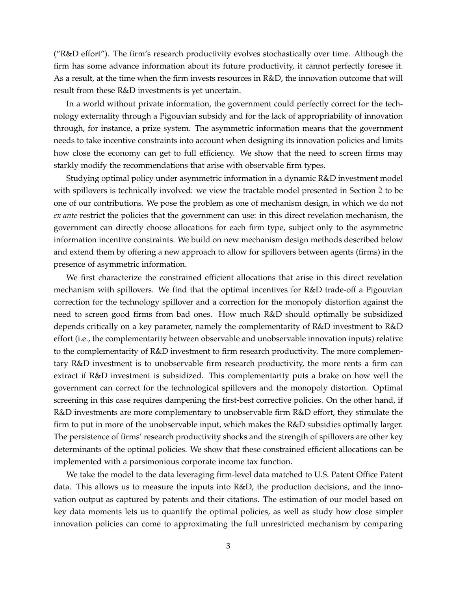("R&D effort"). The firm's research productivity evolves stochastically over time. Although the firm has some advance information about its future productivity, it cannot perfectly foresee it. As a result, at the time when the firm invests resources in R&D, the innovation outcome that will result from these R&D investments is yet uncertain.

In a world without private information, the government could perfectly correct for the technology externality through a Pigouvian subsidy and for the lack of appropriability of innovation through, for instance, a prize system. The asymmetric information means that the government needs to take incentive constraints into account when designing its innovation policies and limits how close the economy can get to full efficiency. We show that the need to screen firms may starkly modify the recommendations that arise with observable firm types.

Studying optimal policy under asymmetric information in a dynamic R&D investment model with spillovers is technically involved: we view the tractable model presented in Section [2](#page-5-0) to be one of our contributions. We pose the problem as one of mechanism design, in which we do not *ex ante* restrict the policies that the government can use: in this direct revelation mechanism, the government can directly choose allocations for each firm type, subject only to the asymmetric information incentive constraints. We build on new mechanism design methods described below and extend them by offering a new approach to allow for spillovers between agents (firms) in the presence of asymmetric information.

We first characterize the constrained efficient allocations that arise in this direct revelation mechanism with spillovers. We find that the optimal incentives for R&D trade-off a Pigouvian correction for the technology spillover and a correction for the monopoly distortion against the need to screen good firms from bad ones. How much R&D should optimally be subsidized depends critically on a key parameter, namely the complementarity of R&D investment to R&D effort (i.e., the complementarity between observable and unobservable innovation inputs) relative to the complementarity of R&D investment to firm research productivity. The more complementary R&D investment is to unobservable firm research productivity, the more rents a firm can extract if R&D investment is subsidized. This complementarity puts a brake on how well the government can correct for the technological spillovers and the monopoly distortion. Optimal screening in this case requires dampening the first-best corrective policies. On the other hand, if R&D investments are more complementary to unobservable firm R&D effort, they stimulate the firm to put in more of the unobservable input, which makes the R&D subsidies optimally larger. The persistence of firms' research productivity shocks and the strength of spillovers are other key determinants of the optimal policies. We show that these constrained efficient allocations can be implemented with a parsimonious corporate income tax function.

We take the model to the data leveraging firm-level data matched to U.S. Patent Office Patent data. This allows us to measure the inputs into R&D, the production decisions, and the innovation output as captured by patents and their citations. The estimation of our model based on key data moments lets us to quantify the optimal policies, as well as study how close simpler innovation policies can come to approximating the full unrestricted mechanism by comparing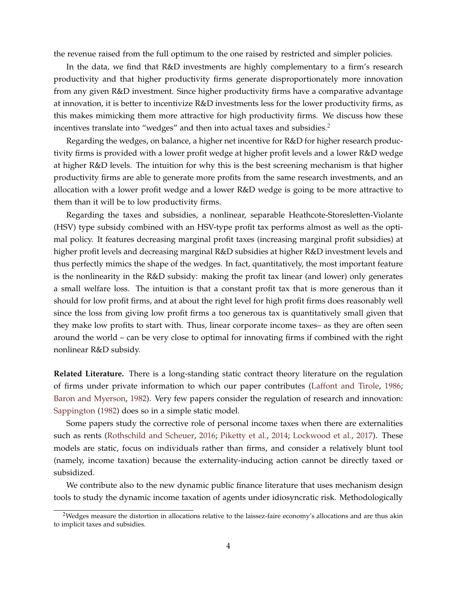the revenue raised from the full optimum to the one raised by restricted and simpler policies.

In the data, we find that R&D investments are highly complementary to a firm's research productivity and that higher productivity firms generate disproportionately more innovation from any given R&D investment. Since higher productivity firms have a comparative advantage at innovation, it is better to incentivize R&D investments less for the lower productivity firms, as this makes mimicking them more attractive for high productivity firms. We discuss how these incentives translate into "wedges" and then into actual taxes and subsidies.<sup>[2](#page-0-0)</sup>

Regarding the wedges, on balance, a higher net incentive for R&D for higher research productivity firms is provided with a lower profit wedge at higher profit levels and a lower R&D wedge at higher R&D levels. The intuition for why this is the best screening mechanism is that higher productivity firms are able to generate more profits from the same research investments, and an allocation with a lower profit wedge and a lower R&D wedge is going to be more attractive to them than it will be to low productivity firms.

Regarding the taxes and subsidies, a nonlinear, separable Heathcote-Storesletten-Violante (HSV) type subsidy combined with an HSV-type profit tax performs almost as well as the optimal policy. It features decreasing marginal profit taxes (increasing marginal profit subsidies) at higher profit levels and decreasing marginal R&D subsidies at higher R&D investment levels and thus perfectly mimics the shape of the wedges. In fact, quantitatively, the most important feature is the nonlinearity in the R&D subsidy: making the profit tax linear (and lower) only generates a small welfare loss. The intuition is that a constant profit tax that is more generous than it should for low profit firms, and at about the right level for high profit firms does reasonably well since the loss from giving low profit firms a too generous tax is quantitatively small given that they make low profits to start with. Thus, linear corporate income taxes– as they are often seen around the world – can be very close to optimal for innovating firms if combined with the right nonlinear R&D subsidy.

**Related Literature.** There is a long-standing static contract theory literature on the regulation of firms under private information to which our paper contributes [\(Laffont and Tirole,](#page-43-0) [1986;](#page-43-0) [Baron and Myerson,](#page-41-0) [1982\)](#page-41-0). Very few papers consider the regulation of research and innovation: [Sappington](#page-43-1) [\(1982\)](#page-43-1) does so in a simple static model.

Some papers study the corrective role of personal income taxes when there are externalities such as rents [\(Rothschild and Scheuer,](#page-43-2) [2016;](#page-43-2) [Piketty et al.,](#page-43-3) [2014;](#page-43-3) [Lockwood et al.,](#page-43-4) [2017\)](#page-43-4). These models are static, focus on individuals rather than firms, and consider a relatively blunt tool (namely, income taxation) because the externality-inducing action cannot be directly taxed or subsidized.

We contribute also to the new dynamic public finance literature that uses mechanism design tools to study the dynamic income taxation of agents under idiosyncratic risk. Methodologically

<sup>&</sup>lt;sup>2</sup>Wedges measure the distortion in allocations relative to the laissez-faire economy's allocations and are thus akin to implicit taxes and subsidies.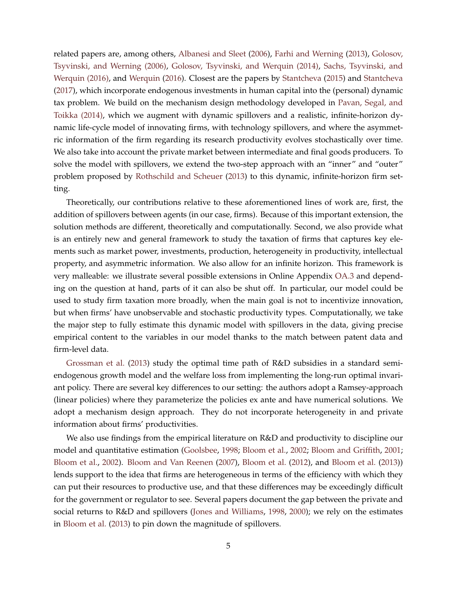related papers are, among others, [Albanesi and Sleet](#page-41-1) [\(2006\)](#page-41-1), [Farhi and Werning](#page-42-0) [\(2013\)](#page-42-0), [Golosov,](#page-42-1) [Tsyvinski, and Werning \(2006\),](#page-42-1) [Golosov, Tsyvinski, and Werquin \(2014\),](#page-42-2) [Sachs, Tsyvinski, and](#page-43-5) [Werquin \(2016\),](#page-43-5) and [Werquin](#page-43-6) [\(2016\)](#page-43-6). Closest are the papers by [Stantcheva](#page-43-7) [\(2015\)](#page-43-7) and [Stantcheva](#page-43-8) [\(2017\)](#page-43-8), which incorporate endogenous investments in human capital into the (personal) dynamic tax problem. We build on the mechanism design methodology developed in [Pavan, Segal, and](#page-43-9) [Toikka \(2014\),](#page-43-9) which we augment with dynamic spillovers and a realistic, infinite-horizon dynamic life-cycle model of innovating firms, with technology spillovers, and where the asymmetric information of the firm regarding its research productivity evolves stochastically over time. We also take into account the private market between intermediate and final goods producers. To solve the model with spillovers, we extend the two-step approach with an "inner" and "outer" problem proposed by [Rothschild and Scheuer](#page-43-10) [\(2013\)](#page-43-10) to this dynamic, infinite-horizon firm setting.

Theoretically, our contributions relative to these aforementioned lines of work are, first, the addition of spillovers between agents (in our case, firms). Because of this important extension, the solution methods are different, theoretically and computationally. Second, we also provide what is an entirely new and general framework to study the taxation of firms that captures key elements such as market power, investments, production, heterogeneity in productivity, intellectual property, and asymmetric information. We also allow for an infinite horizon. This framework is very malleable: we illustrate several possible extensions in Online Appendix [OA.3](#page-50-0) and depending on the question at hand, parts of it can also be shut off. In particular, our model could be used to study firm taxation more broadly, when the main goal is not to incentivize innovation, but when firms' have unobservable and stochastic productivity types. Computationally, we take the major step to fully estimate this dynamic model with spillovers in the data, giving precise empirical content to the variables in our model thanks to the match between patent data and firm-level data.

[Grossman et al.](#page-42-3) [\(2013\)](#page-42-3) study the optimal time path of R&D subsidies in a standard semiendogenous growth model and the welfare loss from implementing the long-run optimal invariant policy. There are several key differences to our setting: the authors adopt a Ramsey-approach (linear policies) where they parameterize the policies ex ante and have numerical solutions. We adopt a mechanism design approach. They do not incorporate heterogeneity in and private information about firms' productivities.

We also use findings from the empirical literature on R&D and productivity to discipline our model and quantitative estimation [\(Goolsbee,](#page-42-4) [1998;](#page-42-4) [Bloom et al.,](#page-41-2) [2002;](#page-41-2) [Bloom and Griffith,](#page-41-3) [2001;](#page-41-3) [Bloom et al.,](#page-41-4) [2002\)](#page-41-4). [Bloom and Van Reenen](#page-41-5) [\(2007\)](#page-41-5), [Bloom et al.](#page-41-6) [\(2012\)](#page-41-6), and [Bloom et al.](#page-41-7) [\(2013\)](#page-41-7)) lends support to the idea that firms are heterogeneous in terms of the efficiency with which they can put their resources to productive use, and that these differences may be exceedingly difficult for the government or regulator to see. Several papers document the gap between the private and social returns to R&D and spillovers [\(Jones and Williams,](#page-42-5) [1998,](#page-42-5) [2000\)](#page-42-6); we rely on the estimates in [Bloom et al.](#page-41-8) [\(2013\)](#page-41-8) to pin down the magnitude of spillovers.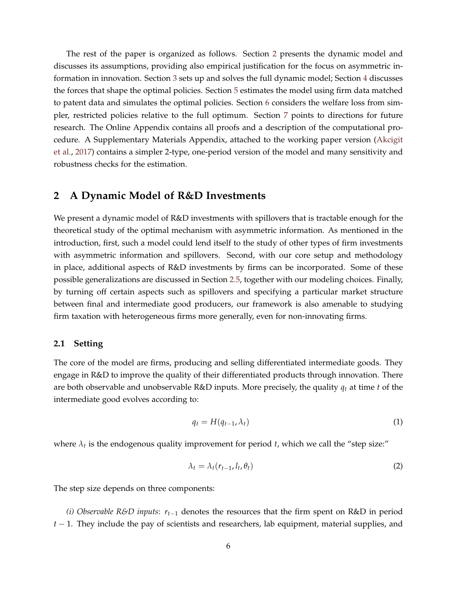The rest of the paper is organized as follows. Section [2](#page-5-0) presents the dynamic model and discusses its assumptions, providing also empirical justification for the focus on asymmetric information in innovation. Section [3](#page-15-0) sets up and solves the full dynamic model; Section [4](#page-20-0) discusses the forces that shape the optimal policies. Section [5](#page-27-0) estimates the model using firm data matched to patent data and simulates the optimal policies. Section [6](#page-37-0) considers the welfare loss from simpler, restricted policies relative to the full optimum. Section [7](#page-40-0) points to directions for future research. The Online Appendix contains all proofs and a description of the computational procedure. A Supplementary Materials Appendix, attached to the working paper version [\(Akcigit](#page-41-9) [et al.,](#page-41-9) [2017\)](#page-41-9) contains a simpler 2-type, one-period version of the model and many sensitivity and robustness checks for the estimation.

### <span id="page-5-0"></span>**2 A Dynamic Model of R&D Investments**

We present a dynamic model of R&D investments with spillovers that is tractable enough for the theoretical study of the optimal mechanism with asymmetric information. As mentioned in the introduction, first, such a model could lend itself to the study of other types of firm investments with asymmetric information and spillovers. Second, with our core setup and methodology in place, additional aspects of R&D investments by firms can be incorporated. Some of these possible generalizations are discussed in Section [2.5,](#page-13-0) together with our modeling choices. Finally, by turning off certain aspects such as spillovers and specifying a particular market structure between final and intermediate good producers, our framework is also amenable to studying firm taxation with heterogeneous firms more generally, even for non-innovating firms.

#### **2.1 Setting**

The core of the model are firms, producing and selling differentiated intermediate goods. They engage in R&D to improve the quality of their differentiated products through innovation. There are both observable and unobservable R&D inputs. More precisely, the quality *q<sup>t</sup>* at time *t* of the intermediate good evolves according to:

$$
q_t = H(q_{t-1}, \lambda_t) \tag{1}
$$

where  $\lambda_t$  is the endogenous quality improvement for period *t*, which we call the "step size:"

$$
\lambda_t = \lambda_t (r_{t-1}, l_t, \theta_t) \tag{2}
$$

The step size depends on three components:

*(i) Observable R&D inputs*: *rt*−<sup>1</sup> denotes the resources that the firm spent on R&D in period *t* − 1. They include the pay of scientists and researchers, lab equipment, material supplies, and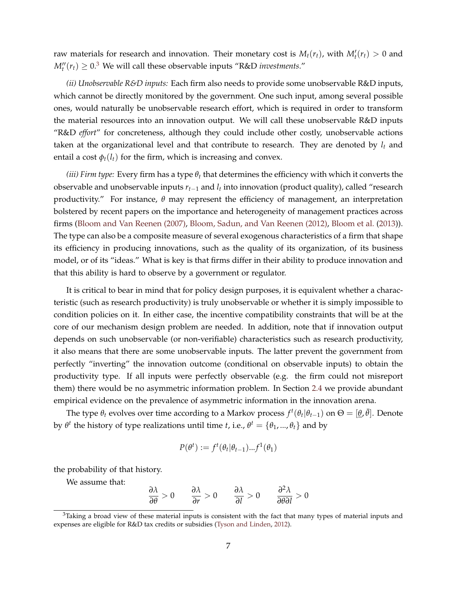raw materials for research and innovation. Their monetary cost is  $M_t(r_t)$ , with  $M'_t(r_t) > 0$  and  $M_t''(r_t) \geq 0.3$  $M_t''(r_t) \geq 0.3$  We will call these observable inputs "R&D *investments.*"

*(ii) Unobservable R&D inputs:* Each firm also needs to provide some unobservable R&D inputs, which cannot be directly monitored by the government. One such input, among several possible ones, would naturally be unobservable research effort, which is required in order to transform the material resources into an innovation output. We will call these unobservable R&D inputs "R&D *effort*" for concreteness, although they could include other costly, unobservable actions taken at the organizational level and that contribute to research. They are denoted by  $l_t$  and entail a cost  $\phi_t(l_t)$  for the firm, which is increasing and convex.

*(iii) Firm type:* Every firm has a type *θ<sup>t</sup>* that determines the efficiency with which it converts the observable and unobservable inputs *rt*−<sup>1</sup> and *l<sup>t</sup>* into innovation (product quality), called "research productivity." For instance, *θ* may represent the efficiency of management, an interpretation bolstered by recent papers on the importance and heterogeneity of management practices across firms [\(Bloom and Van Reenen \(2007\),](#page-41-5) [Bloom, Sadun, and Van Reenen \(2012\),](#page-41-6) [Bloom et al.](#page-41-7) [\(2013\)](#page-41-7)). The type can also be a composite measure of several exogenous characteristics of a firm that shape its efficiency in producing innovations, such as the quality of its organization, of its business model, or of its "ideas." What is key is that firms differ in their ability to produce innovation and that this ability is hard to observe by a government or regulator.

It is critical to bear in mind that for policy design purposes, it is equivalent whether a characteristic (such as research productivity) is truly unobservable or whether it is simply impossible to condition policies on it. In either case, the incentive compatibility constraints that will be at the core of our mechanism design problem are needed. In addition, note that if innovation output depends on such unobservable (or non-verifiable) characteristics such as research productivity, it also means that there are some unobservable inputs. The latter prevent the government from perfectly "inverting" the innovation outcome (conditional on observable inputs) to obtain the productivity type. If all inputs were perfectly observable (e.g. the firm could not misreport them) there would be no asymmetric information problem. In Section [2.4](#page-11-0) we provide abundant empirical evidence on the prevalence of asymmetric information in the innovation arena.

The type  $\theta_t$  evolves over time according to a Markov process  $f^t(\theta_t|\theta_{t-1})$  on  $\Theta = [\underline{\theta}, \overline{\theta}]$ . Denote by  $\theta^t$  the history of type realizations until time *t*, i.e.,  $\theta^t = {\theta_1, ..., \theta_t}$  and by

$$
P(\theta^t) := f^t(\theta_t | \theta_{t-1}) ... f^1(\theta_1)
$$

the probability of that history.

We assume that:

$$
\frac{\partial \lambda}{\partial \theta} > 0 \qquad \frac{\partial \lambda}{\partial r} > 0 \qquad \frac{\partial \lambda}{\partial l} > 0 \qquad \frac{\partial^2 \lambda}{\partial \theta \partial l} > 0
$$

 $3$ Taking a broad view of these material inputs is consistent with the fact that many types of material inputs and expenses are eligible for R&D tax credits or subsidies [\(Tyson and Linden,](#page-43-11) [2012\)](#page-43-11).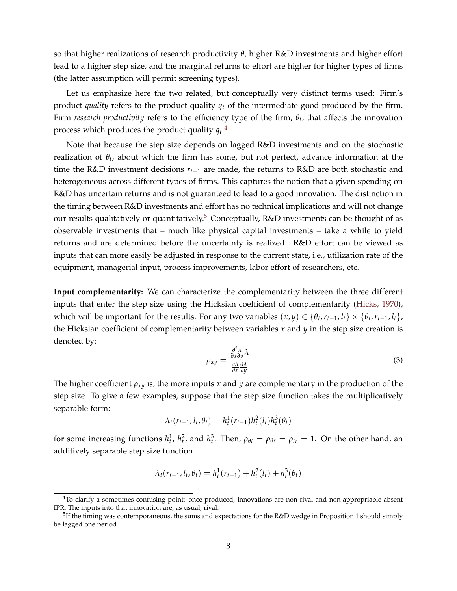so that higher realizations of research productivity *θ*, higher R&D investments and higher effort lead to a higher step size, and the marginal returns to effort are higher for higher types of firms (the latter assumption will permit screening types).

Let us emphasize here the two related, but conceptually very distinct terms used: Firm's product *quality* refers to the product quality *q<sup>t</sup>* of the intermediate good produced by the firm. Firm *research productivity* refers to the efficiency type of the firm, *θ<sup>t</sup>* , that affects the innovation process which produces the product quality *q<sup>t</sup>* . [4](#page-0-0)

Note that because the step size depends on lagged R&D investments and on the stochastic realization of *θ<sup>t</sup>* , about which the firm has some, but not perfect, advance information at the time the R&D investment decisions *rt*−<sup>1</sup> are made, the returns to R&D are both stochastic and heterogeneous across different types of firms. This captures the notion that a given spending on R&D has uncertain returns and is not guaranteed to lead to a good innovation. The distinction in the timing between R&D investments and effort has no technical implications and will not change our results qualitatively or quantitatively.<sup>[5](#page-0-0)</sup> Conceptually,  $R&D$  investments can be thought of as observable investments that – much like physical capital investments – take a while to yield returns and are determined before the uncertainty is realized. R&D effort can be viewed as inputs that can more easily be adjusted in response to the current state, i.e., utilization rate of the equipment, managerial input, process improvements, labor effort of researchers, etc.

**Input complementarity:** We can characterize the complementarity between the three different inputs that enter the step size using the Hicksian coefficient of complementarity [\(Hicks,](#page-42-7) [1970\)](#page-42-7), which will be important for the results. For any two variables  $(x, y) \in \{\theta_t, r_{t-1}, l_t\} \times \{\theta_t, r_{t-1}, l_t\}$ , the Hicksian coefficient of complementarity between variables  $x$  and  $y$  in the step size creation is denoted by:

$$
\rho_{xy} = \frac{\frac{\partial^2 \lambda}{\partial x \partial y} \lambda}{\frac{\partial \lambda}{\partial x \partial y}}
$$
\n(3)

The higher coefficient *ρxy* is, the more inputs *x* and *y* are complementary in the production of the step size. To give a few examples, suppose that the step size function takes the multiplicatively separable form:

$$
\lambda_t(r_{t-1}, l_t, \theta_t) = h_t^1(r_{t-1})h_t^2(l_t)h_t^3(\theta_t)
$$

for some increasing functions  $h_t^1$ ,  $h_t^2$ , and  $h_t^3$ . Then,  $\rho_{\theta l} = \rho_{\theta r} = \rho_{lr} = 1$ . On the other hand, an additively separable step size function

$$
\lambda_t(r_{t-1}, l_t, \theta_t) = h_t^1(r_{t-1}) + h_t^2(l_t) + h_t^3(\theta_t)
$$

<sup>4</sup>To clarify a sometimes confusing point: once produced, innovations are non-rival and non-appropriable absent IPR. The inputs into that innovation are, as usual, rival.

 $^5$ If the timing was contemporaneous, the sums and expectations for the R&D wedge in Proposition [1](#page-20-1) should simply be lagged one period.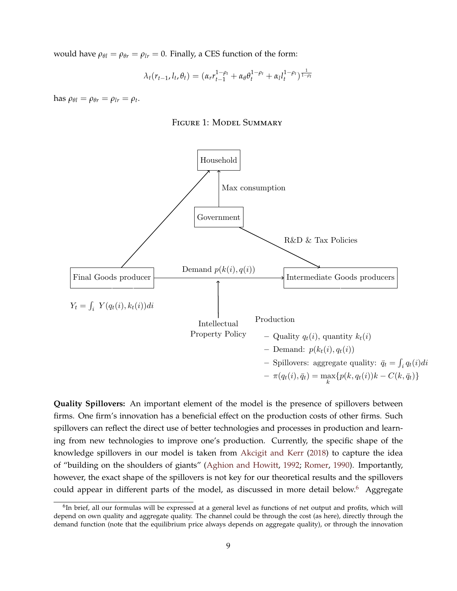would have  $\rho_{\theta l} = \rho_{\theta r} = \rho_{l r} = 0$ . Finally, a CES function of the form:

$$
\lambda_t(r_{t-1}, l_t, \theta_t) = (\alpha_r r_{t-1}^{1-\rho_t} + \alpha_\theta \theta_t^{1-\rho_t} + \alpha_l l_t^{1-\rho_t})^{\frac{1}{1-\rho_t}}
$$

<span id="page-8-0"></span> $\hbox{ has } \rho_{\theta l} = \rho_{\theta r} = \rho_{l r} = \rho_t.$ 





**Quality Spillovers:** An important element of the model is the presence of spillovers between firms. One firm's innovation has a beneficial effect on the production costs of other firms. Such spillovers can reflect the direct use of better technologies and processes in production and learning from new technologies to improve one's production. Currently, the specific shape of the knowledge spillovers in our model is taken from [Akcigit and Kerr](#page-41-10) [\(2018\)](#page-41-10) to capture the idea of "building on the shoulders of giants" [\(Aghion and Howitt,](#page-41-11) [1992;](#page-41-11) [Romer,](#page-43-12) [1990\)](#page-43-12). Importantly, however, the exact shape of the spillovers is not key for our theoretical results and the spillovers could appear in different parts of the model, as discussed in more detail below.<sup>[6](#page-0-0)</sup> Aggregate

<sup>&</sup>lt;sup>6</sup>In brief, all our formulas will be expressed at a general level as functions of net output and profits, which will depend on own quality and aggregate quality. The channel could be through the cost (as here), directly through the demand function (note that the equilibrium price always depends on aggregate quality), or through the innovation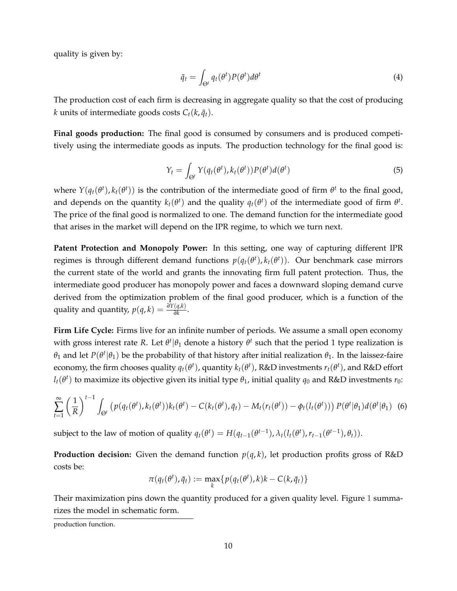quality is given by:

$$
\bar{q}_t = \int_{\Theta^t} q_t(\theta^t) P(\theta^t) d\theta^t \tag{4}
$$

The production cost of each firm is decreasing in aggregate quality so that the cost of producing *k* units of intermediate goods costs  $C_t(k, \bar{q}_t)$ .

**Final goods production:** The final good is consumed by consumers and is produced competitively using the intermediate goods as inputs. The production technology for the final good is:

$$
Y_t = \int_{\Theta^t} Y(q_t(\theta^t), k_t(\theta^t)) P(\theta^t) d(\theta^t)
$$
\n(5)

where  $Y(q_t(\theta^t), k_t(\theta^t))$  is the contribution of the intermediate good of firm  $\theta^t$  to the final good, and depends on the quantity  $k_t(\theta^t)$  and the quality  $q_t(\theta^t)$  of the intermediate good of firm  $\theta^t$ . The price of the final good is normalized to one. The demand function for the intermediate good that arises in the market will depend on the IPR regime, to which we turn next.

**Patent Protection and Monopoly Power:** In this setting, one way of capturing different IPR regimes is through different demand functions  $p(q_t(\theta^t), k_t(\theta^t))$ . Our benchmark case mirrors the current state of the world and grants the innovating firm full patent protection. Thus, the intermediate good producer has monopoly power and faces a downward sloping demand curve derived from the optimization problem of the final good producer, which is a function of the quality and quantity,  $p(q, k) = \frac{\partial Y(q, k)}{\partial k}$ .

**Firm Life Cycle:** Firms live for an infinite number of periods. We assume a small open economy with gross interest rate *R*. Let  $\theta^t | \theta_1$  denote a history  $\theta^t$  such that the period 1 type realization is *θ*<sub>1</sub> and let *P*(*θ<sup>t</sup>*|*θ*<sub>1</sub>) be the probability of that history after initial realization *θ*<sub>1</sub>. In the laissez-faire economy, the firm chooses quality  $q_t(\theta^t)$ , quantity  $k_t(\theta^t)$ , R&D investments  $r_t(\theta^t)$ , and R&D effort  $l_t$ ( $\theta^t$ ) to maximize its objective given its initial type  $\theta_1$ , initial quality  $q_0$  and R&D investments  $r_0$ :

<span id="page-9-0"></span>
$$
\sum_{t=1}^{\infty} \left(\frac{1}{R}\right)^{t-1} \int_{\Theta^t} \left(p(q_t(\theta^t), k_t(\theta^t)) k_t(\theta^t) - C(k_t(\theta^t), \bar{q}_t) - M_t(r_t(\theta^t)) - \phi_t(l_t(\theta^t))\right) P(\theta^t|\theta_1) d(\theta^t|\theta_1)
$$
 (6)

subject to the law of motion of quality  $q_t(\theta^t) = H(q_{t-1}(\theta^{t-1}), \lambda_t(l_t(\theta^t), r_{t-1}(\theta^{t-1}), \theta_t)).$ 

**Production decision:** Given the demand function  $p(q, k)$ , let production profits gross of R&D costs be:

$$
\pi(q_t(\theta^t), \bar{q}_t) := \max_k \{ p(q_t(\theta^t), k)k - C(k, \bar{q}_t) \}
$$

Their maximization pins down the quantity produced for a given quality level. Figure [1](#page-8-0) summarizes the model in schematic form.

production function.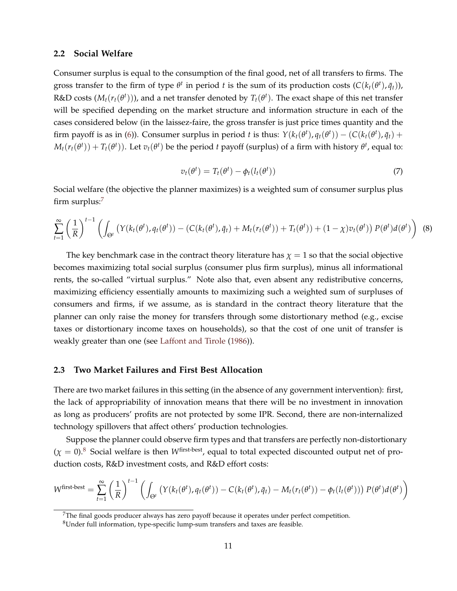#### **2.2 Social Welfare**

Consumer surplus is equal to the consumption of the final good, net of all transfers to firms. The gross transfer to the firm of type  $\theta^t$  in period  $t$  is the sum of its production costs  $(C(k_t(\theta^t), \bar{q}_t))$ ,  $R$ &D costs  $(M_t(r_t(\theta^t)))$ , and a net transfer denoted by  $T_t(\theta^t)$ . The exact shape of this net transfer will be specified depending on the market structure and information structure in each of the cases considered below (in the laissez-faire, the gross transfer is just price times quantity and the firm payoff is as in [\(6\)](#page-9-0)). Consumer surplus in period t is thus:  $Y(k_t(\theta^t), q_t(\theta^t)) - (C(k_t(\theta^t), \bar{q}_t) +$  $M_t(r_t(\theta^t))+T_t(\theta^t)).$  Let  $v_t(\theta^t)$  be the period  $t$  payoff (surplus) of a firm with history  $\theta^t$ , equal to:

$$
v_t(\theta^t) = T_t(\theta^t) - \phi_t(l_t(\theta^t))
$$
\n<sup>(7)</sup>

<span id="page-10-0"></span>Social welfare (the objective the planner maximizes) is a weighted sum of consumer surplus plus firm surplus: $<sup>7</sup>$  $<sup>7</sup>$  $<sup>7</sup>$ </sup>

<span id="page-10-1"></span>
$$
\sum_{t=1}^{\infty} \left(\frac{1}{R}\right)^{t-1} \left(\int_{\Theta^t} \left(Y(k_t(\theta^t), q_t(\theta^t)) - \left(C(k_t(\theta^t), \bar{q}_t) + M_t(r_t(\theta^t)) + T_t(\theta^t)\right) + (1-\chi)v_t(\theta^t)\right) P(\theta^t) d(\theta^t)\right)
$$
(8)

The key benchmark case in the contract theory literature has  $\chi = 1$  so that the social objective becomes maximizing total social surplus (consumer plus firm surplus), minus all informational rents, the so-called "virtual surplus." Note also that, even absent any redistributive concerns, maximizing efficiency essentially amounts to maximizing such a weighted sum of surpluses of consumers and firms, if we assume, as is standard in the contract theory literature that the planner can only raise the money for transfers through some distortionary method (e.g., excise taxes or distortionary income taxes on households), so that the cost of one unit of transfer is weakly greater than one (see [Laffont and Tirole](#page-43-0) [\(1986\)](#page-43-0)).

#### <span id="page-10-2"></span>**2.3 Two Market Failures and First Best Allocation**

There are two market failures in this setting (in the absence of any government intervention): first, the lack of appropriability of innovation means that there will be no investment in innovation as long as producers' profits are not protected by some IPR. Second, there are non-internalized technology spillovers that affect others' production technologies.

Suppose the planner could observe firm types and that transfers are perfectly non-distortionary  $(\chi = 0)$ .<sup>[8](#page-0-0)</sup> Social welfare is then *W*<sup>first-best</sup>, equal to total expected discounted output net of production costs, R&D investment costs, and R&D effort costs:

$$
W^{\text{first-best}} = \sum_{t=1}^{\infty} \left(\frac{1}{R}\right)^{t-1} \left(\int_{\Theta^t} \left(Y(k_t(\theta^t), q_t(\theta^t)) - C(k_t(\theta^t), \bar{q}_t) - M_t(r_t(\theta^t)) - \phi_t(l_t(\theta^t))\right) P(\theta^t) d(\theta^t)\right)
$$

<sup>&</sup>lt;sup>7</sup>The final goods producer always has zero payoff because it operates under perfect competition.

<sup>8</sup>Under full information, type-specific lump-sum transfers and taxes are feasible.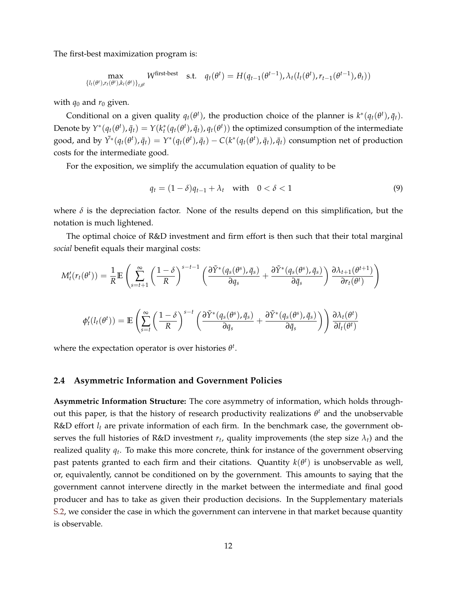The first-best maximization program is:

$$
\max_{\{l_t(\theta^t), r_t(\theta^t), k_t(\theta^t)\}_{t,\theta^t}} W^{\text{first-best}} \quad \text{s.t.} \quad q_t(\theta^t) = H(q_{t-1}(\theta^{t-1}), \lambda_t(l_t(\theta^t), r_{t-1}(\theta^{t-1}), \theta_t))
$$

with  $q_0$  and  $r_0$  given.

Conditional on a given quality  $q_t(\theta^t)$ , the production choice of the planner is  $k^*(q_t(\theta^t), \bar{q}_t)$ . Denote by  $Y^*(q_t(\theta^t), \bar{q}_t) = Y(k_t^*(q_t(\theta^t), \bar{q}_t), q_t(\theta^t))$  the optimized consumption of the intermediate good, and by  $\tilde{Y}^*(q_t(\theta^t),\bar{q}_t) = Y^*(q_t(\theta^t),\bar{q}_t) - C(k^*(q_t(\theta^t),\bar{q}_t),\bar{q}_t)$  consumption net of production costs for the intermediate good.

For the exposition, we simplify the accumulation equation of quality to be

$$
q_t = (1 - \delta)q_{t-1} + \lambda_t \quad \text{with} \quad 0 < \delta < 1 \tag{9}
$$

where  $\delta$  is the depreciation factor. None of the results depend on this simplification, but the notation is much lightened.

The optimal choice of R&D investment and firm effort is then such that their total marginal *social* benefit equals their marginal costs:

$$
M'_{t}(r_{t}(\theta^{t})) = \frac{1}{R} \mathbb{E} \left( \sum_{s=t+1}^{\infty} \left( \frac{1-\delta}{R} \right)^{s-t-1} \left( \frac{\partial \tilde{Y}^{*}(q_{s}(\theta^{s}), \bar{q}_{s})}{\partial q_{s}} + \frac{\partial \tilde{Y}^{*}(q_{s}(\theta^{s}), \bar{q}_{s})}{\partial \bar{q}_{s}} \right) \frac{\partial \lambda_{t+1}(\theta^{t+1})}{\partial r_{t}(\theta^{t})} \right)
$$

$$
\phi'_{t}(l_{t}(\theta^{t})) = \mathbb{E} \left( \sum_{s=t}^{\infty} \left( \frac{1-\delta}{R} \right)^{s-t} \left( \frac{\partial \tilde{Y}^{*}(q_{s}(\theta^{s}), \bar{q}_{s})}{\partial q_{s}} + \frac{\partial \tilde{Y}^{*}(q_{s}(\theta^{s}), \bar{q}_{s})}{\partial \bar{q}_{s}} \right) \right) \frac{\partial \lambda_{t}(\theta^{t})}{\partial l_{t}(\theta^{t})}
$$

where the expectation operator is over histories *θ t* .

#### <span id="page-11-0"></span>**2.4 Asymmetric Information and Government Policies**

**Asymmetric Information Structure:** The core asymmetry of information, which holds throughout this paper, is that the history of research productivity realizations *θ <sup>t</sup>* and the unobservable R&D effort *l<sup>t</sup>* are private information of each firm. In the benchmark case, the government observes the full histories of R&D investment  $r_t$ , quality improvements (the step size  $\lambda_t$ ) and the realized quality *q<sup>t</sup>* . To make this more concrete, think for instance of the government observing past patents granted to each firm and their citations. Quantity  $k(\theta^t)$  is unobservable as well, or, equivalently, cannot be conditioned on by the government. This amounts to saying that the government cannot intervene directly in the market between the intermediate and final good producer and has to take as given their production decisions. In the Supplementary materials [S.2,](#page-49-0) we consider the case in which the government can intervene in that market because quantity is observable.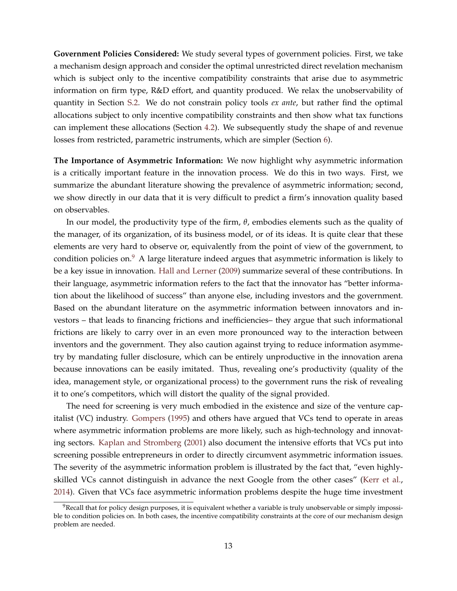**Government Policies Considered:** We study several types of government policies. First, we take a mechanism design approach and consider the optimal unrestricted direct revelation mechanism which is subject only to the incentive compatibility constraints that arise due to asymmetric information on firm type, R&D effort, and quantity produced. We relax the unobservability of quantity in Section [S.2.](#page-49-0) We do not constrain policy tools *ex ante*, but rather find the optimal allocations subject to only incentive compatibility constraints and then show what tax functions can implement these allocations (Section [4.2\)](#page-26-0). We subsequently study the shape of and revenue losses from restricted, parametric instruments, which are simpler (Section [6\)](#page-37-0).

**The Importance of Asymmetric Information:** We now highlight why asymmetric information is a critically important feature in the innovation process. We do this in two ways. First, we summarize the abundant literature showing the prevalence of asymmetric information; second, we show directly in our data that it is very difficult to predict a firm's innovation quality based on observables.

In our model, the productivity type of the firm, *θ*, embodies elements such as the quality of the manager, of its organization, of its business model, or of its ideas. It is quite clear that these elements are very hard to observe or, equivalently from the point of view of the government, to condition policies on. $9$  A large literature indeed argues that asymmetric information is likely to be a key issue in innovation. [Hall and Lerner](#page-42-8) [\(2009\)](#page-42-8) summarize several of these contributions. In their language, asymmetric information refers to the fact that the innovator has "better information about the likelihood of success" than anyone else, including investors and the government. Based on the abundant literature on the asymmetric information between innovators and investors – that leads to financing frictions and inefficiencies– they argue that such informational frictions are likely to carry over in an even more pronounced way to the interaction between inventors and the government. They also caution against trying to reduce information asymmetry by mandating fuller disclosure, which can be entirely unproductive in the innovation arena because innovations can be easily imitated. Thus, revealing one's productivity (quality of the idea, management style, or organizational process) to the government runs the risk of revealing it to one's competitors, which will distort the quality of the signal provided.

The need for screening is very much embodied in the existence and size of the venture capitalist (VC) industry. [Gompers](#page-42-9) [\(1995\)](#page-42-9) and others have argued that VCs tend to operate in areas where asymmetric information problems are more likely, such as high-technology and innovating sectors. [Kaplan and Stromberg](#page-42-10) [\(2001\)](#page-42-10) also document the intensive efforts that VCs put into screening possible entrepreneurs in order to directly circumvent asymmetric information issues. The severity of the asymmetric information problem is illustrated by the fact that, "even highlyskilled VCs cannot distinguish in advance the next Google from the other cases" [\(Kerr et al.,](#page-43-13) [2014\)](#page-43-13). Given that VCs face asymmetric information problems despite the huge time investment

 $9$ Recall that for policy design purposes, it is equivalent whether a variable is truly unobservable or simply impossible to condition policies on. In both cases, the incentive compatibility constraints at the core of our mechanism design problem are needed.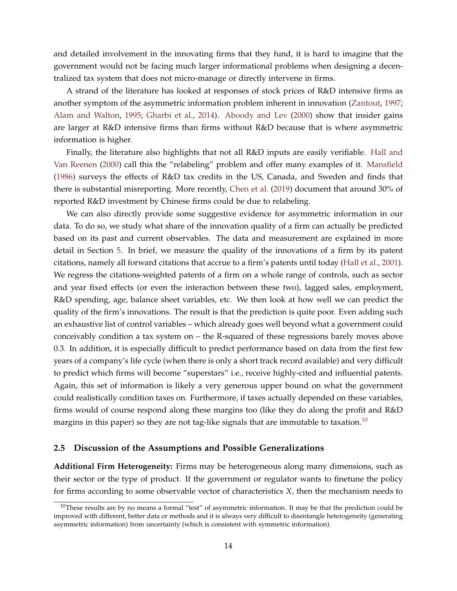and detailed involvement in the innovating firms that they fund, it is hard to imagine that the government would not be facing much larger informational problems when designing a decentralized tax system that does not micro-manage or directly intervene in firms.

A strand of the literature has looked at responses of stock prices of R&D intensive firms as another symptom of the asymmetric information problem inherent in innovation [\(Zantout,](#page-43-14) [1997;](#page-43-14) [Alam and Walton,](#page-41-12) [1995;](#page-41-12) [Gharbi et al.,](#page-42-11) [2014\)](#page-42-11). [Aboody and Lev](#page-41-13) [\(2000\)](#page-41-13) show that insider gains are larger at R&D intensive firms than firms without R&D because that is where asymmetric information is higher.

Finally, the literature also highlights that not all R&D inputs are easily verifiable. [Hall and](#page-42-12) [Van Reenen](#page-42-12) [\(2000\)](#page-42-12) call this the "relabeling" problem and offer many examples of it. [Mansfield](#page-43-15) [\(1986\)](#page-43-15) surveys the effects of R&D tax credits in the US, Canada, and Sweden and finds that there is substantial misreporting. More recently, [Chen et al.](#page-42-13) [\(2019\)](#page-42-13) document that around 30% of reported R&D investment by Chinese firms could be due to relabeling.

We can also directly provide some suggestive evidence for asymmetric information in our data. To do so, we study what share of the innovation quality of a firm can actually be predicted based on its past and current observables. The data and measurement are explained in more detail in Section [5.](#page-27-0) In brief, we measure the quality of the innovations of a firm by its patent citations, namely all forward citations that accrue to a firm's patents until today [\(Hall et al.,](#page-42-14) [2001\)](#page-42-14). We regress the citations-weighted patents of a firm on a whole range of controls, such as sector and year fixed effects (or even the interaction between these two), lagged sales, employment, R&D spending, age, balance sheet variables, etc. We then look at how well we can predict the quality of the firm's innovations. The result is that the prediction is quite poor. Even adding such an exhaustive list of control variables – which already goes well beyond what a government could conceivably condition a tax system on – the R-squared of these regressions barely moves above 0.3. In addition, it is especially difficult to predict performance based on data from the first few years of a company's life cycle (when there is only a short track record available) and very difficult to predict which firms will become "superstars" i.e., receive highly-cited and influential patents. Again, this set of information is likely a very generous upper bound on what the government could realistically condition taxes on. Furthermore, if taxes actually depended on these variables, firms would of course respond along these margins too (like they do along the profit and R&D margins in this paper) so they are not tag-like signals that are immutable to taxation.<sup>[10](#page-0-0)</sup>

#### <span id="page-13-0"></span>**2.5 Discussion of the Assumptions and Possible Generalizations**

**Additional Firm Heterogeneity:** Firms may be heterogeneous along many dimensions, such as their sector or the type of product. If the government or regulator wants to finetune the policy for firms according to some observable vector of characteristics *X*, then the mechanism needs to

 $10$ These results are by no means a formal "test" of asymmetric information. It may be that the prediction could be improved with different, better data or methods and it is always very difficult to disentangle heterogeneity (generating asymmetric information) from uncertainty (which is consistent with symmetric information).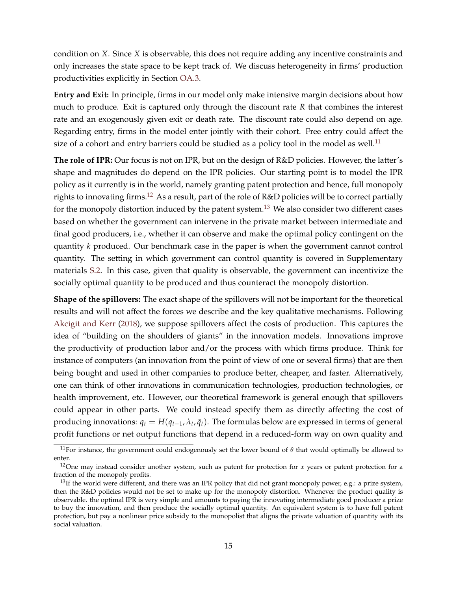condition on *X*. Since *X* is observable, this does not require adding any incentive constraints and only increases the state space to be kept track of. We discuss heterogeneity in firms' production productivities explicitly in Section [OA.3.](#page-50-0)

**Entry and Exit:** In principle, firms in our model only make intensive margin decisions about how much to produce. Exit is captured only through the discount rate *R* that combines the interest rate and an exogenously given exit or death rate. The discount rate could also depend on age. Regarding entry, firms in the model enter jointly with their cohort. Free entry could affect the size of a cohort and entry barriers could be studied as a policy tool in the model as well.<sup>[11](#page-0-0)</sup>

**The role of IPR:** Our focus is not on IPR, but on the design of R&D policies. However, the latter's shape and magnitudes do depend on the IPR policies. Our starting point is to model the IPR policy as it currently is in the world, namely granting patent protection and hence, full monopoly rights to innovating firms.<sup>[12](#page-0-0)</sup> As a result, part of the role of R&D policies will be to correct partially for the monopoly distortion induced by the patent system.<sup>[13](#page-0-0)</sup> We also consider two different cases based on whether the government can intervene in the private market between intermediate and final good producers, i.e., whether it can observe and make the optimal policy contingent on the quantity *k* produced. Our benchmark case in the paper is when the government cannot control quantity. The setting in which government can control quantity is covered in Supplementary materials [S.2.](#page-49-0) In this case, given that quality is observable, the government can incentivize the socially optimal quantity to be produced and thus counteract the monopoly distortion.

**Shape of the spillovers:** The exact shape of the spillovers will not be important for the theoretical results and will not affect the forces we describe and the key qualitative mechanisms. Following [Akcigit and Kerr](#page-41-10) [\(2018\)](#page-41-10), we suppose spillovers affect the costs of production. This captures the idea of "building on the shoulders of giants" in the innovation models. Innovations improve the productivity of production labor and/or the process with which firms produce. Think for instance of computers (an innovation from the point of view of one or several firms) that are then being bought and used in other companies to produce better, cheaper, and faster. Alternatively, one can think of other innovations in communication technologies, production technologies, or health improvement, etc. However, our theoretical framework is general enough that spillovers could appear in other parts. We could instead specify them as directly affecting the cost of producing innovations:  $q_t = H(q_{t-1}, \lambda_t, \bar{q}_t)$ . The formulas below are expressed in terms of general profit functions or net output functions that depend in a reduced-form way on own quality and

<sup>&</sup>lt;sup>11</sup>For instance, the government could endogenously set the lower bound of  $\theta$  that would optimally be allowed to enter.

<sup>&</sup>lt;sup>12</sup>One may instead consider another system, such as patent for protection for *x* years or patent protection for a fraction of the monopoly profits.

 $13$ If the world were different, and there was an IPR policy that did not grant monopoly power, e.g.: a prize system, then the R&D policies would not be set to make up for the monopoly distortion. Whenever the product quality is observable. the optimal IPR is very simple and amounts to paying the innovating intermediate good producer a prize to buy the innovation, and then produce the socially optimal quantity. An equivalent system is to have full patent protection, but pay a nonlinear price subsidy to the monopolist that aligns the private valuation of quantity with its social valuation.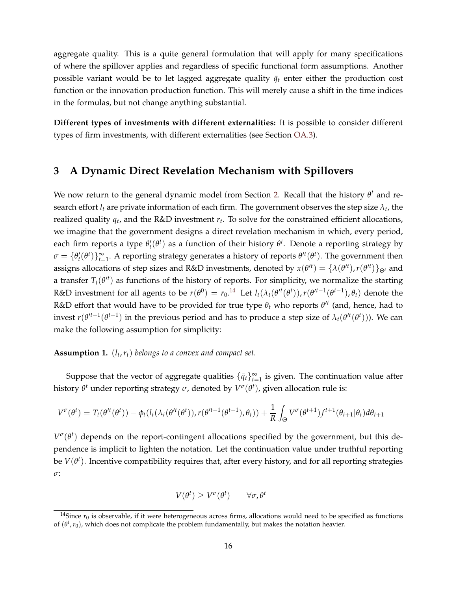aggregate quality. This is a quite general formulation that will apply for many specifications of where the spillover applies and regardless of specific functional form assumptions. Another possible variant would be to let lagged aggregate quality  $\bar{q}_t$  enter either the production cost function or the innovation production function. This will merely cause a shift in the time indices in the formulas, but not change anything substantial.

**Different types of investments with different externalities:** It is possible to consider different types of firm investments, with different externalities (see Section [OA.3\)](#page-50-0).

## <span id="page-15-0"></span>**3 A Dynamic Direct Revelation Mechanism with Spillovers**

We now return to the general dynamic model from Section [2.](#page-5-0) Recall that the history  $θ<sup>t</sup>$  and research effort  $l_t$  are private information of each firm. The government observes the step size  $\lambda_t$ , the realized quality *q<sup>t</sup>* , and the R&D investment *r<sup>t</sup>* . To solve for the constrained efficient allocations, we imagine that the government designs a direct revelation mechanism in which, every period, each firm reports a type  $\theta'_t(\theta^t)$  as a function of their history  $\theta^t$ . Denote a reporting strategy by  $\sigma = \{\theta'_t(\theta^t)\}_{t=1}^{\infty}$ . A reporting strategy generates a history of reports  $\theta'^t(\theta^t)$ . The government then assigns allocations of step sizes and R&D investments, denoted by  $x(\theta^{t}) = \{\lambda(\theta^{t}), r(\theta^{t})\}_{\Theta^t}$  and a transfer  $T_t(\theta'^t)$  as functions of the history of reports. For simplicity, we normalize the starting R&D investment for all agents to be  $r(\theta^0)=r_0.^{14}$  $r(\theta^0)=r_0.^{14}$  $r(\theta^0)=r_0.^{14}$  Let  $l_t(\lambda_t(\theta'^t(\theta^t)), r(\theta'^{t-1}(\theta^{t-1}), \theta_t)$  denote the R&D effort that would have to be provided for true type  $\theta_t$  who reports  $\theta'^t$  (and, hence, had to invest  $r(\theta'^{t-1}(\theta^{t-1})$  in the previous period and has to produce a step size of  $\lambda_t(\theta'^t(\theta^t)))$ . We can make the following assumption for simplicity:

### <span id="page-15-1"></span>**Assumption 1.** (*l<sup>t</sup>* ,*rt*) *belongs to a convex and compact set.*

Suppose that the vector of aggregate qualities  ${\{\bar{q}_t\}}_{t=1}^{\infty}$  is given. The continuation value after history  $θ<sup>t</sup>$  under reporting strategy  $σ$ , denoted by  $V<sup>σ</sup>(θ<sup>t</sup>)$ , given allocation rule is:

$$
V^{\sigma}(\theta^t) = T_t(\theta'^t(\theta^t)) - \phi_t(l_t(\lambda_t(\theta'^t(\theta^t)), r(\theta'^{t-1}(\theta^{t-1}), \theta_t)) + \frac{1}{R} \int_{\Theta} V^{\sigma}(\theta^{t+1}) f^{t+1}(\theta_{t+1}|\theta_t) d\theta_{t+1}
$$

*V σ* (*θ t* ) depends on the report-contingent allocations specified by the government, but this dependence is implicit to lighten the notation. Let the continuation value under truthful reporting be  $V(\theta^t)$ . Incentive compatibility requires that, after every history, and for all reporting strategies *σ*:

$$
V(\theta^t) \geq V^{\sigma}(\theta^t) \qquad \forall \sigma, \theta^t
$$

<sup>&</sup>lt;sup>14</sup>Since  $r_0$  is observable, if it were heterogeneous across firms, allocations would need to be specified as functions of  $(\theta^t, r_0)$ , which does not complicate the problem fundamentally, but makes the notation heavier.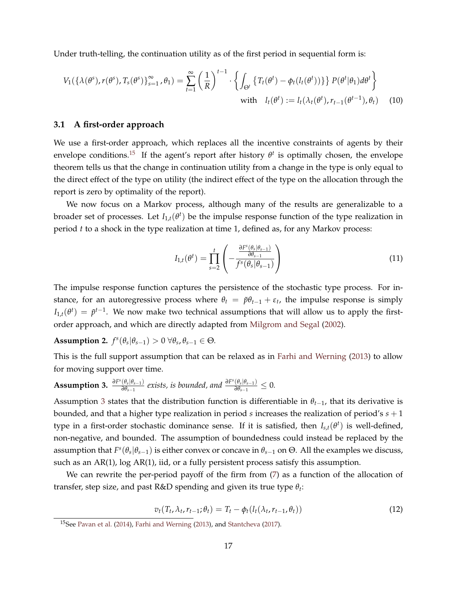Under truth-telling, the continuation utility as of the first period in sequential form is:

<span id="page-16-1"></span>
$$
V_1(\{\lambda(\theta^s), r(\theta^s), T_s(\theta^s)\}_{s=1}^\infty, \theta_1) = \sum_{t=1}^\infty \left(\frac{1}{R}\right)^{t-1} \cdot \left\{ \int_{\Theta^t} \left\{ T_t(\theta^t) - \phi_t(l_t(\theta^t)) \right\} \right\} P(\theta^t | \theta_1) d\theta^t \right\}
$$
  
with  $l_t(\theta^t) := l_t(\lambda_t(\theta^t), r_{t-1}(\theta^{t-1}), \theta_t)$  (10)

#### **3.1 A first-order approach**

We use a first-order approach, which replaces all the incentive constraints of agents by their envelope conditions.<sup>[15](#page-0-0)</sup> If the agent's report after history  $\theta^t$  is optimally chosen, the envelope theorem tells us that the change in continuation utility from a change in the type is only equal to the direct effect of the type on utility (the indirect effect of the type on the allocation through the report is zero by optimality of the report).

We now focus on a Markov process, although many of the results are generalizable to a broader set of processes. Let  $I_{1,t}(\theta^t)$  be the impulse response function of the type realization in period *t* to a shock in the type realization at time 1, defined as, for any Markov process:

$$
I_{1,t}(\theta^t) = \prod_{s=2}^t \left( -\frac{\frac{\partial F^s(\theta_s | \theta_{s-1})}{\partial \theta_{s-1}}}{f^s(\theta_s | \theta_{s-1})} \right)
$$
(11)

The impulse response function captures the persistence of the stochastic type process. For instance, for an autoregressive process where  $\theta_t = \tilde{p}\theta_{t-1} + \varepsilon_t$ , the impulse response is simply  $I_{1,t}(\theta^t) = \tilde{p}^{t-1}$ . We now make two technical assumptions that will allow us to apply the firstorder approach, and which are directly adapted from [Milgrom and Segal](#page-43-16) [\(2002\)](#page-43-16).

**Assumption 2.**  $f^s(\theta_s|\theta_{s-1}) > 0 \ \forall \theta_s, \theta_{s-1} \in \Theta$ .

This is the full support assumption that can be relaxed as in [Farhi and Werning](#page-42-0) [\(2013\)](#page-42-0) to allow for moving support over time.

<span id="page-16-0"></span>**Assumption 3.** 
$$
\frac{\partial F^s(\theta_s | \theta_{s-1})}{\partial \theta_{s-1}}
$$
 exists, is bounded, and  $\frac{\partial F^s(\theta_s | \theta_{s-1})}{\partial \theta_{s-1}} \leq 0$ .

Assumption [3](#page-16-0) states that the distribution function is differentiable in  $\theta_{t-1}$ , that its derivative is bounded, and that a higher type realization in period *s* increases the realization of period's *s* + 1 type in a first-order stochastic dominance sense. If it is satisfied, then  $I_{s,t}(\theta^t)$  is well-defined, non-negative, and bounded. The assumption of boundedness could instead be replaced by the assumption that  $F^s(\theta_s|\theta_{s-1})$  is either convex or concave in  $\theta_{s-1}$  on  $\Theta$ . All the examples we discuss, such as an AR(1), log AR(1), iid, or a fully persistent process satisfy this assumption.

We can rewrite the per-period payoff of the firm from [\(7\)](#page-10-0) as a function of the allocation of transfer, step size, and past R&D spending and given its true type *θ<sup>t</sup>* :

$$
v_t(T_t, \lambda_t, r_{t-1}; \theta_t) = T_t - \phi_t(I_t(\lambda_t, r_{t-1}, \theta_t))
$$
\n(12)

<sup>15</sup>See [Pavan et al.](#page-43-9) [\(2014\)](#page-43-9), [Farhi and Werning](#page-42-0) [\(2013\)](#page-42-0), and [Stantcheva](#page-43-8) [\(2017\)](#page-43-8).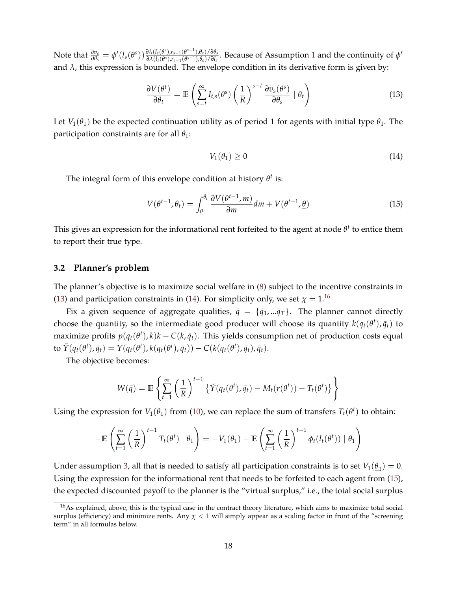Note that  $\frac{\partial v_s}{\partial \theta_s} = \phi'(l_s(\theta^s)) \frac{\partial \lambda(l_s(\theta^s), r_{s-1}(\theta^{s-1}), \theta_s) / \partial \theta_s}{\partial \lambda(l_t(\theta^s), r_{s-1}(\theta^{s-1}), \theta_s) / \partial l_s}$  $\frac{\partial \lambda(t_s(v))}{\partial \lambda(t_l(\theta^s),r_{s-1}(\theta^{s-1}),\theta_s)/\partial l_s}$  $\frac{\partial \lambda(t_s(v))}{\partial \lambda(t_l(\theta^s),r_{s-1}(\theta^{s-1}),\theta_s)/\partial l_s}$  $\frac{\partial \lambda(t_s(v))}{\partial \lambda(t_l(\theta^s),r_{s-1}(\theta^{s-1}),\theta_s)/\partial l_s}$ . Because of Assumption 1 and the continuity of  $\phi'$ and  $\lambda$ , this expression is bounded. The envelope condition in its derivative form is given by:

$$
\frac{\partial V(\theta^t)}{\partial \theta_t} = \mathbb{E}\left(\sum_{s=t}^{\infty} I_{t,s}(\theta^s) \left(\frac{1}{R}\right)^{s-t} \frac{\partial v_s(\theta^s)}{\partial \theta_s} \mid \theta_t\right)
$$
(13)

Let  $V_1(\theta_1)$  be the expected continuation utility as of period 1 for agents with initial type  $\theta_1$ . The participation constraints are for all *θ*1:

<span id="page-17-2"></span><span id="page-17-1"></span><span id="page-17-0"></span>
$$
V_1(\theta_1) \ge 0 \tag{14}
$$

The integral form of this envelope condition at history *θ t* is:

$$
V(\theta^{t-1}, \theta_t) = \int_{\underline{\theta}}^{\theta_t} \frac{\partial V(\theta^{t-1}, m)}{\partial m} dm + V(\theta^{t-1}, \underline{\theta})
$$
(15)

This gives an expression for the informational rent forfeited to the agent at node  $\theta^t$  to entice them to report their true type.

#### **3.2 Planner's problem**

The planner's objective is to maximize social welfare in [\(8\)](#page-10-1) subject to the incentive constraints in [\(13\)](#page-17-0) and participation constraints in [\(14\)](#page-17-1). For simplicity only, we set  $\chi = 1$ .<sup>[16](#page-0-0)</sup>

Fix a given sequence of aggregate qualities,  $\bar{q} = {\bar{q}_1, \dots, \bar{q}_T}$ . The planner cannot directly choose the quantity, so the intermediate good producer will choose its quantity  $k(q_t(\theta^t), \bar{q}_t)$  to maximize profits  $p(q_t(\theta^t), k)k - C(k, \bar{q}_t)$ . This yields consumption net of production costs equal to  $\tilde{Y}(q_t(\theta^t),\bar{q}_t) = Y(q_t(\theta^t),k(q_t(\theta^t),\bar{q}_t)) - C(k(q_t(\theta^t),\bar{q}_t),\bar{q}_t).$ 

The objective becomes:

$$
W(\bar{q}) = \mathbb{E}\left\{\sum_{t=1}^{\infty} \left(\frac{1}{R}\right)^{t-1} \left\{\tilde{Y}(q_t(\theta^t), \bar{q}_t) - M_t(r(\theta^t)) - T_t(\theta^t)\right\}\right\}
$$

Using the expression for  $V_1(\theta_1)$  from [\(10\)](#page-16-1), we can replace the sum of transfers  $T_t(\theta^t)$  to obtain:

$$
-\mathbb{E}\left(\sum_{t=1}^{\infty}\left(\frac{1}{R}\right)^{t-1}T_t(\theta^t)\mid\theta_1\right)=-V_1(\theta_1)-\mathbb{E}\left(\sum_{t=1}^{\infty}\left(\frac{1}{R}\right)^{t-1}\phi_t(l_t(\theta^t))\mid\theta_1\right)
$$

Under assumption [3,](#page-16-0) all that is needed to satisfy all participation constraints is to set  $V_1(\underline{\theta}_1)=0$ . Using the expression for the informational rent that needs to be forfeited to each agent from [\(15\)](#page-17-2), the expected discounted payoff to the planner is the "virtual surplus," i.e., the total social surplus

<sup>&</sup>lt;sup>16</sup>As explained, above, this is the typical case in the contract theory literature, which aims to maximize total social surplus (efficiency) and minimize rents. Any  $\chi$  < 1 will simply appear as a scaling factor in front of the "screening" term" in all formulas below.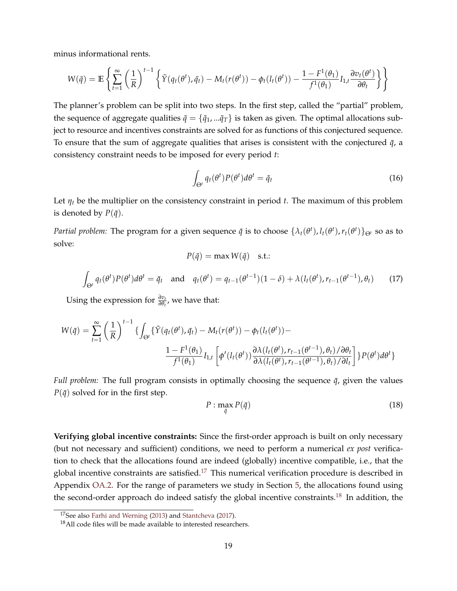minus informational rents.

$$
W(\bar{q}) = \mathbb{E}\left\{\sum_{t=1}^{\infty} \left(\frac{1}{R}\right)^{t-1} \left\{\tilde{Y}(q_t(\theta^t), \bar{q}_t) - M_t(r(\theta^t)) - \phi_t(l_t(\theta^t)) - \frac{1 - F^1(\theta_1)}{f^1(\theta_1)}I_{1,t} \frac{\partial v_t(\theta^t)}{\partial \theta_t}\right\}\right\}
$$

The planner's problem can be split into two steps. In the first step, called the "partial" problem, the sequence of aggregate qualities  $\bar{q} = {\bar{q}_1, \dots, \bar{q}_T}$  is taken as given. The optimal allocations subject to resource and incentives constraints are solved for as functions of this conjectured sequence. To ensure that the sum of aggregate qualities that arises is consistent with the conjectured  $\bar{q}$ , a consistency constraint needs to be imposed for every period *t*:

$$
\int_{\Theta^t} q_t(\theta^t) P(\theta^t) d\theta^t = \bar{q}_t \tag{16}
$$

Let  $\eta_t$  be the multiplier on the consistency constraint in period *t*. The maximum of this problem is denoted by  $P(\bar{q})$ .

*Partial problem:* The program for a given sequence  $\bar{q}$  is to choose  $\{\lambda_t(\theta^t), l_t(\theta^t), r_t(\theta^t)\}_{\Theta^t}$  so as to solve:

$$
P(\bar{q}) = \max W(\bar{q}) \quad \text{s.t.:}
$$

$$
\int_{\Theta^t} q_t(\theta^t) P(\theta^t) d\theta^t = \bar{q}_t \quad \text{and} \quad q_t(\theta^t) = q_{t-1}(\theta^{t-1})(1-\delta) + \lambda (l_t(\theta^t), r_{t-1}(\theta^{t-1}), \theta_t) \tag{17}
$$

Using the expression for *<sup>∂</sup>v<sup>t</sup> ∂θt* , we have that:

$$
W(\bar{q}) = \sum_{t=1}^{\infty} \left(\frac{1}{R}\right)^{t-1} \left\{ \int_{\Theta^t} \left\{ \tilde{Y}(q_t(\theta^t), \bar{q}_t) - M_t(r(\theta^t)) - \phi_t(l_t(\theta^t)) - \frac{1 - F^1(\theta_1)}{f^1(\theta_1)} I_{1,t} \left[ \phi'(l_t(\theta^t)) \frac{\partial \lambda(l_t(\theta^t), r_{t-1}(\theta^{t-1}), \theta_t) / \partial \theta_t}{\partial \lambda(l_t(\theta^t), r_{t-1}(\theta^{t-1}), \theta_t) / \partial l_t} \right] \right\} P(\theta^t) d\theta^t \right\}
$$

*Full problem:* The full program consists in optimally choosing the sequence  $\bar{q}$ , given the values  $P(\bar{q})$  solved for in the first step.

<span id="page-18-0"></span>
$$
P: \max_{\bar{q}} P(\bar{q}) \tag{18}
$$

**Verifying global incentive constraints:** Since the first-order approach is built on only necessary (but not necessary and sufficient) conditions, we need to perform a numerical *ex post* verification to check that the allocations found are indeed (globally) incentive compatible, i.e., that the global incentive constraints are satisfied.<sup>[17](#page-0-0)</sup> This numerical verification procedure is described in Appendix [OA.2.](#page-54-0) For the range of parameters we study in Section [5,](#page-27-0) the allocations found using the second-order approach do indeed satisfy the global incentive constraints.<sup>[18](#page-0-0)</sup> In addition, the

<sup>17</sup>See also [Farhi and Werning](#page-42-0) [\(2013\)](#page-42-0) and [Stantcheva](#page-43-8) [\(2017\)](#page-43-8).

 $18$ All code files will be made available to interested researchers.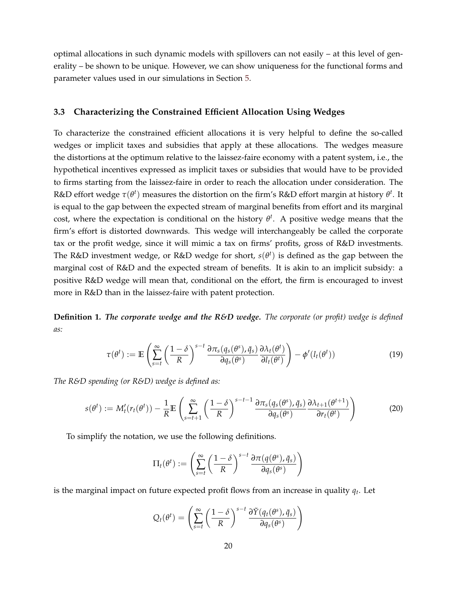optimal allocations in such dynamic models with spillovers can not easily – at this level of generality – be shown to be unique. However, we can show uniqueness for the functional forms and parameter values used in our simulations in Section [5.](#page-27-0)

#### **3.3 Characterizing the Constrained Efficient Allocation Using Wedges**

To characterize the constrained efficient allocations it is very helpful to define the so-called wedges or implicit taxes and subsidies that apply at these allocations. The wedges measure the distortions at the optimum relative to the laissez-faire economy with a patent system, i.e., the hypothetical incentives expressed as implicit taxes or subsidies that would have to be provided to firms starting from the laissez-faire in order to reach the allocation under consideration. The R&D effort wedge  $\tau(\theta^t)$  measures the distortion on the firm's R&D effort margin at history  $\theta^t$ . It is equal to the gap between the expected stream of marginal benefits from effort and its marginal cost, where the expectation is conditional on the history  $\theta^t$ . A positive wedge means that the firm's effort is distorted downwards. This wedge will interchangeably be called the corporate tax or the profit wedge, since it will mimic a tax on firms' profits, gross of R&D investments. The R&D investment wedge, or R&D wedge for short, *s*(*θ t* ) is defined as the gap between the marginal cost of R&D and the expected stream of benefits. It is akin to an implicit subsidy: a positive R&D wedge will mean that, conditional on the effort, the firm is encouraged to invest more in R&D than in the laissez-faire with patent protection.

**Definition 1.** *The corporate wedge and the R&D wedge. The corporate (or profit) wedge is defined as:*

$$
\tau(\theta^t) := \mathbb{E}\left(\sum_{s=t}^{\infty} \left(\frac{1-\delta}{R}\right)^{s-t} \frac{\partial \pi_s(q_s(\theta^s), \bar{q}_s)}{\partial q_s(\theta^s)} \frac{\partial \lambda_t(\theta^t)}{\partial l_t(\theta^t)}\right) - \phi'(l_t(\theta^t))\tag{19}
$$

*The R&D spending (or R&D) wedge is defined as:*

$$
s(\theta^t) := M'_t(r_t(\theta^t)) - \frac{1}{R} \mathbb{E} \left( \sum_{s=t+1}^{\infty} \left( \frac{1-\delta}{R} \right)^{s-t-1} \frac{\partial \pi_s(q_s(\theta^s), \bar{q}_s)}{\partial q_s(\theta^s)} \frac{\partial \lambda_{t+1}(\theta^{t+1})}{\partial r_t(\theta^t)} \right)
$$
(20)

To simplify the notation, we use the following definitions.

$$
\Pi_t(\theta^t) := \left(\sum_{s=t}^{\infty} \left(\frac{1-\delta}{R}\right)^{s-t} \frac{\partial \pi(q(\theta^s), \bar{q}_s)}{\partial q_s(\theta^s)}\right)
$$

is the marginal impact on future expected profit flows from an increase in quality *q<sup>t</sup>* . Let

$$
Q_t(\theta^t) = \left(\sum_{s=t}^{\infty} \left(\frac{1-\delta}{R}\right)^{s-t} \frac{\partial \tilde{Y}(q_t(\theta^s), \bar{q}_s)}{\partial q_s(\theta^s)}\right)
$$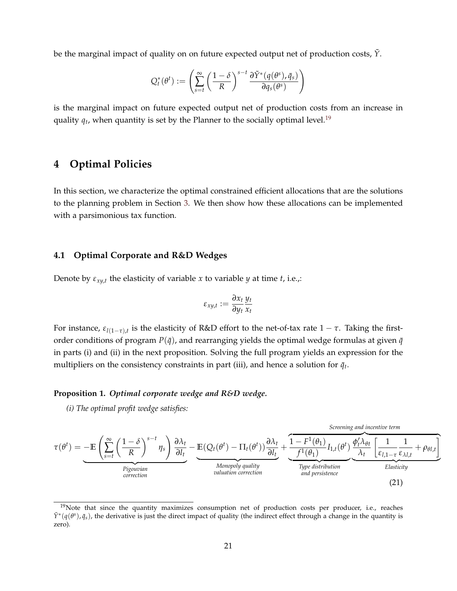be the marginal impact of quality on on future expected output net of production costs, *Y*˜.

$$
Q_t^*(\theta^t) := \left(\sum_{s=t}^{\infty} \left(\frac{1-\delta}{R}\right)^{s-t} \frac{\partial \tilde{Y}^*(q(\theta^s), \bar{q}_s)}{\partial q_s(\theta^s)}\right)
$$

is the marginal impact on future expected output net of production costs from an increase in quality  $q_t$ , when quantity is set by the Planner to the socially optimal level.<sup>[19](#page-0-0)</sup>

### <span id="page-20-0"></span>**4 Optimal Policies**

In this section, we characterize the optimal constrained efficient allocations that are the solutions to the planning problem in Section [3.](#page-15-0) We then show how these allocations can be implemented with a parsimonious tax function.

#### **4.1 Optimal Corporate and R&D Wedges**

Denote by *εxy*,*<sup>t</sup>* the elasticity of variable *x* to variable *y* at time *t*, i.e.,:

<span id="page-20-2"></span>
$$
\varepsilon_{xy,t} := \frac{\partial x_t}{\partial y_t} \frac{y_t}{x_t}
$$

For instance, *εl*(1−*τ*),*<sup>t</sup>* is the elasticity of R&D effort to the net-of-tax rate 1 − *τ*. Taking the firstorder conditions of program  $P(\bar{q})$ , and rearranging yields the optimal wedge formulas at given  $\bar{q}$ in parts (i) and (ii) in the next proposition. Solving the full program yields an expression for the multipliers on the consistency constraints in part (iii), and hence a solution for  $\bar{q}_t$ .

#### <span id="page-20-1"></span>**Proposition 1.** *Optimal corporate wedge and R&D wedge.*

*(i) The optimal profit wedge satisfies:*

*Screening and incentive term*  
\n
$$
\tau(\theta^t) = -\mathbb{E}\left(\sum_{s=t}^{\infty} \left(\frac{1-\delta}{R}\right)^{s-t} \eta_s\right) \frac{\partial \lambda_t}{\partial l_t} - \underbrace{\mathbb{E}(Q_t(\theta^t) - \Pi_t(\theta^t)) \frac{\partial \lambda_t}{\partial l_t}}_{\text{Monopoly quality}} + \underbrace{\frac{1-F^1(\theta_1)}{f^1(\theta_1)} I_{1,t}(\theta^t) \frac{\phi_t^t \lambda_{\theta t}}{\lambda_t} \left[\frac{1}{\varepsilon_{l,1-\tau} \varepsilon_{\lambda l,t}} + \rho_{\theta l,t}\right]}_{\text{Elasticity}}\right)
$$
\n
$$
\underbrace{\frac{\text{Screening and incentive term}}{\lambda_t}}_{\text{crrection}} \tag{21}
$$

<sup>&</sup>lt;sup>19</sup>Note that since the quantity maximizes consumption net of production costs per producer, i.e., reaches  $\tilde{Y}^*(q(\theta^s), \bar{q}_s)$ , the derivative is just the direct impact of quality (the indirect effect through a change in the quantity is zero).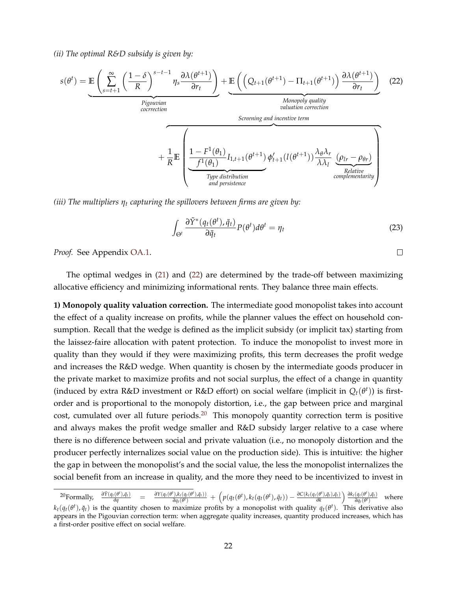*(ii) The optimal R&D subsidy is given by:*

<span id="page-21-0"></span>
$$
s(\theta^{t}) = \underbrace{\mathbb{E}\left(\sum_{s=t+1}^{\infty} \left(\frac{1-\delta}{R}\right)^{s-t-1} \eta_{s} \frac{\partial \lambda(\theta^{t+1})}{\partial r_{t}}\right)}_{\text{Pigouvian}} + \underbrace{\mathbb{E}\left(\left(Q_{t+1}(\theta^{t+1}) - \Pi_{t+1}(\theta^{t+1})\right) \frac{\partial \lambda(\theta^{t+1})}{\partial r_{t}}\right)}_{\text{Soreening and incentive term}} + \frac{1}{R} \underbrace{\mathbb{E}\left(\sum_{t=1}^{\text{Pigouvian}} \frac{1}{\text{Soreening and incentive term}}\right)}_{\text{mype distribution}} + \underbrace{\frac{1}{\text{R}} \left(\sum_{t=1}^{\text{Pigouvian}} \frac{1}{\text{Pigouvian}}\right)}_{\text{impulation}} \underbrace{\left(\sum_{t=1}^{\text{Pigouvian}} \frac{1}{\text{Pigouvian}}\right)}_{\text{impulation}} \underbrace{\left(\sum_{t=1}^{\text{Pigouvian}} \frac{1}{\text{Pigouvian}}\right)}_{\text{complementarity}}
$$

*(iii) The multipliers η<sup>t</sup> capturing the spillovers between firms are given by:*

$$
\int_{\Theta^t} \frac{\partial \tilde{Y}^*(q_t(\theta^t), \bar{q}_t)}{\partial \bar{q}_t} P(\theta^t) d\theta^t = \eta_t \tag{23}
$$

*Proof.* See Appendix [OA.1.](#page-47-0)

The optimal wedges in [\(21\)](#page-20-2) and [\(22\)](#page-21-0) are determined by the trade-off between maximizing allocative efficiency and minimizing informational rents. They balance three main effects.

**1) Monopoly quality valuation correction.** The intermediate good monopolist takes into account the effect of a quality increase on profits, while the planner values the effect on household consumption. Recall that the wedge is defined as the implicit subsidy (or implicit tax) starting from the laissez-faire allocation with patent protection. To induce the monopolist to invest more in quality than they would if they were maximizing profits, this term decreases the profit wedge and increases the R&D wedge. When quantity is chosen by the intermediate goods producer in the private market to maximize profits and not social surplus, the effect of a change in quantity (induced by extra R&D investment or R&D effort) on social welfare (implicit in  $Q_t(\theta^t)$ ) is firstorder and is proportional to the monopoly distortion, i.e., the gap between price and marginal cost, cumulated over all future periods. $20$  This monopoly quantity correction term is positive and always makes the profit wedge smaller and R&D subsidy larger relative to a case where there is no difference between social and private valuation (i.e., no monopoly distortion and the producer perfectly internalizes social value on the production side). This is intuitive: the higher the gap in between the monopolist's and the social value, the less the monopolist internalizes the social benefit from an increase in quality, and the more they need to be incentivized to invest in

 $\Box$ 

<sup>20</sup>Formally, *<sup>∂</sup>Y*˜(*qt*(*<sup>θ</sup>*  $\frac{\partial}{\partial q}$  =  $\frac{d\theta}{dx}$  =  $\frac{d\theta}{dx}$  =  $\frac{d\theta}{dx}$  =  $\frac{d\theta}{dx}$  =  $\frac{d\theta}{dx}$  =  $\frac{d\theta}{dx}$  =  $\frac{d\theta}{dx}$  =  $\frac{d\theta}{dx}$  =  $\frac{d\theta}{dx}$  =  $\frac{d\theta}{dx}$  =  $\frac{d\theta}{dx}$  =  $\frac{d\theta}{dx}$  =  $\frac{d\theta}{dx}$  =  $\frac{d\theta}{dx}$  =  $\frac{d\theta}{dx}$  $\partial Y(q_t(\theta^t), k_t(q_t(\theta^t), \bar{q}_t))$  $\sqrt{\frac{\partial h_t(q_t(\theta^t),\bar{q}_t)}{\partial q_t(\theta^t)}} + (p(q_t(\theta^t),k_t(q_t(\theta^t),\bar{q}_t)) - \frac{\partial C(k_t(q_t(\theta^t),\bar{q}_t),\bar{q}_t)}{\partial k}$ *∂k*  $\partial k_t(q_t(\theta^t), \bar{q}_t)$  $\frac{\partial q_t(\theta^t)}{\partial q_t(\theta^t)}$  where  $k_t(q_t(\theta^t),\bar{q}_t)$  is the quantity chosen to maximize profits by a monopolist with quality  $q_t(\theta^t)$ . This derivative also appears in the Pigouvian correction term: when aggregate quality increases, quantity produced increases, which has a first-order positive effect on social welfare.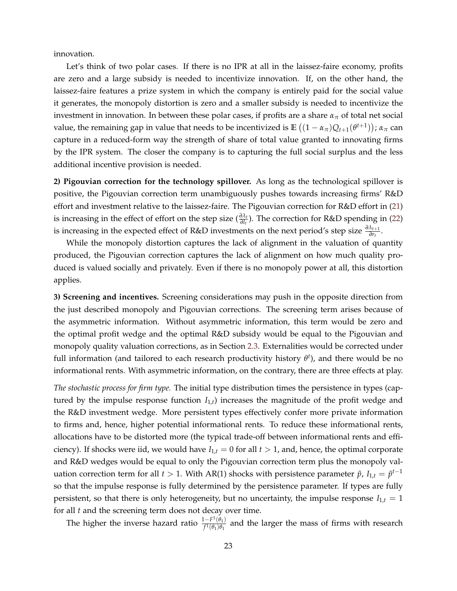innovation.

Let's think of two polar cases. If there is no IPR at all in the laissez-faire economy, profits are zero and a large subsidy is needed to incentivize innovation. If, on the other hand, the laissez-faire features a prize system in which the company is entirely paid for the social value it generates, the monopoly distortion is zero and a smaller subsidy is needed to incentivize the investment in innovation. In between these polar cases, if profits are a share  $\alpha_{\pi}$  of total net social value, the remaining gap in value that needs to be incentivized is  $\mathbb{E}((1-\alpha_{\pi})Q_{t+1}(\theta^{t+1}))$ ;  $\alpha_{\pi}$  can capture in a reduced-form way the strength of share of total value granted to innovating firms by the IPR system. The closer the company is to capturing the full social surplus and the less additional incentive provision is needed.

**2) Pigouvian correction for the technology spillover.** As long as the technological spillover is positive, the Pigouvian correction term unambiguously pushes towards increasing firms' R&D effort and investment relative to the laissez-faire. The Pigouvian correction for R&D effort in [\(21\)](#page-20-2) is increasing in the effect of effort on the step size  $(\frac{\partial \lambda_t}{\partial l_t})$ . The correction for R&D spending in [\(22\)](#page-21-0) is increasing in the expected effect of R&D investments on the next period's step size  $\frac{\partial \lambda_{t+1}}{\partial r_t}$ .

While the monopoly distortion captures the lack of alignment in the valuation of quantity produced, the Pigouvian correction captures the lack of alignment on how much quality produced is valued socially and privately. Even if there is no monopoly power at all, this distortion applies.

**3) Screening and incentives.** Screening considerations may push in the opposite direction from the just described monopoly and Pigouvian corrections. The screening term arises because of the asymmetric information. Without asymmetric information, this term would be zero and the optimal profit wedge and the optimal R&D subsidy would be equal to the Pigouvian and monopoly quality valuation corrections, as in Section [2.3.](#page-10-2) Externalities would be corrected under full information (and tailored to each research productivity history *θ t* ), and there would be no informational rents. With asymmetric information, on the contrary, there are three effects at play.

*The stochastic process for firm type.* The initial type distribution times the persistence in types (captured by the impulse response function  $I_{1,t}$ ) increases the magnitude of the profit wedge and the R&D investment wedge. More persistent types effectively confer more private information to firms and, hence, higher potential informational rents. To reduce these informational rents, allocations have to be distorted more (the typical trade-off between informational rents and efficiency). If shocks were iid, we would have  $I_{1,t} = 0$  for all  $t > 1$ , and, hence, the optimal corporate and R&D wedges would be equal to only the Pigouvian correction term plus the monopoly valuation correction term for all *t* > 1. With AR(1) shocks with persistence parameter  $\tilde{p}$ ,  $I_{1,t} = \tilde{p}^{t-1}$ so that the impulse response is fully determined by the persistence parameter. If types are fully persistent, so that there is only heterogeneity, but no uncertainty, the impulse response  $I_{1,t} = 1$ for all *t* and the screening term does not decay over time.

The higher the inverse hazard ratio  $\frac{1-F^1(\theta_1)}{f^1(\theta_1)\theta_2}$  $\frac{(-F'(0))}{f^1(\theta_1)\theta_1}$  and the larger the mass of firms with research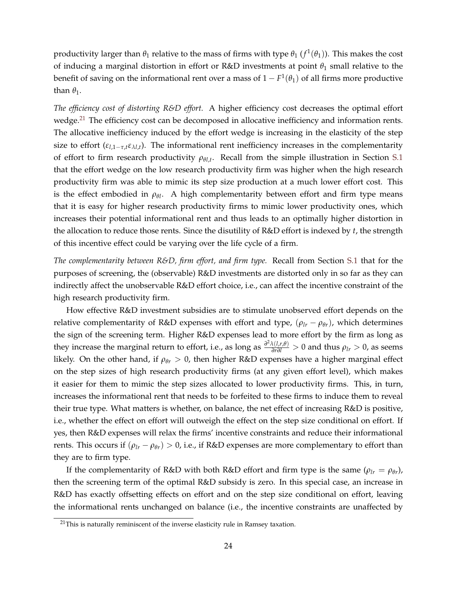productivity larger than  $\theta_1$  relative to the mass of firms with type  $\theta_1$   $(f^1(\theta_1))$ . This makes the cost of inducing a marginal distortion in effort or R&D investments at point  $\theta_1$  small relative to the benefit of saving on the informational rent over a mass of  $1-F^1(\theta_1)$  of all firms more productive than  $\theta_1$ .

*The efficiency cost of distorting R&D effort.* A higher efficiency cost decreases the optimal effort wedge.<sup>[21](#page-0-0)</sup> The efficiency cost can be decomposed in allocative inefficiency and information rents. The allocative inefficiency induced by the effort wedge is increasing in the elasticity of the step size to effort ( $\varepsilon_{l,1-\tau,t} \varepsilon_{\lambda l,t}$ ). The informational rent inefficiency increases in the complementarity of effort to firm research productivity  $\rho_{\theta l,t}$ . Recall from the simple illustration in Section [S.1](#page-47-0) that the effort wedge on the low research productivity firm was higher when the high research productivity firm was able to mimic its step size production at a much lower effort cost. This is the effect embodied in  $\rho_{\theta l}$ . A high complementarity between effort and firm type means that it is easy for higher research productivity firms to mimic lower productivity ones, which increases their potential informational rent and thus leads to an optimally higher distortion in the allocation to reduce those rents. Since the disutility of R&D effort is indexed by *t*, the strength of this incentive effect could be varying over the life cycle of a firm.

*The complementarity between R&D, firm effort, and firm type.* Recall from Section [S.1](#page-47-0) that for the purposes of screening, the (observable) R&D investments are distorted only in so far as they can indirectly affect the unobservable R&D effort choice, i.e., can affect the incentive constraint of the high research productivity firm.

How effective R&D investment subsidies are to stimulate unobserved effort depends on the relative complementarity of R&D expenses with effort and type,  $(\rho_{lr} - \rho_{\theta r})$ , which determines the sign of the screening term. Higher R&D expenses lead to more effort by the firm as long as they increase the marginal return to effort, i.e., as long as  $\frac{\partial^2 \lambda(l,r,\theta)}{\partial r \partial l} > 0$  and thus  $\rho_{lr} > 0$ , as seems likely. On the other hand, if  $\rho_{\theta r} > 0$ , then higher R&D expenses have a higher marginal effect on the step sizes of high research productivity firms (at any given effort level), which makes it easier for them to mimic the step sizes allocated to lower productivity firms. This, in turn, increases the informational rent that needs to be forfeited to these firms to induce them to reveal their true type. What matters is whether, on balance, the net effect of increasing R&D is positive, i.e., whether the effect on effort will outweigh the effect on the step size conditional on effort. If yes, then R&D expenses will relax the firms' incentive constraints and reduce their informational rents. This occurs if  $(\rho_{lr} - \rho_{\theta r}) > 0$ , i.e., if R&D expenses are more complementary to effort than they are to firm type.

If the complementarity of R&D with both R&D effort and firm type is the same ( $\rho_{lr} = \rho_{\theta r}$ ), then the screening term of the optimal R&D subsidy is zero. In this special case, an increase in R&D has exactly offsetting effects on effort and on the step size conditional on effort, leaving the informational rents unchanged on balance (i.e., the incentive constraints are unaffected by

 $21$ This is naturally reminiscent of the inverse elasticity rule in Ramsey taxation.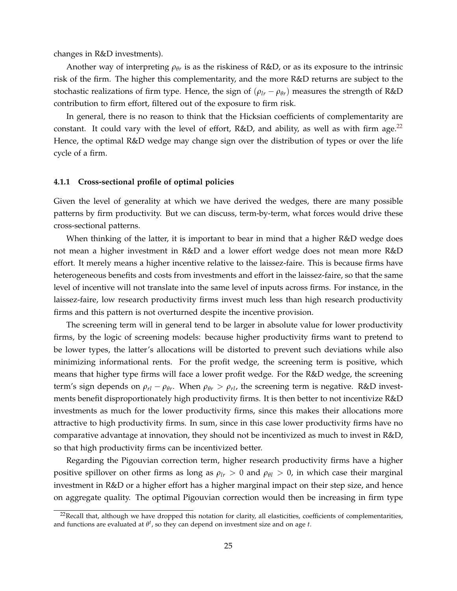changes in R&D investments).

Another way of interpreting *ρθ<sup>r</sup>* is as the riskiness of R&D, or as its exposure to the intrinsic risk of the firm. The higher this complementarity, and the more R&D returns are subject to the stochastic realizations of firm type. Hence, the sign of  $(\rho_{lr} - \rho_{\theta r})$  measures the strength of R&D contribution to firm effort, filtered out of the exposure to firm risk.

In general, there is no reason to think that the Hicksian coefficients of complementarity are constant. It could vary with the level of effort,  $R&D$ , and ability, as well as with firm age.<sup>[22](#page-0-0)</sup> Hence, the optimal R&D wedge may change sign over the distribution of types or over the life cycle of a firm.

#### **4.1.1 Cross-sectional profile of optimal policies**

Given the level of generality at which we have derived the wedges, there are many possible patterns by firm productivity. But we can discuss, term-by-term, what forces would drive these cross-sectional patterns.

When thinking of the latter, it is important to bear in mind that a higher R&D wedge does not mean a higher investment in R&D and a lower effort wedge does not mean more R&D effort. It merely means a higher incentive relative to the laissez-faire. This is because firms have heterogeneous benefits and costs from investments and effort in the laissez-faire, so that the same level of incentive will not translate into the same level of inputs across firms. For instance, in the laissez-faire, low research productivity firms invest much less than high research productivity firms and this pattern is not overturned despite the incentive provision.

The screening term will in general tend to be larger in absolute value for lower productivity firms, by the logic of screening models: because higher productivity firms want to pretend to be lower types, the latter's allocations will be distorted to prevent such deviations while also minimizing informational rents. For the profit wedge, the screening term is positive, which means that higher type firms will face a lower profit wedge. For the R&D wedge, the screening term's sign depends on  $\rho_{rl} - \rho_{\theta r}$ . When  $\rho_{\theta r} > \rho_{rl}$ , the screening term is negative. R&D investments benefit disproportionately high productivity firms. It is then better to not incentivize R&D investments as much for the lower productivity firms, since this makes their allocations more attractive to high productivity firms. In sum, since in this case lower productivity firms have no comparative advantage at innovation, they should not be incentivized as much to invest in R&D, so that high productivity firms can be incentivized better.

Regarding the Pigouvian correction term, higher research productivity firms have a higher positive spillover on other firms as long as  $\rho_{lr} > 0$  and  $\rho_{\theta l} > 0$ , in which case their marginal investment in R&D or a higher effort has a higher marginal impact on their step size, and hence on aggregate quality. The optimal Pigouvian correction would then be increasing in firm type

<sup>&</sup>lt;sup>22</sup>Recall that, although we have dropped this notation for clarity, all elasticities, coefficients of complementarities, and functions are evaluated at *θ t* , so they can depend on investment size and on age *t*.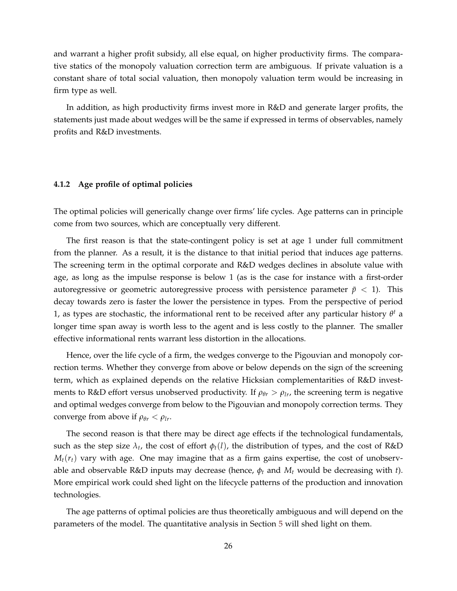and warrant a higher profit subsidy, all else equal, on higher productivity firms. The comparative statics of the monopoly valuation correction term are ambiguous. If private valuation is a constant share of total social valuation, then monopoly valuation term would be increasing in firm type as well.

In addition, as high productivity firms invest more in R&D and generate larger profits, the statements just made about wedges will be the same if expressed in terms of observables, namely profits and R&D investments.

#### **4.1.2 Age profile of optimal policies**

The optimal policies will generically change over firms' life cycles. Age patterns can in principle come from two sources, which are conceptually very different.

The first reason is that the state-contingent policy is set at age 1 under full commitment from the planner. As a result, it is the distance to that initial period that induces age patterns. The screening term in the optimal corporate and R&D wedges declines in absolute value with age, as long as the impulse response is below 1 (as is the case for instance with a first-order autoregressive or geometric autoregressive process with persistence parameter  $\tilde{p}$  < 1). This decay towards zero is faster the lower the persistence in types. From the perspective of period 1, as types are stochastic, the informational rent to be received after any particular history  $\theta^t$  a longer time span away is worth less to the agent and is less costly to the planner. The smaller effective informational rents warrant less distortion in the allocations.

Hence, over the life cycle of a firm, the wedges converge to the Pigouvian and monopoly correction terms. Whether they converge from above or below depends on the sign of the screening term, which as explained depends on the relative Hicksian complementarities of R&D investments to R&D effort versus unobserved productivity. If  $\rho_{\theta r} > \rho_{lr}$ , the screening term is negative and optimal wedges converge from below to the Pigouvian and monopoly correction terms. They converge from above if  $\rho_{\theta r} < \rho_{l r}$ .

The second reason is that there may be direct age effects if the technological fundamentals, such as the step size  $\lambda_t$ , the cost of effort  $\phi_t(l)$ , the distribution of types, and the cost of R&D  $M_t(r_t)$  vary with age. One may imagine that as a firm gains expertise, the cost of unobservable and observable R&D inputs may decrease (hence,  $\phi_t$  and  $M_t$  would be decreasing with *t*). More empirical work could shed light on the lifecycle patterns of the production and innovation technologies.

The age patterns of optimal policies are thus theoretically ambiguous and will depend on the parameters of the model. The quantitative analysis in Section [5](#page-27-0) will shed light on them.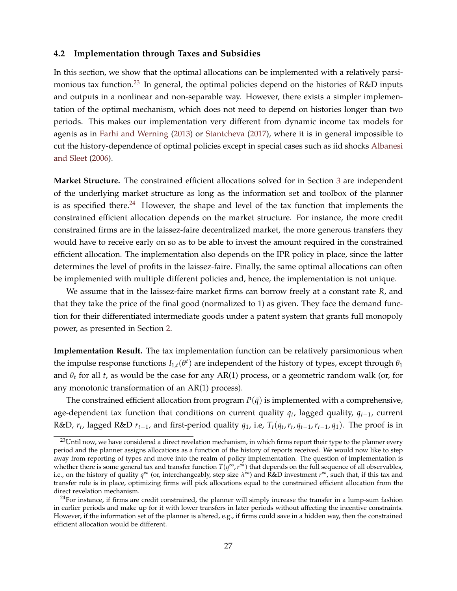#### <span id="page-26-0"></span>**4.2 Implementation through Taxes and Subsidies**

In this section, we show that the optimal allocations can be implemented with a relatively parsi-monious tax function.<sup>[23](#page-0-0)</sup> In general, the optimal policies depend on the histories of R&D inputs and outputs in a nonlinear and non-separable way. However, there exists a simpler implementation of the optimal mechanism, which does not need to depend on histories longer than two periods. This makes our implementation very different from dynamic income tax models for agents as in [Farhi and Werning](#page-42-0) [\(2013\)](#page-42-0) or [Stantcheva](#page-43-8) [\(2017\)](#page-43-8), where it is in general impossible to cut the history-dependence of optimal policies except in special cases such as iid shocks [Albanesi](#page-41-1) [and Sleet](#page-41-1) [\(2006\)](#page-41-1).

**Market Structure.** The constrained efficient allocations solved for in Section [3](#page-15-0) are independent of the underlying market structure as long as the information set and toolbox of the planner is as specified there.<sup>[24](#page-0-0)</sup> However, the shape and level of the tax function that implements the constrained efficient allocation depends on the market structure. For instance, the more credit constrained firms are in the laissez-faire decentralized market, the more generous transfers they would have to receive early on so as to be able to invest the amount required in the constrained efficient allocation. The implementation also depends on the IPR policy in place, since the latter determines the level of profits in the laissez-faire. Finally, the same optimal allocations can often be implemented with multiple different policies and, hence, the implementation is not unique.

We assume that in the laissez-faire market firms can borrow freely at a constant rate *R*, and that they take the price of the final good (normalized to 1) as given. They face the demand function for their differentiated intermediate goods under a patent system that grants full monopoly power, as presented in Section [2.](#page-5-0)

**Implementation Result.** The tax implementation function can be relatively parsimonious when the impulse response functions  $I_{1,t}(\theta^t)$  are independent of the history of types, except through  $\theta_1$ and  $\theta_t$  for all *t*, as would be the case for any AR(1) process, or a geometric random walk (or, for any monotonic transformation of an AR(1) process).

The constrained efficient allocation from program  $P(\bar{q})$  is implemented with a comprehensive, age-dependent tax function that conditions on current quality *q<sup>t</sup>* , lagged quality, *qt*−1, current R&D,  $r_t$ , lagged R&D  $r_{t-1}$ , and first-period quality  $q_1$ , i.e,  $T_t(q_t,r_t,q_{t-1},r_{t-1},q_1)$ . The proof is in

<sup>&</sup>lt;sup>23</sup>Until now, we have considered a direct revelation mechanism, in which firms report their type to the planner every period and the planner assigns allocations as a function of the history of reports received. We would now like to step away from reporting of types and move into the realm of policy implementation. The question of implementation is whether there is some general tax and transfer function  $T(q^{\infty},r^{\infty})$  that depends on the full sequence of all observables, i.e., on the history of quality *q* <sup>∞</sup> (or, interchangeably, step size *λ* <sup>∞</sup>) and R&D investment *r* <sup>∞</sup>, such that, if this tax and transfer rule is in place, optimizing firms will pick allocations equal to the constrained efficient allocation from the direct revelation mechanism.

 $24$ For instance, if firms are credit constrained, the planner will simply increase the transfer in a lump-sum fashion in earlier periods and make up for it with lower transfers in later periods without affecting the incentive constraints. However, if the information set of the planner is altered, e.g., if firms could save in a hidden way, then the constrained efficient allocation would be different.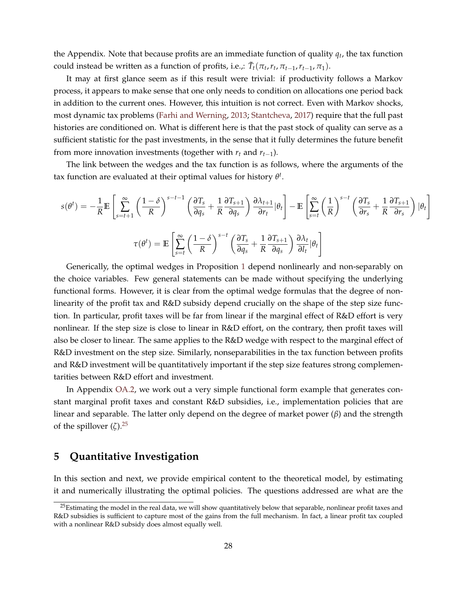the Appendix. Note that because profits are an immediate function of quality *q<sup>t</sup>* , the tax function could instead be written as a function of profits, i.e.,:  $\tilde{T}_t(\pi_t, r_t, \pi_{t-1}, r_{t-1}, \pi_1)$ .

It may at first glance seem as if this result were trivial: if productivity follows a Markov process, it appears to make sense that one only needs to condition on allocations one period back in addition to the current ones. However, this intuition is not correct. Even with Markov shocks, most dynamic tax problems [\(Farhi and Werning,](#page-42-0) [2013;](#page-42-0) [Stantcheva,](#page-43-8) [2017\)](#page-43-8) require that the full past histories are conditioned on. What is different here is that the past stock of quality can serve as a sufficient statistic for the past investments, in the sense that it fully determines the future benefit from more innovation investments (together with  $r_t$  and  $r_{t-1}$ ).

The link between the wedges and the tax function is as follows, where the arguments of the tax function are evaluated at their optimal values for history *θ t* .

$$
s(\theta^{t}) = -\frac{1}{R}\mathbb{E}\left[\sum_{s=t+1}^{\infty} \left(\frac{1-\delta}{R}\right)^{s-t-1} \left(\frac{\partial T_s}{\partial q_s} + \frac{1}{R}\frac{\partial T_{s+1}}{\partial q_s}\right) \frac{\partial \lambda_{t+1}}{\partial r_t}|\theta_t\right] - \mathbb{E}\left[\sum_{s=t}^{\infty} \left(\frac{1}{R}\right)^{s-t} \left(\frac{\partial T_s}{\partial r_s} + \frac{1}{R}\frac{\partial T_{s+1}}{\partial r_s}\right) |\theta_t\right]
$$

$$
\tau(\theta^{t}) = \mathbb{E}\left[\sum_{s=t}^{\infty} \left(\frac{1-\delta}{R}\right)^{s-t} \left(\frac{\partial T_s}{\partial q_s} + \frac{1}{R}\frac{\partial T_{s+1}}{\partial q_s}\right) \frac{\partial \lambda_t}{\partial l_t} |\theta_t\right]
$$

Generically, the optimal wedges in Proposition [1](#page-20-1) depend nonlinearly and non-separably on the choice variables. Few general statements can be made without specifying the underlying functional forms. However, it is clear from the optimal wedge formulas that the degree of nonlinearity of the profit tax and R&D subsidy depend crucially on the shape of the step size function. In particular, profit taxes will be far from linear if the marginal effect of R&D effort is very nonlinear. If the step size is close to linear in R&D effort, on the contrary, then profit taxes will also be closer to linear. The same applies to the R&D wedge with respect to the marginal effect of R&D investment on the step size. Similarly, nonseparabilities in the tax function between profits and R&D investment will be quantitatively important if the step size features strong complementarities between R&D effort and investment.

In Appendix [OA.2,](#page-49-0) we work out a very simple functional form example that generates constant marginal profit taxes and constant R&D subsidies, i.e., implementation policies that are linear and separable. The latter only depend on the degree of market power (*β*) and the strength of the spillover  $(\zeta)$ .<sup>[25](#page-0-0)</sup>

### <span id="page-27-0"></span>**5 Quantitative Investigation**

In this section and next, we provide empirical content to the theoretical model, by estimating it and numerically illustrating the optimal policies. The questions addressed are what are the

 $25$ Estimating the model in the real data, we will show quantitatively below that separable, nonlinear profit taxes and R&D subsidies is sufficient to capture most of the gains from the full mechanism. In fact, a linear profit tax coupled with a nonlinear R&D subsidy does almost equally well.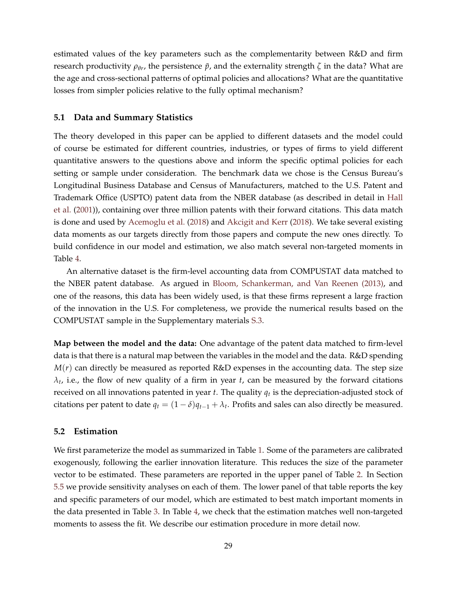estimated values of the key parameters such as the complementarity between R&D and firm research productivity  $ρ_{θr}$ , the persistence  $\tilde{p}$ , and the externality strength  $\zeta$  in the data? What are the age and cross-sectional patterns of optimal policies and allocations? What are the quantitative losses from simpler policies relative to the fully optimal mechanism?

#### **5.1 Data and Summary Statistics**

The theory developed in this paper can be applied to different datasets and the model could of course be estimated for different countries, industries, or types of firms to yield different quantitative answers to the questions above and inform the specific optimal policies for each setting or sample under consideration. The benchmark data we chose is the Census Bureau's Longitudinal Business Database and Census of Manufacturers, matched to the U.S. Patent and Trademark Office (USPTO) patent data from the NBER database (as described in detail in [Hall](#page-42-14) [et al.](#page-42-14) [\(2001\)](#page-42-14)), containing over three million patents with their forward citations. This data match is done and used by [Acemoglu et al.](#page-41-14) [\(2018\)](#page-41-14) and [Akcigit and Kerr](#page-41-10) [\(2018\)](#page-41-10). We take several existing data moments as our targets directly from those papers and compute the new ones directly. To build confidence in our model and estimation, we also match several non-targeted moments in Table [4.](#page-33-0)

An alternative dataset is the firm-level accounting data from COMPUSTAT data matched to the NBER patent database. As argued in [Bloom, Schankerman, and Van Reenen \(2013\),](#page-41-8) and one of the reasons, this data has been widely used, is that these firms represent a large fraction of the innovation in the U.S. For completeness, we provide the numerical results based on the COMPUSTAT sample in the Supplementary materials [S.3.](#page-50-0)

**Map between the model and the data:** One advantage of the patent data matched to firm-level data is that there is a natural map between the variables in the model and the data. R&D spending  $M(r)$  can directly be measured as reported R&D expenses in the accounting data. The step size *λt* , i.e., the flow of new quality of a firm in year *t*, can be measured by the forward citations received on all innovations patented in year *t*. The quality *q<sup>t</sup>* is the depreciation-adjusted stock of citations per patent to date  $q_t = (1 - \delta)q_{t-1} + \lambda_t$ . Profits and sales can also directly be measured.

#### **5.2 Estimation**

We first parameterize the model as summarized in Table [1.](#page-30-0) Some of the parameters are calibrated exogenously, following the earlier innovation literature. This reduces the size of the parameter vector to be estimated. These parameters are reported in the upper panel of Table [2.](#page-31-0) In Section [5.5](#page-37-1) we provide sensitivity analyses on each of them. The lower panel of that table reports the key and specific parameters of our model, which are estimated to best match important moments in the data presented in Table [3.](#page-31-1) In Table [4,](#page-33-0) we check that the estimation matches well non-targeted moments to assess the fit. We describe our estimation procedure in more detail now.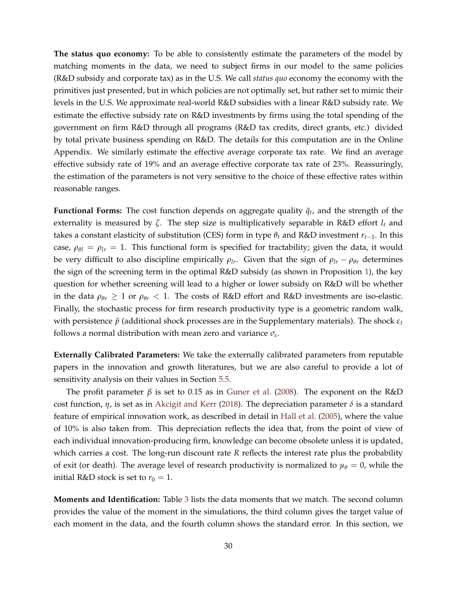**The status quo economy:** To be able to consistently estimate the parameters of the model by matching moments in the data, we need to subject firms in our model to the same policies (R&D subsidy and corporate tax) as in the U.S. We call *status quo* economy the economy with the primitives just presented, but in which policies are not optimally set, but rather set to mimic their levels in the U.S. We approximate real-world R&D subsidies with a linear R&D subsidy rate. We estimate the effective subsidy rate on R&D investments by firms using the total spending of the government on firm R&D through all programs (R&D tax credits, direct grants, etc.) divided by total private business spending on R&D. The details for this computation are in the Online Appendix. We similarly estimate the effective average corporate tax rate. We find an average effective subsidy rate of 19% and an average effective corporate tax rate of 23%. Reassuringly, the estimation of the parameters is not very sensitive to the choice of these effective rates within reasonable ranges.

**Functional Forms:** The cost function depends on aggregate quality  $\bar{q}_t$ , and the strength of the externality is measured by *ζ*. The step size is multiplicatively separable in R&D effort *l<sup>t</sup>* and takes a constant elasticity of substitution (CES) form in type  $\theta_t$  and R&D investment  $r_{t-1}$ . In this case,  $\rho_{\theta l} = \rho_{lr} = 1$ . This functional form is specified for tractability; given the data, it would be very difficult to also discipline empirically  $\rho_{lr}$ . Given that the sign of  $\rho_{lr} - \rho_{\theta r}$  determines the sign of the screening term in the optimal R&D subsidy (as shown in Proposition [1\)](#page-20-1), the key question for whether screening will lead to a higher or lower subsidy on R&D will be whether in the data  $\rho_{\theta r} \geq 1$  or  $\rho_{\theta r} < 1$ . The costs of R&D effort and R&D investments are iso-elastic. Finally, the stochastic process for firm research productivity type is a geometric random walk, with persistence *p*˜ (additional shock processes are in the Supplementary materials). The shock *ε<sup>t</sup>* follows a normal distribution with mean zero and variance *σ<sup>ε</sup>* .

**Externally Calibrated Parameters:** We take the externally calibrated parameters from reputable papers in the innovation and growth literatures, but we are also careful to provide a lot of sensitivity analysis on their values in Section [5.5.](#page-37-1)

The profit parameter *β* is set to 0.15 as in [Guner et al.](#page-42-15) [\(2008\)](#page-42-15). The exponent on the R&D cost function,  $\eta$ , is set as in [Akcigit and Kerr](#page-41-10) [\(2018\)](#page-41-10). The depreciation parameter  $\delta$  is a standard feature of empirical innovation work, as described in detail in [Hall et al.](#page-42-16) [\(2005\)](#page-42-16), where the value of 10% is also taken from. This depreciation reflects the idea that, from the point of view of each individual innovation-producing firm, knowledge can become obsolete unless it is updated, which carries a cost. The long-run discount rate *R* reflects the interest rate plus the probability of exit (or death). The average level of research productivity is normalized to  $\mu_{\theta} = 0$ , while the initial R&D stock is set to  $r_0 = 1$ .

**Moments and Identification:** Table [3](#page-31-1) lists the data moments that we match. The second column provides the value of the moment in the simulations, the third column gives the target value of each moment in the data, and the fourth column shows the standard error. In this section, we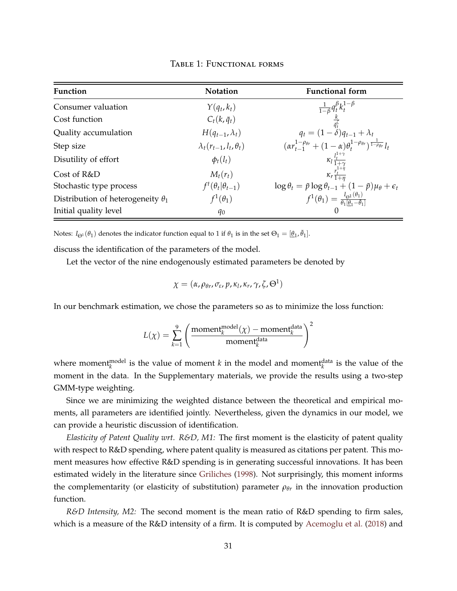<span id="page-30-0"></span>

| <b>Function</b>                          | <b>Notation</b>                     | <b>Functional form</b>                                                                                                                                                                                                                         |
|------------------------------------------|-------------------------------------|------------------------------------------------------------------------------------------------------------------------------------------------------------------------------------------------------------------------------------------------|
| Consumer valuation                       | $Y(q_t, k_t)$                       |                                                                                                                                                                                                                                                |
| Cost function                            | $C_t(k,\bar{q}_t)$                  |                                                                                                                                                                                                                                                |
| Quality accumulation                     | $H(q_{t-1}, \lambda_t)$             |                                                                                                                                                                                                                                                |
| Step size                                | $\lambda_t(r_{t-1}, l_t, \theta_t)$ | $\begin{array}{c} \frac{1}{1-\beta}q_t^\beta k_t^{1-\beta}\\ \frac{k}{q_t^\zeta}\\ q_t=(1-\delta)q_{t-1}+\lambda_t\\ (\alpha r_{t-1}^{1-\rho_{\theta r}}+(1-\alpha)\theta_t^{1-\rho_{\theta r}})^{\frac{1}{1-\rho_{\theta r}}}l_t \end{array}$ |
| Disutility of effort                     | $\phi_t(l_t)$                       | $\kappa_l \frac{l_t^{1+\gamma}}{1+\gamma}$                                                                                                                                                                                                     |
| Cost of R&D                              | $M_t(r_t)$                          | $\kappa_r \frac{r_t^{1+\eta}}{1+\eta}$                                                                                                                                                                                                         |
| Stochastic type process                  | $f^t(\theta_t \theta_{t-1})$        | $\log \theta_t = \tilde{p} \log \theta_{t-1} + (1 - \tilde{p}) \mu_{\theta} + \epsilon_t$                                                                                                                                                      |
| Distribution of heterogeneity $\theta_1$ | $f^1(\theta_1)$                     | $f^1(\theta_1) = \frac{I_{\Theta^1}(\theta_1)}{\theta_1[\theta_1 - \bar{\theta}_1]}$                                                                                                                                                           |
| Initial quality level                    | $q_0$                               |                                                                                                                                                                                                                                                |

Table 1: Functional forms

Notes:  $I_{\Theta^1}(\theta_1)$  denotes the indicator function equal to 1 if  $\theta_1$  is in the set  $\Theta_1 = [\underline{\theta}_1, \overline{\theta}_1]$ .

discuss the identification of the parameters of the model.

Let the vector of the nine endogenously estimated parameters be denoted by

$$
\chi = (\alpha, \rho_{\theta r}, \sigma_{\varepsilon}, p, \kappa_l, \kappa_r, \gamma, \zeta, \Theta^1)
$$

In our benchmark estimation, we chose the parameters so as to minimize the loss function:

$$
L(\chi) = \sum_{k=1}^{9} \left( \frac{\text{moment}_{k}^{\text{model}}(\chi) - \text{moment}_{k}^{\text{data}}}{\text{moment}_{k}^{\text{data}}} \right)^{2}
$$

where moment<sup>model</sup> is the value of moment *k* in the model and moment<sup>data</sup> is the value of the moment in the data. In the Supplementary materials, we provide the results using a two-step GMM-type weighting.

Since we are minimizing the weighted distance between the theoretical and empirical moments, all parameters are identified jointly. Nevertheless, given the dynamics in our model, we can provide a heuristic discussion of identification.

*Elasticity of Patent Quality wrt. R&D, M1:* The first moment is the elasticity of patent quality with respect to R&D spending, where patent quality is measured as citations per patent. This moment measures how effective R&D spending is in generating successful innovations. It has been estimated widely in the literature since [Griliches](#page-42-17) [\(1998\)](#page-42-17). Not surprisingly, this moment informs the complementarity (or elasticity of substitution) parameter  $\rho_{\theta r}$  in the innovation production function.

*R&D Intensity, M2:* The second moment is the mean ratio of R&D spending to firm sales, which is a measure of the R&D intensity of a firm. It is computed by [Acemoglu et al.](#page-41-14) [\(2018\)](#page-41-14) and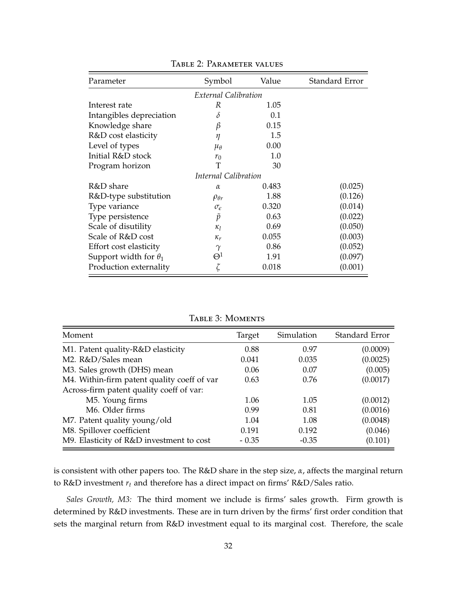<span id="page-31-0"></span>

| Parameter                    | Symbol              | Value | Standard Error |  |
|------------------------------|---------------------|-------|----------------|--|
| External Calibration         |                     |       |                |  |
| Interest rate                | R                   | 1.05  |                |  |
| Intangibles depreciation     | $\delta$            | 0.1   |                |  |
| Knowledge share              | β                   | 0.15  |                |  |
| R&D cost elasticity          | η                   | 1.5   |                |  |
| Level of types               | $\mu_{\theta}$      | 0.00  |                |  |
| Initial R&D stock            | $r_0$               | 1.0   |                |  |
| Program horizon              | T                   | 30    |                |  |
| Internal Calibration         |                     |       |                |  |
| R&D share                    | $\alpha$            | 0.483 | (0.025)        |  |
| R&D-type substitution        | $\rho_{\theta r}$   | 1.88  | (0.126)        |  |
| Type variance                | $\sigma_{\epsilon}$ | 0.320 | (0.014)        |  |
| Type persistence             | $\tilde{p}$         | 0.63  | (0.022)        |  |
| Scale of disutility          | $\kappa_l$          | 0.69  | (0.050)        |  |
| Scale of R&D cost            | $\kappa_r$          | 0.055 | (0.003)        |  |
| Effort cost elasticity       | $\gamma$            | 0.86  | (0.052)        |  |
| Support width for $\theta_1$ | $\Theta^1$          | 1.91  | (0.097)        |  |
| Production externality       |                     | 0.018 | (0.001)        |  |

Table 2: Parameter values

Table 3: Moments

<span id="page-31-1"></span>

| Moment                                      | Target  | Simulation | Standard Error |
|---------------------------------------------|---------|------------|----------------|
| M1. Patent quality-R&D elasticity           | 0.88    | 0.97       | (0.0009)       |
| M2. R&D/Sales mean                          | 0.041   | 0.035      | (0.0025)       |
| M3. Sales growth (DHS) mean                 | 0.06    | 0.07       | (0.005)        |
| M4. Within-firm patent quality coeff of var | 0.63    | 0.76       | (0.0017)       |
| Across-firm patent quality coeff of var:    |         |            |                |
| M5. Young firms                             | 1.06    | 1.05       | (0.0012)       |
| M <sub>6</sub> . Older firms                | 0.99    | 0.81       | (0.0016)       |
| M7. Patent quality young/old                | 1.04    | 1.08       | (0.0048)       |
| M8. Spillover coefficient                   | 0.191   | 0.192      | (0.046)        |
| M9. Elasticity of R&D investment to cost    | $-0.35$ | $-0.35$    | (0.101)        |

is consistent with other papers too. The R&D share in the step size, *α*, affects the marginal return to R&D investment *r<sup>t</sup>* and therefore has a direct impact on firms' R&D/Sales ratio.

*Sales Growth, M3:* The third moment we include is firms' sales growth. Firm growth is determined by R&D investments. These are in turn driven by the firms' first order condition that sets the marginal return from R&D investment equal to its marginal cost. Therefore, the scale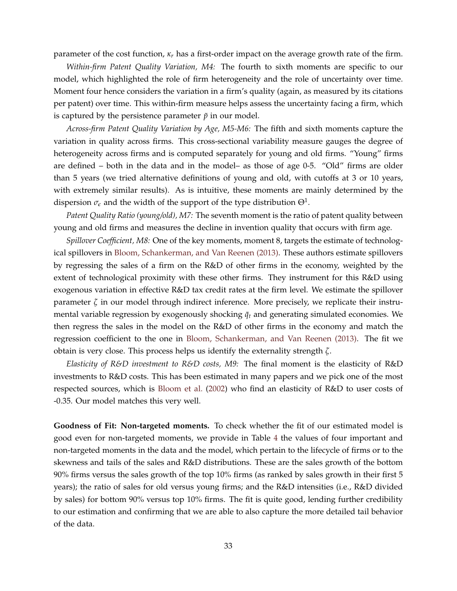parameter of the cost function, *κ<sup>r</sup>* has a first-order impact on the average growth rate of the firm.

*Within-firm Patent Quality Variation, M4:* The fourth to sixth moments are specific to our model, which highlighted the role of firm heterogeneity and the role of uncertainty over time. Moment four hence considers the variation in a firm's quality (again, as measured by its citations per patent) over time. This within-firm measure helps assess the uncertainty facing a firm, which is captured by the persistence parameter  $\tilde{p}$  in our model.

*Across-firm Patent Quality Variation by Age, M5-M6:* The fifth and sixth moments capture the variation in quality across firms. This cross-sectional variability measure gauges the degree of heterogeneity across firms and is computed separately for young and old firms. "Young" firms are defined – both in the data and in the model– as those of age 0-5. "Old" firms are older than 5 years (we tried alternative definitions of young and old, with cutoffs at 3 or 10 years, with extremely similar results). As is intuitive, these moments are mainly determined by the dispersion  $\sigma_{\epsilon}$  and the width of the support of the type distribution  $\Theta^1$ .

*Patent Quality Ratio (young/old), M7:* The seventh moment is the ratio of patent quality between young and old firms and measures the decline in invention quality that occurs with firm age.

*Spillover Coefficient, M8:* One of the key moments, moment 8, targets the estimate of technological spillovers in [Bloom, Schankerman, and Van Reenen \(2013\).](#page-41-8) These authors estimate spillovers by regressing the sales of a firm on the R&D of other firms in the economy, weighted by the extent of technological proximity with these other firms. They instrument for this R&D using exogenous variation in effective R&D tax credit rates at the firm level. We estimate the spillover parameter *ζ* in our model through indirect inference. More precisely, we replicate their instrumental variable regression by exogenously shocking  $\bar{q}_t$  and generating simulated economies. We then regress the sales in the model on the R&D of other firms in the economy and match the regression coefficient to the one in [Bloom, Schankerman, and Van Reenen \(2013\).](#page-41-8) The fit we obtain is very close. This process helps us identify the externality strength *ζ*.

*Elasticity of R&D investment to R&D costs, M9:* The final moment is the elasticity of R&D investments to R&D costs. This has been estimated in many papers and we pick one of the most respected sources, which is [Bloom et al.](#page-41-2) [\(2002\)](#page-41-2) who find an elasticity of R&D to user costs of -0.35. Our model matches this very well.

**Goodness of Fit: Non-targeted moments.** To check whether the fit of our estimated model is good even for non-targeted moments, we provide in Table [4](#page-33-0) the values of four important and non-targeted moments in the data and the model, which pertain to the lifecycle of firms or to the skewness and tails of the sales and R&D distributions. These are the sales growth of the bottom 90% firms versus the sales growth of the top 10% firms (as ranked by sales growth in their first 5 years); the ratio of sales for old versus young firms; and the R&D intensities (i.e., R&D divided by sales) for bottom 90% versus top 10% firms. The fit is quite good, lending further credibility to our estimation and confirming that we are able to also capture the more detailed tail behavior of the data.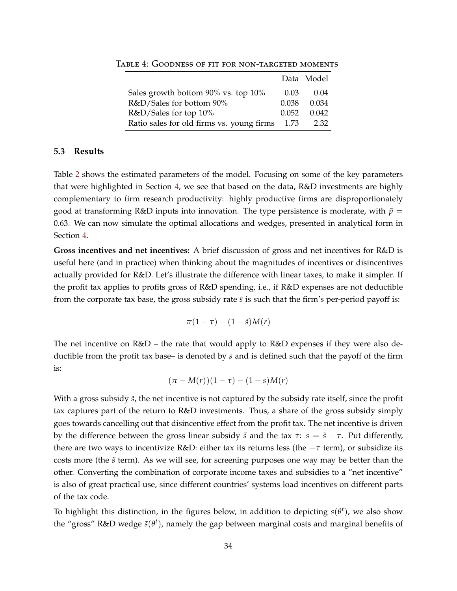|                                           |       | Data Model |
|-------------------------------------------|-------|------------|
| Sales growth bottom 90% vs. top 10%       | 0.03  | (0.04)     |
| R&D/Sales for bottom 90%                  | 0.038 | 0.034      |
| R&D/Sales for top 10%                     | 0.052 | 0.042      |
| Ratio sales for old firms vs. young firms |       | 2.32       |

<span id="page-33-0"></span>TABLE 4: GOODNESS OF FIT FOR NON-TARGETED MOMENTS

#### **5.3 Results**

Table [2](#page-31-0) shows the estimated parameters of the model. Focusing on some of the key parameters that were highlighted in Section [4,](#page-20-0) we see that based on the data, R&D investments are highly complementary to firm research productivity: highly productive firms are disproportionately good at transforming R&D inputs into innovation. The type persistence is moderate, with  $\tilde{p} =$ 0.63. We can now simulate the optimal allocations and wedges, presented in analytical form in Section [4.](#page-20-0)

**Gross incentives and net incentives:** A brief discussion of gross and net incentives for R&D is useful here (and in practice) when thinking about the magnitudes of incentives or disincentives actually provided for R&D. Let's illustrate the difference with linear taxes, to make it simpler. If the profit tax applies to profits gross of R&D spending, i.e., if R&D expenses are not deductible from the corporate tax base, the gross subsidy rate  $\tilde{s}$  is such that the firm's per-period payoff is:

$$
\pi(1-\tau)-(1-\tilde{s})M(r)
$$

The net incentive on R&D – the rate that would apply to R&D expenses if they were also deductible from the profit tax base– is denoted by *s* and is defined such that the payoff of the firm is:

$$
(\pi-M(r))(1-\tau)-(1-s)M(r)
$$

With a gross subsidy  $\tilde{s}$ , the net incentive is not captured by the subsidy rate itself, since the profit tax captures part of the return to R&D investments. Thus, a share of the gross subsidy simply goes towards cancelling out that disincentive effect from the profit tax. The net incentive is driven by the difference between the gross linear subsidy  $\tilde{s}$  and the tax  $\tau$ :  $s = \tilde{s} - \tau$ . Put differently, there are two ways to incentivize R&D: either tax its returns less (the −*τ* term), or subsidize its costs more (the  $\tilde{s}$  term). As we will see, for screening purposes one way may be better than the other. Converting the combination of corporate income taxes and subsidies to a "net incentive" is also of great practical use, since different countries' systems load incentives on different parts of the tax code.

To highlight this distinction, in the figures below, in addition to depicting  $s(\theta^t)$ , we also show the "gross" R&D wedge  $\tilde{s}(\theta^t)$ , namely the gap between marginal costs and marginal benefits of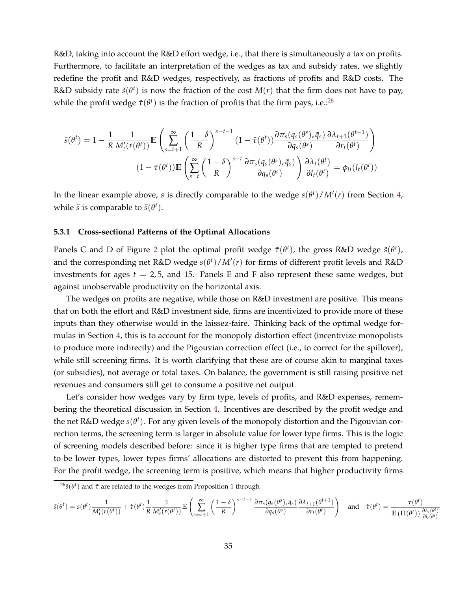R&D, taking into account the R&D effort wedge, i.e., that there is simultaneously a tax on profits. Furthermore, to facilitate an interpretation of the wedges as tax and subsidy rates, we slightly redefine the profit and R&D wedges, respectively, as fractions of profits and R&D costs. The R&D subsidy rate  $\tilde{s}(\theta^t)$  is now the fraction of the cost  $M(r)$  that the firm does not have to pay, while the profit wedge  $\tilde{\tau}(\theta^t)$  is the fraction of profits that the firm pays, i.e.:<sup>[26](#page-0-0)</sup>

$$
\tilde{s}(\theta^t) = 1 - \frac{1}{R} \frac{1}{M_t'(r(\theta^t))} \mathbb{E} \left( \sum_{s=t+1}^{\infty} \left( \frac{1-\delta}{R} \right)^{s-t-1} (1-\tilde{\tau}(\theta^t)) \frac{\partial \pi_s(q_s(\theta^s), \bar{q}_s)}{\partial q_s(\theta^s)} \frac{\partial \lambda_{t+1}(\theta^{t+1})}{\partial r_t(\theta^t)} \right)
$$

$$
(1-\tilde{\tau}(\theta^t)) \mathbb{E} \left( \sum_{s=t}^{\infty} \left( \frac{1-\delta}{R} \right)^{s-t} \frac{\partial \pi_s(q_s(\theta^s), \bar{q}_s)}{\partial q_s(\theta^s)} \right) \frac{\partial \lambda_t(\theta^t)}{\partial l_t(\theta^t)} = \phi_{lt}(l_t(\theta^t))
$$

In the linear example above, *s* is directly comparable to the wedge  $s(\theta^t)/M'(r)$  from Section [4,](#page-20-0) while  $\tilde{s}$  is comparable to  $\tilde{s}(\theta^t)$ .

#### **5.3.1 Cross-sectional Patterns of the Optimal Allocations**

Panels C and D of Figure [2](#page-44-0) plot the optimal profit wedge  $\tilde{\tau}(\theta^t)$ , the gross R&D wedge  $\tilde{s}(\theta^t)$ , and the corresponding net R&D wedge  $s(\theta^t)/M'(r)$  for firms of different profit levels and R&D investments for ages  $t = 2.5$ , and 15. Panels E and F also represent these same wedges, but against unobservable productivity on the horizontal axis.

The wedges on profits are negative, while those on R&D investment are positive. This means that on both the effort and R&D investment side, firms are incentivized to provide more of these inputs than they otherwise would in the laissez-faire. Thinking back of the optimal wedge formulas in Section [4,](#page-20-0) this is to account for the monopoly distortion effect (incentivize monopolists to produce more indirectly) and the Pigouvian correction effect (i.e., to correct for the spillover), while still screening firms. It is worth clarifying that these are of course akin to marginal taxes (or subsidies), not average or total taxes. On balance, the government is still raising positive net revenues and consumers still get to consume a positive net output.

Let's consider how wedges vary by firm type, levels of profits, and R&D expenses, remembering the theoretical discussion in Section [4.](#page-20-0) Incentives are described by the profit wedge and the net R&D wedge *s*(*θ t* ). For any given levels of the monopoly distortion and the Pigouvian correction terms, the screening term is larger in absolute value for lower type firms. This is the logic of screening models described before: since it is higher type firms that are tempted to pretend to be lower types, lower types firms' allocations are distorted to prevent this from happening. For the profit wedge, the screening term is positive, which means that higher productivity firms

$$
\tilde{s}(\theta^t) = s(\theta^t) \frac{1}{M'_t(r(\theta^t))} + \tilde{\tau}(\theta^t) \frac{1}{R} \frac{1}{M'_t(r(\theta^t))} \mathbb{E}\left(\sum_{s=t+1}^{\infty} \left(\frac{1-\delta}{R}\right)^{s-t-1} \frac{\partial \pi_s(q_s(\theta^s),\bar{q}_s)}{\partial q_s(\theta^s)} \frac{\partial \lambda_{t+1}(\theta^{t+1})}{\partial r_t(\theta^t)}\right) \quad \text{and} \quad \tilde{\tau}(\theta^t) = \frac{\tau(\theta^t)}{\mathbb{E}\left(\Pi(\theta^t)\right) \frac{\partial \lambda_t(\theta^t)}{\partial l_t(\theta^t)}}
$$

<sup>26</sup>*s*˜(*θ t* ) and *τ*˜ are related to the wedges from Proposition [1](#page-20-1) through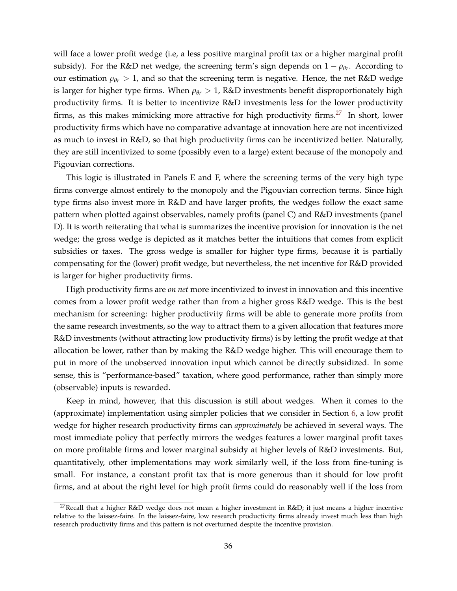will face a lower profit wedge (i.e, a less positive marginal profit tax or a higher marginal profit subsidy). For the R&D net wedge, the screening term's sign depends on  $1 - \rho_{\theta r}$ . According to our estimation  $\rho_{\theta r} > 1$ , and so that the screening term is negative. Hence, the net R&D wedge is larger for higher type firms. When  $\rho_{\theta r} > 1$ , R&D investments benefit disproportionately high productivity firms. It is better to incentivize R&D investments less for the lower productivity firms, as this makes mimicking more attractive for high productivity firms.<sup>[27](#page-0-0)</sup> In short, lower productivity firms which have no comparative advantage at innovation here are not incentivized as much to invest in R&D, so that high productivity firms can be incentivized better. Naturally, they are still incentivized to some (possibly even to a large) extent because of the monopoly and Pigouvian corrections.

This logic is illustrated in Panels E and F, where the screening terms of the very high type firms converge almost entirely to the monopoly and the Pigouvian correction terms. Since high type firms also invest more in R&D and have larger profits, the wedges follow the exact same pattern when plotted against observables, namely profits (panel C) and R&D investments (panel D). It is worth reiterating that what is summarizes the incentive provision for innovation is the net wedge; the gross wedge is depicted as it matches better the intuitions that comes from explicit subsidies or taxes. The gross wedge is smaller for higher type firms, because it is partially compensating for the (lower) profit wedge, but nevertheless, the net incentive for R&D provided is larger for higher productivity firms.

High productivity firms are *on net* more incentivized to invest in innovation and this incentive comes from a lower profit wedge rather than from a higher gross R&D wedge. This is the best mechanism for screening: higher productivity firms will be able to generate more profits from the same research investments, so the way to attract them to a given allocation that features more R&D investments (without attracting low productivity firms) is by letting the profit wedge at that allocation be lower, rather than by making the R&D wedge higher. This will encourage them to put in more of the unobserved innovation input which cannot be directly subsidized. In some sense, this is "performance-based" taxation, where good performance, rather than simply more (observable) inputs is rewarded.

Keep in mind, however, that this discussion is still about wedges. When it comes to the (approximate) implementation using simpler policies that we consider in Section [6,](#page-37-0) a low profit wedge for higher research productivity firms can *approximately* be achieved in several ways. The most immediate policy that perfectly mirrors the wedges features a lower marginal profit taxes on more profitable firms and lower marginal subsidy at higher levels of R&D investments. But, quantitatively, other implementations may work similarly well, if the loss from fine-tuning is small. For instance, a constant profit tax that is more generous than it should for low profit firms, and at about the right level for high profit firms could do reasonably well if the loss from

<sup>&</sup>lt;sup>27</sup>Recall that a higher R&D wedge does not mean a higher investment in R&D; it just means a higher incentive relative to the laissez-faire. In the laissez-faire, low research productivity firms already invest much less than high research productivity firms and this pattern is not overturned despite the incentive provision.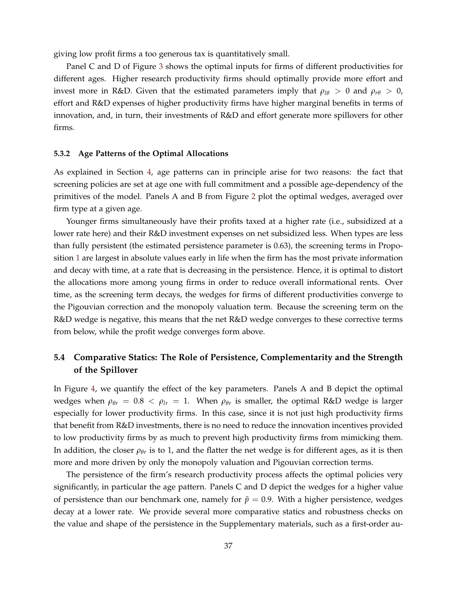giving low profit firms a too generous tax is quantitatively small.

Panel C and D of Figure [3](#page-45-0) shows the optimal inputs for firms of different productivities for different ages. Higher research productivity firms should optimally provide more effort and invest more in R&D. Given that the estimated parameters imply that  $\rho_{l\theta} > 0$  and  $\rho_{r\theta} > 0$ , effort and R&D expenses of higher productivity firms have higher marginal benefits in terms of innovation, and, in turn, their investments of R&D and effort generate more spillovers for other firms.

#### **5.3.2 Age Patterns of the Optimal Allocations**

As explained in Section [4,](#page-20-0) age patterns can in principle arise for two reasons: the fact that screening policies are set at age one with full commitment and a possible age-dependency of the primitives of the model. Panels A and B from Figure [2](#page-44-0) plot the optimal wedges, averaged over firm type at a given age.

Younger firms simultaneously have their profits taxed at a higher rate (i.e., subsidized at a lower rate here) and their R&D investment expenses on net subsidized less. When types are less than fully persistent (the estimated persistence parameter is 0.63), the screening terms in Proposition [1](#page-20-1) are largest in absolute values early in life when the firm has the most private information and decay with time, at a rate that is decreasing in the persistence. Hence, it is optimal to distort the allocations more among young firms in order to reduce overall informational rents. Over time, as the screening term decays, the wedges for firms of different productivities converge to the Pigouvian correction and the monopoly valuation term. Because the screening term on the R&D wedge is negative, this means that the net R&D wedge converges to these corrective terms from below, while the profit wedge converges form above.

### **5.4 Comparative Statics: The Role of Persistence, Complementarity and the Strength of the Spillover**

In Figure [4,](#page-46-0) we quantify the effect of the key parameters. Panels A and B depict the optimal wedges when  $ρ_{θr} = 0.8 < ρ_{lr} = 1$ . When  $ρ_{θr}$  is smaller, the optimal R&D wedge is larger especially for lower productivity firms. In this case, since it is not just high productivity firms that benefit from R&D investments, there is no need to reduce the innovation incentives provided to low productivity firms by as much to prevent high productivity firms from mimicking them. In addition, the closer  $\rho_{\theta r}$  is to 1, and the flatter the net wedge is for different ages, as it is then more and more driven by only the monopoly valuation and Pigouvian correction terms.

The persistence of the firm's research productivity process affects the optimal policies very significantly, in particular the age pattern. Panels C and D depict the wedges for a higher value of persistence than our benchmark one, namely for  $\tilde{p} = 0.9$ . With a higher persistence, wedges decay at a lower rate. We provide several more comparative statics and robustness checks on the value and shape of the persistence in the Supplementary materials, such as a first-order au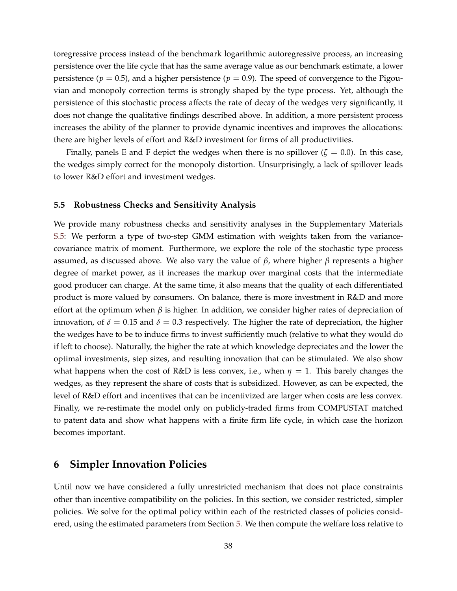toregressive process instead of the benchmark logarithmic autoregressive process, an increasing persistence over the life cycle that has the same average value as our benchmark estimate, a lower persistence ( $p = 0.5$ ), and a higher persistence ( $p = 0.9$ ). The speed of convergence to the Pigouvian and monopoly correction terms is strongly shaped by the type process. Yet, although the persistence of this stochastic process affects the rate of decay of the wedges very significantly, it does not change the qualitative findings described above. In addition, a more persistent process increases the ability of the planner to provide dynamic incentives and improves the allocations: there are higher levels of effort and R&D investment for firms of all productivities.

Finally, panels E and F depict the wedges when there is no spillover ( $\zeta = 0.0$ ). In this case, the wedges simply correct for the monopoly distortion. Unsurprisingly, a lack of spillover leads to lower R&D effort and investment wedges.

#### <span id="page-37-1"></span>**5.5 Robustness Checks and Sensitivity Analysis**

We provide many robustness checks and sensitivity analyses in the Supplementary Materials [S.5:](#page--1-0) We perform a type of two-step GMM estimation with weights taken from the variancecovariance matrix of moment. Furthermore, we explore the role of the stochastic type process assumed, as discussed above. We also vary the value of *β*, where higher *β* represents a higher degree of market power, as it increases the markup over marginal costs that the intermediate good producer can charge. At the same time, it also means that the quality of each differentiated product is more valued by consumers. On balance, there is more investment in R&D and more effort at the optimum when *β* is higher. In addition, we consider higher rates of depreciation of innovation, of  $\delta = 0.15$  and  $\delta = 0.3$  respectively. The higher the rate of depreciation, the higher the wedges have to be to induce firms to invest sufficiently much (relative to what they would do if left to choose). Naturally, the higher the rate at which knowledge depreciates and the lower the optimal investments, step sizes, and resulting innovation that can be stimulated. We also show what happens when the cost of R&D is less convex, i.e., when  $\eta = 1$ . This barely changes the wedges, as they represent the share of costs that is subsidized. However, as can be expected, the level of R&D effort and incentives that can be incentivized are larger when costs are less convex. Finally, we re-restimate the model only on publicly-traded firms from COMPUSTAT matched to patent data and show what happens with a finite firm life cycle, in which case the horizon becomes important.

### <span id="page-37-0"></span>**6 Simpler Innovation Policies**

Until now we have considered a fully unrestricted mechanism that does not place constraints other than incentive compatibility on the policies. In this section, we consider restricted, simpler policies. We solve for the optimal policy within each of the restricted classes of policies considered, using the estimated parameters from Section [5.](#page-27-0) We then compute the welfare loss relative to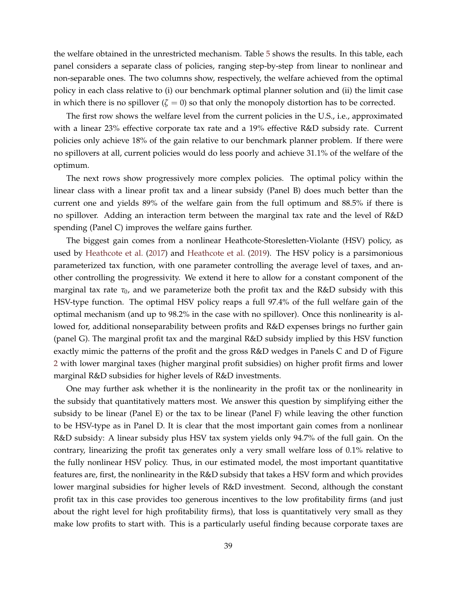the welfare obtained in the unrestricted mechanism. Table [5](#page-39-0) shows the results. In this table, each panel considers a separate class of policies, ranging step-by-step from linear to nonlinear and non-separable ones. The two columns show, respectively, the welfare achieved from the optimal policy in each class relative to (i) our benchmark optimal planner solution and (ii) the limit case in which there is no spillover  $(\zeta = 0)$  so that only the monopoly distortion has to be corrected.

The first row shows the welfare level from the current policies in the U.S., i.e., approximated with a linear 23% effective corporate tax rate and a 19% effective R&D subsidy rate. Current policies only achieve 18% of the gain relative to our benchmark planner problem. If there were no spillovers at all, current policies would do less poorly and achieve 31.1% of the welfare of the optimum.

The next rows show progressively more complex policies. The optimal policy within the linear class with a linear profit tax and a linear subsidy (Panel B) does much better than the current one and yields 89% of the welfare gain from the full optimum and 88.5% if there is no spillover. Adding an interaction term between the marginal tax rate and the level of R&D spending (Panel C) improves the welfare gains further.

The biggest gain comes from a nonlinear Heathcote-Storesletten-Violante (HSV) policy, as used by [Heathcote et al.](#page-42-18) [\(2017\)](#page-42-18) and [Heathcote et al.](#page-42-19) [\(2019\)](#page-42-19). The HSV policy is a parsimonious parameterized tax function, with one parameter controlling the average level of taxes, and another controlling the progressivity. We extend it here to allow for a constant component of the marginal tax rate  $\tau_0$ , and we parameterize both the profit tax and the R&D subsidy with this HSV-type function. The optimal HSV policy reaps a full 97.4% of the full welfare gain of the optimal mechanism (and up to 98.2% in the case with no spillover). Once this nonlinearity is allowed for, additional nonseparability between profits and R&D expenses brings no further gain (panel G). The marginal profit tax and the marginal R&D subsidy implied by this HSV function exactly mimic the patterns of the profit and the gross R&D wedges in Panels C and D of Figure [2](#page-44-0) with lower marginal taxes (higher marginal profit subsidies) on higher profit firms and lower marginal R&D subsidies for higher levels of R&D investments.

One may further ask whether it is the nonlinearity in the profit tax or the nonlinearity in the subsidy that quantitatively matters most. We answer this question by simplifying either the subsidy to be linear (Panel E) or the tax to be linear (Panel F) while leaving the other function to be HSV-type as in Panel D. It is clear that the most important gain comes from a nonlinear R&D subsidy: A linear subsidy plus HSV tax system yields only 94.7% of the full gain. On the contrary, linearizing the profit tax generates only a very small welfare loss of 0.1% relative to the fully nonlinear HSV policy. Thus, in our estimated model, the most important quantitative features are, first, the nonlinearity in the R&D subsidy that takes a HSV form and which provides lower marginal subsidies for higher levels of R&D investment. Second, although the constant profit tax in this case provides too generous incentives to the low profitability firms (and just about the right level for high profitability firms), that loss is quantitatively very small as they make low profits to start with. This is a particularly useful finding because corporate taxes are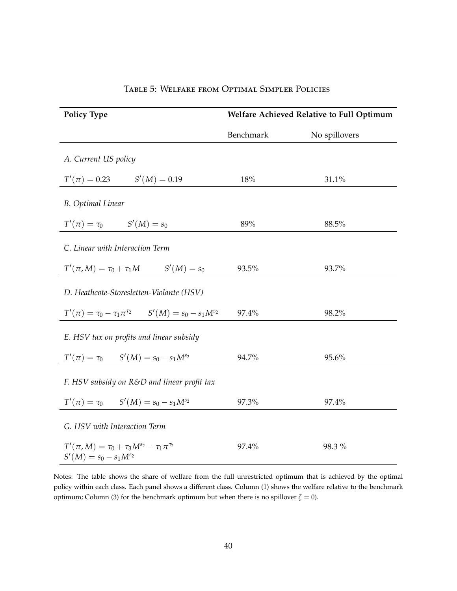<span id="page-39-0"></span>

| <b>Policy Type</b>                                                                          | Welfare Achieved Relative to Full Optimum |               |  |
|---------------------------------------------------------------------------------------------|-------------------------------------------|---------------|--|
|                                                                                             | Benchmark                                 | No spillovers |  |
| A. Current US policy                                                                        |                                           |               |  |
| $T'(\pi) = 0.23$ $S'(M) = 0.19$                                                             | 18%                                       | 31.1%         |  |
| <b>B.</b> Optimal Linear                                                                    |                                           |               |  |
| $T'(\pi) = \tau_0$ $S'(M) = s_0$                                                            | 89%                                       | 88.5%         |  |
| C. Linear with Interaction Term                                                             |                                           |               |  |
| $T'(\pi, M) = \tau_0 + \tau_1 M$ $S'(M) = s_0$                                              | 93.5%                                     | 93.7%         |  |
| D. Heathcote-Storesletten-Violante (HSV)                                                    |                                           |               |  |
| $T'(\pi) = \tau_0 - \tau_1 \pi^{\tau_2}$ $S'(M) = s_0 - s_1 M^{s_2}$ 97.4%                  |                                           | 98.2%         |  |
| E. HSV tax on profits and linear subsidy                                                    |                                           |               |  |
| $T'(\pi) = \tau_0$ $S'(M) = s_0 - s_1 M^{s_2}$                                              | 94.7%                                     | 95.6%         |  |
| F. HSV subsidy on R&D and linear profit tax                                                 |                                           |               |  |
| $T'(\pi) = \tau_0$ $S'(M) = s_0 - s_1 M^{s_2}$                                              | 97.3%                                     | 97.4%         |  |
| G. HSV with Interaction Term                                                                |                                           |               |  |
| $T'(\pi, M) = \tau_0 + \tau_3 M^{s_2} - \tau_1 \pi^{\tau_2}$<br>$S'(M) = s_0 - s_1 M^{s_2}$ | 97.4%                                     | 98.3%         |  |

#### Table 5: Welfare from Optimal Simpler Policies

Notes: The table shows the share of welfare from the full unrestricted optimum that is achieved by the optimal policy within each class. Each panel shows a different class. Column (1) shows the welfare relative to the benchmark optimum; Column (3) for the benchmark optimum but when there is no spillover  $\zeta = 0$ .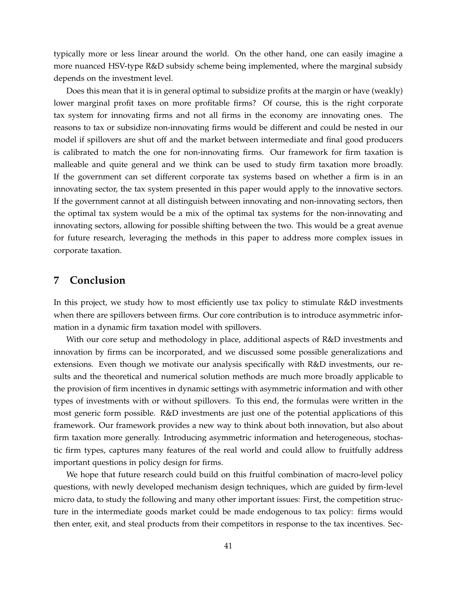typically more or less linear around the world. On the other hand, one can easily imagine a more nuanced HSV-type R&D subsidy scheme being implemented, where the marginal subsidy depends on the investment level.

Does this mean that it is in general optimal to subsidize profits at the margin or have (weakly) lower marginal profit taxes on more profitable firms? Of course, this is the right corporate tax system for innovating firms and not all firms in the economy are innovating ones. The reasons to tax or subsidize non-innovating firms would be different and could be nested in our model if spillovers are shut off and the market between intermediate and final good producers is calibrated to match the one for non-innovating firms. Our framework for firm taxation is malleable and quite general and we think can be used to study firm taxation more broadly. If the government can set different corporate tax systems based on whether a firm is in an innovating sector, the tax system presented in this paper would apply to the innovative sectors. If the government cannot at all distinguish between innovating and non-innovating sectors, then the optimal tax system would be a mix of the optimal tax systems for the non-innovating and innovating sectors, allowing for possible shifting between the two. This would be a great avenue for future research, leveraging the methods in this paper to address more complex issues in corporate taxation.

### <span id="page-40-0"></span>**7 Conclusion**

In this project, we study how to most efficiently use tax policy to stimulate R&D investments when there are spillovers between firms. Our core contribution is to introduce asymmetric information in a dynamic firm taxation model with spillovers.

With our core setup and methodology in place, additional aspects of R&D investments and innovation by firms can be incorporated, and we discussed some possible generalizations and extensions. Even though we motivate our analysis specifically with R&D investments, our results and the theoretical and numerical solution methods are much more broadly applicable to the provision of firm incentives in dynamic settings with asymmetric information and with other types of investments with or without spillovers. To this end, the formulas were written in the most generic form possible. R&D investments are just one of the potential applications of this framework. Our framework provides a new way to think about both innovation, but also about firm taxation more generally. Introducing asymmetric information and heterogeneous, stochastic firm types, captures many features of the real world and could allow to fruitfully address important questions in policy design for firms.

We hope that future research could build on this fruitful combination of macro-level policy questions, with newly developed mechanism design techniques, which are guided by firm-level micro data, to study the following and many other important issues: First, the competition structure in the intermediate goods market could be made endogenous to tax policy: firms would then enter, exit, and steal products from their competitors in response to the tax incentives. Sec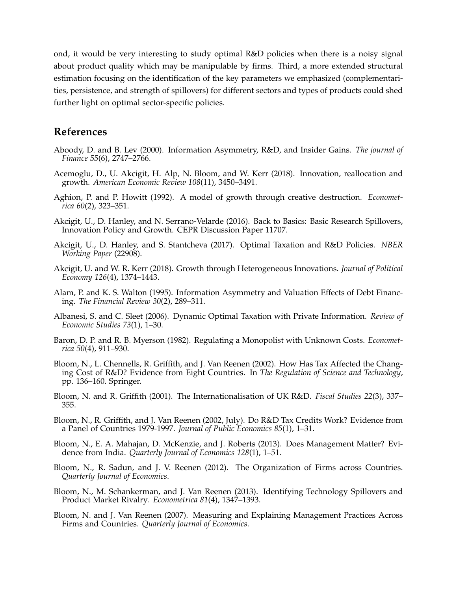ond, it would be very interesting to study optimal R&D policies when there is a noisy signal about product quality which may be manipulable by firms. Third, a more extended structural estimation focusing on the identification of the key parameters we emphasized (complementarities, persistence, and strength of spillovers) for different sectors and types of products could shed further light on optimal sector-specific policies.

### **References**

- <span id="page-41-13"></span>Aboody, D. and B. Lev (2000). Information Asymmetry, R&D, and Insider Gains. *The journal of Finance 55*(6), 2747–2766.
- <span id="page-41-14"></span>Acemoglu, D., U. Akcigit, H. Alp, N. Bloom, and W. Kerr (2018). Innovation, reallocation and growth. *American Economic Review 108*(11), 3450–3491.
- <span id="page-41-11"></span>Aghion, P. and P. Howitt (1992). A model of growth through creative destruction. *Econometrica 60*(2), 323–351.
- <span id="page-41-15"></span>Akcigit, U., D. Hanley, and N. Serrano-Velarde (2016). Back to Basics: Basic Research Spillovers, Innovation Policy and Growth. CEPR Discussion Paper 11707.
- <span id="page-41-9"></span>Akcigit, U., D. Hanley, and S. Stantcheva (2017). Optimal Taxation and R&D Policies. *NBER Working Paper* (22908).
- <span id="page-41-10"></span>Akcigit, U. and W. R. Kerr (2018). Growth through Heterogeneous Innovations. *Journal of Political Economy 126*(4), 1374–1443.
- <span id="page-41-12"></span>Alam, P. and K. S. Walton (1995). Information Asymmetry and Valuation Effects of Debt Financing. *The Financial Review 30*(2), 289–311.
- <span id="page-41-1"></span>Albanesi, S. and C. Sleet (2006). Dynamic Optimal Taxation with Private Information. *Review of Economic Studies 73*(1), 1–30.
- <span id="page-41-0"></span>Baron, D. P. and R. B. Myerson (1982). Regulating a Monopolist with Unknown Costs. *Econometrica 50*(4), 911–930.
- <span id="page-41-4"></span>Bloom, N., L. Chennells, R. Griffith, and J. Van Reenen (2002). How Has Tax Affected the Changing Cost of R&D? Evidence from Eight Countries. In *The Regulation of Science and Technology*, pp. 136–160. Springer.
- <span id="page-41-3"></span>Bloom, N. and R. Griffith (2001). The Internationalisation of UK R&D. *Fiscal Studies 22*(3), 337– 355.
- <span id="page-41-2"></span>Bloom, N., R. Griffith, and J. Van Reenen (2002, July). Do R&D Tax Credits Work? Evidence from a Panel of Countries 1979-1997. *Journal of Public Economics 85*(1), 1–31.
- <span id="page-41-7"></span>Bloom, N., E. A. Mahajan, D. McKenzie, and J. Roberts (2013). Does Management Matter? Evidence from India. *Quarterly Journal of Economics 128*(1), 1–51.
- <span id="page-41-6"></span>Bloom, N., R. Sadun, and J. V. Reenen (2012). The Organization of Firms across Countries. *Quarterly Journal of Economics*.
- <span id="page-41-8"></span>Bloom, N., M. Schankerman, and J. Van Reenen (2013). Identifying Technology Spillovers and Product Market Rivalry. *Econometrica 81*(4), 1347–1393.
- <span id="page-41-5"></span>Bloom, N. and J. Van Reenen (2007). Measuring and Explaining Management Practices Across Firms and Countries. *Quarterly Journal of Economics*.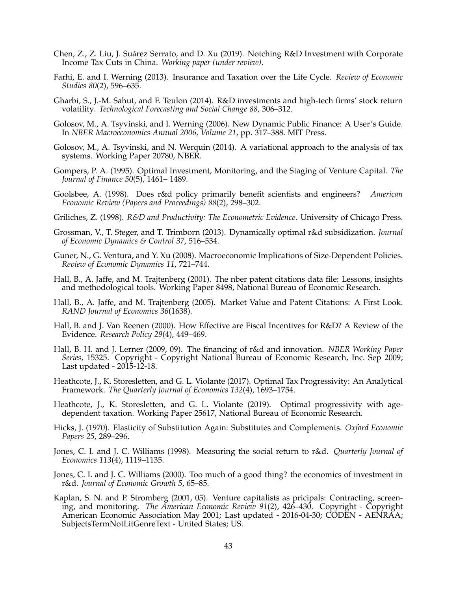- <span id="page-42-13"></span>Chen, Z., Z. Liu, J. Suarez Serrato, and D. Xu (2019). Notching R&D Investment with Corporate ´ Income Tax Cuts in China. *Working paper (under review)*.
- <span id="page-42-0"></span>Farhi, E. and I. Werning (2013). Insurance and Taxation over the Life Cycle. *Review of Economic Studies 80*(2), 596–635.
- <span id="page-42-11"></span>Gharbi, S., J.-M. Sahut, and F. Teulon (2014). R&D investments and high-tech firms' stock return volatility. *Technological Forecasting and Social Change 88*, 306–312.
- <span id="page-42-1"></span>Golosov, M., A. Tsyvinski, and I. Werning (2006). New Dynamic Public Finance: A User's Guide. In *NBER Macroeconomics Annual 2006, Volume 21*, pp. 317–388. MIT Press.
- <span id="page-42-2"></span>Golosov, M., A. Tsyvinski, and N. Werquin (2014). A variational approach to the analysis of tax systems. Working Paper 20780, NBER.
- <span id="page-42-9"></span>Gompers, P. A. (1995). Optimal Investment, Monitoring, and the Staging of Venture Capital. *The Journal of Finance 50*(5), 1461– 1489.
- <span id="page-42-4"></span>Goolsbee, A. (1998). Does r&d policy primarily benefit scientists and engineers? *American Economic Review (Papers and Proceedings) 88*(2), 298–302.
- <span id="page-42-17"></span>Griliches, Z. (1998). *R&D and Productivity: The Econometric Evidence*. University of Chicago Press.
- <span id="page-42-3"></span>Grossman, V., T. Steger, and T. Trimborn (2013). Dynamically optimal r&d subsidization. *Journal of Economic Dynamics & Control 37*, 516–534.
- <span id="page-42-15"></span>Guner, N., G. Ventura, and Y. Xu (2008). Macroeconomic Implications of Size-Dependent Policies. *Review of Economic Dynamics 11*, 721–744.
- <span id="page-42-14"></span>Hall, B., A. Jaffe, and M. Trajtenberg (2001). The nber patent citations data file: Lessons, insights and methodological tools. Working Paper 8498, National Bureau of Economic Research.
- <span id="page-42-16"></span>Hall, B., A. Jaffe, and M. Trajtenberg (2005). Market Value and Patent Citations: A First Look. *RAND Journal of Economics 36*(1638).
- <span id="page-42-12"></span>Hall, B. and J. Van Reenen (2000). How Effective are Fiscal Incentives for R&D? A Review of the Evidence. *Research Policy 29*(4), 449–469.
- <span id="page-42-8"></span>Hall, B. H. and J. Lerner (2009, 09). The financing of r&d and innovation. *NBER Working Paper Series*, 15325. Copyright - Copyright National Bureau of Economic Research, Inc. Sep 2009; Last updated - 2015-12-18.
- <span id="page-42-18"></span>Heathcote, J., K. Storesletten, and G. L. Violante (2017). Optimal Tax Progressivity: An Analytical Framework. *The Quarterly Journal of Economics 132*(4), 1693–1754.
- <span id="page-42-19"></span>Heathcote, J., K. Storesletten, and G. L. Violante (2019). Optimal progressivity with agedependent taxation. Working Paper 25617, National Bureau of Economic Research.
- <span id="page-42-7"></span>Hicks, J. (1970). Elasticity of Substitution Again: Substitutes and Complements. *Oxford Economic Papers 25*, 289–296.
- <span id="page-42-5"></span>Jones, C. I. and J. C. Williams (1998). Measuring the social return to r&d. *Quarterly Journal of Economics 113*(4), 1119–1135.
- <span id="page-42-6"></span>Jones, C. I. and J. C. Williams (2000). Too much of a good thing? the economics of investment in r&d. *Journal of Economic Growth 5*, 65–85.
- <span id="page-42-10"></span>Kaplan, S. N. and P. Stromberg (2001, 05). Venture capitalists as pricipals: Contracting, screening, and monitoring. *The American Economic Review 91*(2), 426–430. Copyright - Copyright American Economic Association May 2001; Last updated - 2016-04-30; CODEN - AENRAA; SubjectsTermNotLitGenreText - United States; US.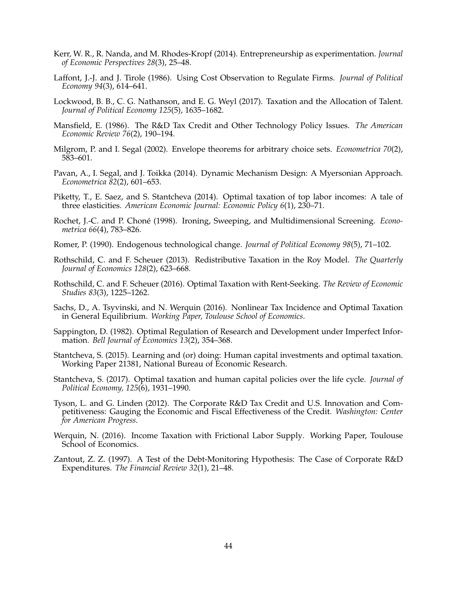- <span id="page-43-13"></span>Kerr, W. R., R. Nanda, and M. Rhodes-Kropf (2014). Entrepreneurship as experimentation. *Journal of Economic Perspectives 28*(3), 25–48.
- <span id="page-43-0"></span>Laffont, J.-J. and J. Tirole (1986). Using Cost Observation to Regulate Firms. *Journal of Political Economy 94*(3), 614–641.
- <span id="page-43-4"></span>Lockwood, B. B., C. G. Nathanson, and E. G. Weyl (2017). Taxation and the Allocation of Talent. *Journal of Political Economy 125*(5), 1635–1682.
- <span id="page-43-15"></span>Mansfield, E. (1986). The R&D Tax Credit and Other Technology Policy Issues. *The American Economic Review 76*(2), 190–194.
- <span id="page-43-16"></span>Milgrom, P. and I. Segal (2002). Envelope theorems for arbitrary choice sets. *Econometrica 70*(2), 583–601.
- <span id="page-43-9"></span>Pavan, A., I. Segal, and J. Toikka (2014). Dynamic Mechanism Design: A Myersonian Approach. *Econometrica 82*(2), 601–653.
- <span id="page-43-3"></span>Piketty, T., E. Saez, and S. Stantcheva (2014). Optimal taxation of top labor incomes: A tale of three elasticities. *American Economic Journal: Economic Policy 6*(1), 230–71.
- <span id="page-43-17"></span>Rochet, J.-C. and P. Choné (1998). Ironing, Sweeping, and Multidimensional Screening. *Econometrica 66*(4), 783–826.
- <span id="page-43-12"></span>Romer, P. (1990). Endogenous technological change. *Journal of Political Economy 98*(5), 71–102.
- <span id="page-43-10"></span>Rothschild, C. and F. Scheuer (2013). Redistributive Taxation in the Roy Model. *The Quarterly Journal of Economics 128*(2), 623–668.
- <span id="page-43-2"></span>Rothschild, C. and F. Scheuer (2016). Optimal Taxation with Rent-Seeking. *The Review of Economic Studies 83*(3), 1225–1262.
- <span id="page-43-5"></span>Sachs, D., A. Tsyvinski, and N. Werquin (2016). Nonlinear Tax Incidence and Optimal Taxation in General Equilibrium. *Working Paper, Toulouse School of Economics*.
- <span id="page-43-1"></span>Sappington, D. (1982). Optimal Regulation of Research and Development under Imperfect Information. *Bell Journal of Economics 13*(2), 354–368.
- <span id="page-43-7"></span>Stantcheva, S. (2015). Learning and (or) doing: Human capital investments and optimal taxation. Working Paper 21381, National Bureau of Economic Research.
- <span id="page-43-8"></span>Stantcheva, S. (2017). Optimal taxation and human capital policies over the life cycle. *Journal of Political Economy, 125*(6), 1931–1990.
- <span id="page-43-11"></span>Tyson, L. and G. Linden (2012). The Corporate R&D Tax Credit and U.S. Innovation and Competitiveness: Gauging the Economic and Fiscal Effectiveness of the Credit. *Washington: Center for American Progress*.
- <span id="page-43-6"></span>Werquin, N. (2016). Income Taxation with Frictional Labor Supply. Working Paper, Toulouse School of Economics.
- <span id="page-43-14"></span>Zantout, Z. Z. (1997). A Test of the Debt-Monitoring Hypothesis: The Case of Corporate R&D Expenditures. *The Financial Review 32*(1), 21–48.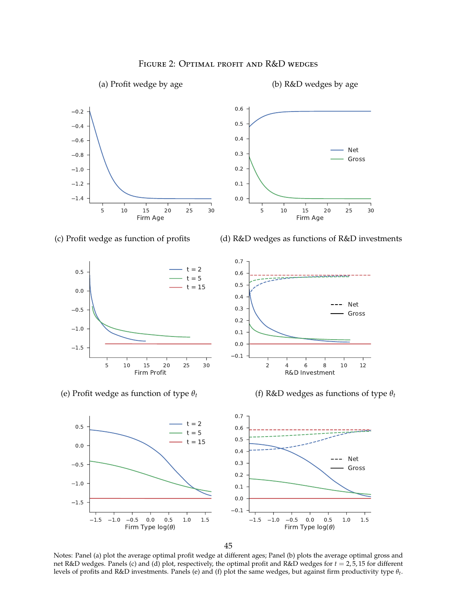<span id="page-44-0"></span>

#### Figure 2: Optimal profit and R&D wedges

45

Notes: Panel (a) plot the average optimal profit wedge at different ages; Panel (b) plots the average optimal gross and net R&D wedges. Panels (c) and (d) plot, respectively, the optimal profit and R&D wedges for *t* = 2, 5, 15 for different levels of profits and R&D investments. Panels (e) and (f) plot the same wedges, but against firm productivity type *θt* .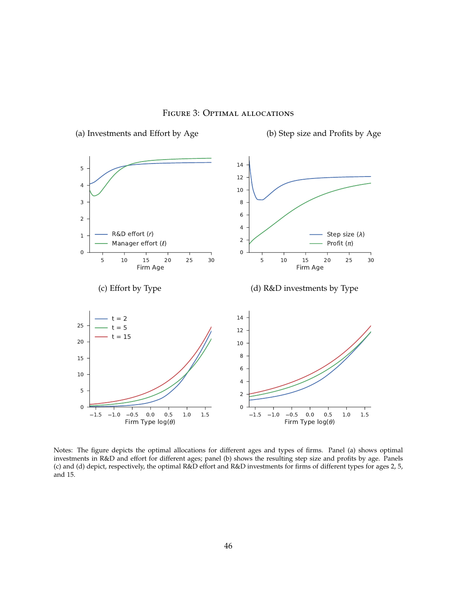<span id="page-45-0"></span>

Figure 3: Optimal allocations

Notes: The figure depicts the optimal allocations for different ages and types of firms. Panel (a) shows optimal investments in R&D and effort for different ages; panel (b) shows the resulting step size and profits by age. Panels (c) and (d) depict, respectively, the optimal R&D effort and R&D investments for firms of different types for ages 2, 5, and 15.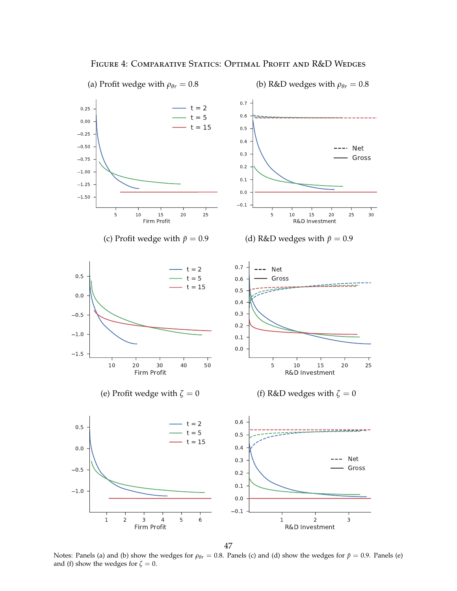<span id="page-46-0"></span>

FIGURE 4: COMPARATIVE STATICS: OPTIMAL PROFIT AND R&D WEDGES

47

Notes: Panels (a) and (b) show the wedges for  $\rho_{\theta r} = 0.8$ . Panels (c) and (d) show the wedges for  $\tilde{p} = 0.9$ . Panels (e) and (f) show the wedges for  $\zeta = 0$ .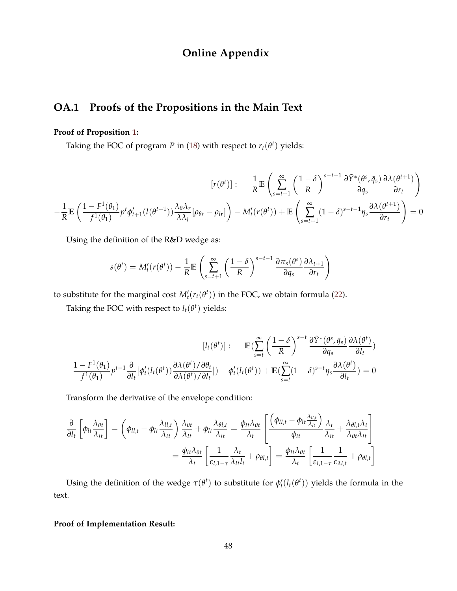### **Online Appendix**

### <span id="page-47-0"></span>**OA.1 Proofs of the Propositions in the Main Text**

#### **Proof of Proposition [1:](#page-20-1)**

Taking the FOC of program *P* in [\(18\)](#page-18-0) with respect to  $r_t(\theta^t)$  yields:

$$
[r(\theta^t)]: \frac{1}{R} \mathbb{E} \left( \sum_{s=t+1}^{\infty} \left( \frac{1-\delta}{R} \right)^{s-t-1} \frac{\partial \tilde{Y}^*(\theta^s, \bar{q}_s)}{\partial q_s} \frac{\partial \lambda(\theta^{t+1})}{\partial r_t} \right)
$$

$$
-\frac{1}{R} \mathbb{E} \left( \frac{1-F^1(\theta_1)}{f^1(\theta_1)} p^t \phi'_{t+1}(l(\theta^{t+1})) \frac{\partial \lambda \partial r}{\partial \lambda_l} [\rho_{\theta r} - \rho_{lr}] \right) - M'_t(r(\theta^t)) + \mathbb{E} \left( \sum_{s=t+1}^{\infty} (1-\delta)^{s-t-1} \eta_s \frac{\partial \lambda(\theta^{t+1})}{\partial r_t} \right) = 0
$$

Using the definition of the R&D wedge as:

$$
s(\theta^t) = M'_t(r(\theta^t)) - \frac{1}{R} \mathbb{E} \left( \sum_{s=t+1}^{\infty} \left( \frac{1-\delta}{R} \right)^{s-t-1} \frac{\partial \pi_s(\theta^s)}{\partial q_s} \frac{\partial \lambda_{t+1}}{\partial r_t} \right)
$$

to substitute for the marginal cost  $M_t'(r_t(\theta^t))$  in the FOC, we obtain formula [\(22\)](#page-21-0).

Taking the FOC with respect to  $l_t(\theta^t)$  yields:

$$
[l_t(\theta^t)]: \mathbb{E}(\sum_{s=t}^{\infty} \left(\frac{1-\delta}{R}\right)^{s-t} \frac{\partial \tilde{Y}^*(\theta^s, \bar{q}_s)}{\partial q_s} \frac{\partial \lambda(\theta^t)}{\partial l_t})
$$

$$
-\frac{1-F^1(\theta_1)}{f^1(\theta_1)} p^{t-1} \frac{\partial}{\partial l_t} [\phi'_t(l_t(\theta^t)) \frac{\partial \lambda(\theta^t)/\partial \theta_t}{\partial \lambda(\theta^t)/\partial l_t}]) - \phi'_t(l_t(\theta^t)) + \mathbb{E}(\sum_{s=t}^{\infty} (1-\delta)^{s-t} \eta_s \frac{\partial \lambda(\theta^t)}{\partial l_t}) = 0
$$

Transform the derivative of the envelope condition:

$$
\frac{\partial}{\partial l_t} \left[ \phi_{l t} \frac{\lambda_{\theta t}}{\lambda_{l t}} \right] = \left( \phi_{l l, t} - \phi_{l t} \frac{\lambda_{l l, t}}{\lambda_{l t}} \right) \frac{\lambda_{\theta t}}{\lambda_{l t}} + \phi_{l t} \frac{\lambda_{\theta l, t}}{\lambda_{l t}} = \frac{\phi_{l t} \lambda_{\theta t}}{\lambda_{t}} \left[ \frac{\left( \phi_{l l, t} - \phi_{l t} \frac{\lambda_{l l, t}}{\lambda_{l t}} \right)}{\phi_{l t}} \frac{\lambda_{t}}{\lambda_{l t}} + \frac{\lambda_{\theta l, t} \lambda_{t}}{\lambda_{\theta t} \lambda_{l t}} \right]
$$

$$
= \frac{\phi_{l t} \lambda_{\theta t}}{\lambda_{t}} \left[ \frac{1}{\varepsilon_{l, 1 - \tau}} \frac{\lambda_{t}}{\lambda_{l t} l_{t}} + \rho_{\theta l, t} \right] = \frac{\phi_{l t} \lambda_{\theta t}}{\lambda_{t}} \left[ \frac{1}{\varepsilon_{l, 1 - \tau}} \frac{1}{\varepsilon_{\lambda l, t}} + \rho_{\theta l, t} \right]
$$

Using the definition of the wedge  $\tau(\theta^t)$  to substitute for  $\phi'_t(l_t(\theta^t))$  yields the formula in the text.

#### **Proof of Implementation Result:**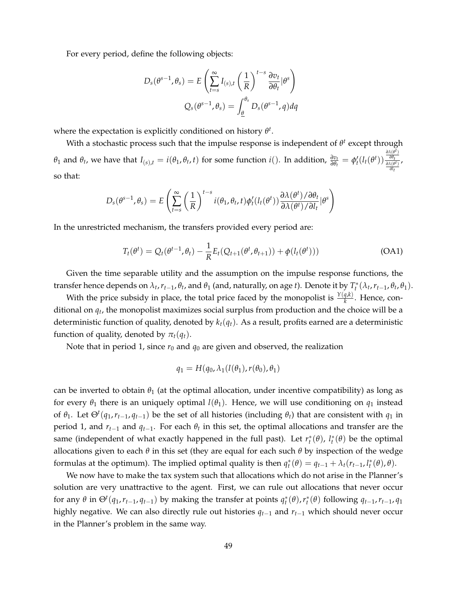For every period, define the following objects:

$$
D_s(\theta^{s-1}, \theta_s) = E\left(\sum_{t=s}^{\infty} I_{(s),t} \left(\frac{1}{R}\right)^{t-s} \frac{\partial v_t}{\partial \theta_t} | \theta^s \right)
$$

$$
Q_s(\theta^{s-1}, \theta_s) = \int_{\underline{\theta}}^{\theta_s} D_s(\theta^{s-1}, \theta_s) d\theta_s
$$

where the expectation is explicitly conditioned on history *θ t* .

With a stochastic process such that the impulse response is independent of  $\theta^t$  except through  $\theta_1$  and  $\theta_t$ , we have that  $I_{(s),t} = i(\theta_1, \theta_t, t)$  for some function  $i()$ . In addition,  $\frac{\partial v_t}{\partial \theta_t} = \phi'_t(l_t(\theta^t))$ *∂λ*(*θ t* ) *∂θt ∂λ*(*θ t*) *∂l t* , so that:

$$
D_s(\theta^{s-1}, \theta_s) = E\left(\sum_{t=s}^{\infty} \left(\frac{1}{R}\right)^{t-s} i(\theta_1, \theta_t, t) \phi'_t(l_t(\theta^t)) \frac{\partial \lambda(\theta^t) / \partial \theta_t}{\partial \lambda(\theta^t) / \partial l_t} |\theta^s\right)
$$

In the unrestricted mechanism, the transfers provided every period are:

<span id="page-48-0"></span>
$$
T_t(\theta^t) = Q_t(\theta^{t-1}, \theta_t) - \frac{1}{R} E_t(Q_{t+1}(\theta^t, \theta_{t+1})) + \phi(l_t(\theta^t)))
$$
 (OA1)

Given the time separable utility and the assumption on the impulse response functions, the transfer hence depends on  $\lambda_t$ ,  $r_{t-1}$ ,  $\theta_t$ , and  $\theta_1$  (and, naturally, on age t). Denote it by  $T_t^*(\lambda_t, r_{t-1}, \theta_t, \theta_1)$ .

With the price subsidy in place, the total price faced by the monopolist is  $\frac{Y(q,k)}{k}$ . Hence, conditional on *q<sup>t</sup>* , the monopolist maximizes social surplus from production and the choice will be a deterministic function of quality, denoted by  $k_t(q_t)$ . As a result, profits earned are a deterministic function of quality, denoted by  $\pi_t(q_t)$ .

Note that in period 1, since  $r_0$  and  $q_0$  are given and observed, the realization

$$
q_1 = H(q_0, \lambda_1(l(\theta_1), r(\theta_0), \theta_1))
$$

can be inverted to obtain  $\theta_1$  (at the optimal allocation, under incentive compatibility) as long as for every  $\theta_1$  there is an uniquely optimal  $l(\theta_1)$ . Hence, we will use conditioning on  $q_1$  instead of  $\theta_1$ . Let  $\Theta^t(q_1, r_{t-1}, q_{t-1})$  be the set of all histories (including  $\theta_t$ ) that are consistent with  $q_1$  in period 1, and  $r_{t-1}$  and  $q_{t-1}$ . For each  $\theta_t$  in this set, the optimal allocations and transfer are the same (independent of what exactly happened in the full past). Let  $r_t^*(\theta)$ ,  $l_t^*(\theta)$  be the optimal allocations given to each *θ* in this set (they are equal for each such *θ* by inspection of the wedge formulas at the optimum). The implied optimal quality is then  $q_t^*(\theta) = q_{t-1} + \lambda_t (r_{t-1}, l_t^*(\theta), \theta)$ .

We now have to make the tax system such that allocations which do not arise in the Planner's solution are very unattractive to the agent. First, we can rule out allocations that never occur for any  $\theta$  in  $\Theta^t(q_1,r_{t-1},q_{t-1})$  by making the transfer at points  $q_t^*(\theta)$ ,  $r_t^*(\theta)$  following  $q_{t-1}$ ,  $r_{t-1}$ ,  $q_1$ highly negative. We can also directly rule out histories *qt*−<sup>1</sup> and *rt*−<sup>1</sup> which should never occur in the Planner's problem in the same way.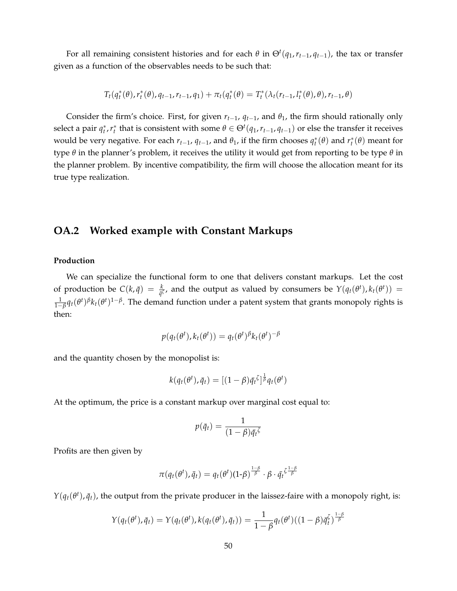For all remaining consistent histories and for each  $\theta$  in  $\Theta^t(q_1, r_{t-1}, q_{t-1})$ , the tax or transfer given as a function of the observables needs to be such that:

$$
T_t(q_t^*(\theta), r_t^*(\theta), q_{t-1}, r_{t-1}, q_1) + \pi_t(q_t^*(\theta)) = T_t^*(\lambda_t(r_{t-1}, l_t^*(\theta), \theta), r_{t-1}, \theta)
$$

Consider the firm's choice. First, for given  $r_{t-1}$ ,  $q_{t-1}$ , and  $\theta_1$ , the firm should rationally only select a pair  $q_t^*, r_t^*$  that is consistent with some  $\theta \in \Theta^t(q_1, r_{t-1}, q_{t-1})$  or else the transfer it receives would be very negative. For each  $r_{t-1}$ ,  $q_{t-1}$ , and  $\theta_1$ , if the firm chooses  $q_t^*(\theta)$  and  $r_t^*(\theta)$  meant for type *θ* in the planner's problem, it receives the utility it would get from reporting to be type *θ* in the planner problem. By incentive compatibility, the firm will choose the allocation meant for its true type realization.

### <span id="page-49-0"></span>**OA.2 Worked example with Constant Markups**

#### **Production**

We can specialize the functional form to one that delivers constant markups. Let the cost of production be  $C(k,\bar{q}) = \frac{k}{\bar{q}^{\zeta}}$ , and the output as valued by consumers be  $Y(q_t(\theta^t), k_t(\theta^t)) =$ 1  $\frac{1}{1-\beta}$ *q*<sub>t</sub>(*θ*<sup>t</sup>)<sup>*β*</sup> $k$ <sub>t</sub>(*θ*<sup>t</sup>)<sup>1−*β*</sup>. The demand function under a patent system that grants monopoly rights is then:

$$
p(q_t(\theta^t), k_t(\theta^t)) = q_t(\theta^t)^{\beta} k_t(\theta^t)^{-\beta}
$$

and the quantity chosen by the monopolist is:

$$
k(q_t(\theta^t), \bar{q}_t) = [(1-\beta)\bar{q}_t^{\zeta}]^{\frac{1}{\beta}} q_t(\theta^t)
$$

At the optimum, the price is a constant markup over marginal cost equal to:

$$
p(\bar{q}_t) = \frac{1}{(1-\beta)\bar{q}_t^{\zeta}}
$$

Profits are then given by

$$
\pi(q_t(\theta^t), \bar{q}_t) = q_t(\theta^t)(1-\beta)^{\frac{1-\beta}{\beta}} \cdot \beta \cdot \bar{q}_t^{\zeta \frac{1-\beta}{\beta}}
$$

 $Y(q_t(\theta^t), \bar{q}_t)$ , the output from the private producer in the laissez-faire with a monopoly right, is:

$$
Y(q_t(\theta^t), \bar{q}_t) = Y(q_t(\theta^t), k(q_t(\theta^t), \bar{q}_t)) = \frac{1}{1-\beta} q_t(\theta^t) ((1-\beta)\bar{q}_t^{\zeta})^{\frac{1-\beta}{\beta}}
$$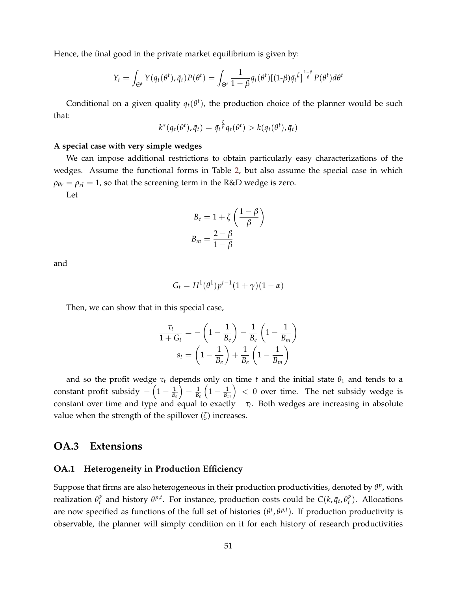Hence, the final good in the private market equilibrium is given by:

$$
Y_t = \int_{\Theta^t} Y(q_t(\theta^t), \bar{q}_t) P(\theta^t) = \int_{\Theta^t} \frac{1}{1-\beta} q_t(\theta^t) [(1-\beta)\bar{q}_t^{\zeta}]^{\frac{1-\beta}{\beta}} P(\theta^t) d\theta^t
$$

Conditional on a given quality  $q_t(\theta^t)$ , the production choice of the planner would be such that:

$$
k^*(q_t(\theta^t), \bar{q}_t) = \bar{q_t} \bar{\beta} q_t(\theta^t) > k(q_t(\theta^t), \bar{q}_t)
$$

#### **A special case with very simple wedges**

We can impose additional restrictions to obtain particularly easy characterizations of the wedges. Assume the functional forms in Table [2,](#page-31-0) but also assume the special case in which  $\rho_{\theta r} = \rho_{rl} = 1$ , so that the screening term in the R&D wedge is zero. Let

$$
B_e = 1 + \zeta \left(\frac{1-\beta}{\beta}\right)
$$
  

$$
B_m = \frac{2-\beta}{1-\beta}
$$

and

$$
G_t = H^1(\theta^1) p^{t-1} (1+\gamma)(1-\alpha)
$$

Then, we can show that in this special case,

$$
\frac{\tau_t}{1 + G_t} = -\left(1 - \frac{1}{B_e}\right) - \frac{1}{B_e} \left(1 - \frac{1}{B_m}\right)
$$

$$
s_t = \left(1 - \frac{1}{B_e}\right) + \frac{1}{B_e} \left(1 - \frac{1}{B_m}\right)
$$

and so the profit wedge  $\tau_t$  depends only on time *t* and the initial state  $\theta_1$  and tends to a constant profit subsidy  $-\left(1-\frac{1}{B_e}\right)$  $\left.\begin{array}{c} \frac{1}{B_e} \end{array}\right.$  $\left(1-\frac{1}{B_m}\right)$  $( ) < 0$  over time. The net subsidy wedge is constant over time and type and equal to exactly  $-\tau_t$ . Both wedges are increasing in absolute value when the strength of the spillover (*ζ*) increases.

### <span id="page-50-0"></span>**OA.3 Extensions**

#### **OA.1 Heterogeneity in Production Efficiency**

Suppose that firms are also heterogeneous in their production productivities, denoted by *θ p* , with realization  $\theta_t^p$ *t*<sub>*t*</sub> and history *θ<sup>p,<i>t*</sup></sup>. For instance, production costs could be  $C(k, \bar{q}_t, \theta_t^p)$  $t$ <sup>*r*</sup>). Allocations are now specified as functions of the full set of histories  $(\theta^t, \theta^{p,t})$ . If production productivity is observable, the planner will simply condition on it for each history of research productivities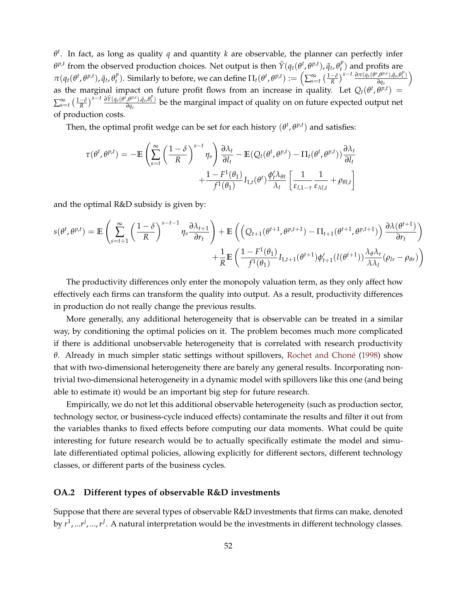*θ t* . In fact, as long as quality *q* and quantity *k* are observable, the planner can perfectly infer *θ<sup>p,t</sup>* from the observed production choices. Net output is then  $\tilde{Y}(q_t(\theta^t, \theta^{p,t}), \bar{q}_t, \theta^p_t)$  $t$ <sup>*r*</sup>) and profits are  $\pi(q_t(\theta^t, \theta^{p,t}), \bar{q}_t, \theta_t^p)$  $(\theta_t^p)$ . Similarly to before, we can define  $\Pi_t(\theta^t, \theta^{p,t}) := \left(\sum_{s=t}^{\infty} \left(\frac{1-\delta}{R}\right)^{s-t} \frac{\partial \pi(q_s(\theta^s, \theta^{p,s}), \bar{q}_s, \theta_s^p)}{\partial q_s}\right)$ *∂q<sup>s</sup>*  $\overline{ }$ as the marginal impact on future profit flows from an increase in quality. Let  $Q_t(\theta^t, \theta^{p,t})$  =  $\sum_{s=t}^{\infty}\left(\frac{1-\delta}{R}\right)^{s-t}\frac{\partial \tilde{Y}(q_s(\theta^s,\theta^{p,s}),\bar{q}_s,\theta^p_s)}{\partial q_s}$ *∂q<sup>s</sup>* be the marginal impact of quality on on future expected output net of production costs.

Then, the optimal profit wedge can be set for each history  $(\theta^t, \theta^{p,t})$  and satisfies:

$$
\tau(\theta^t, \theta^{p,t}) = -\mathbb{E}\left(\sum_{s=t}^{\infty} \left(\frac{1-\delta}{R}\right)^{s-t} \eta_s\right) \frac{\partial \lambda_t}{\partial l_t} - \mathbb{E}(Q_t(\theta^t, \theta^{p,t}) - \Pi_t(\theta^t, \theta^{p,t})) \frac{\partial \lambda_t}{\partial l_t} + \frac{1 - F^1(\theta_1)}{f^1(\theta_1)} I_{1,t}(\theta^t) \frac{\phi_t^t \lambda_{\theta t}}{\lambda_t} \left[\frac{1}{\varepsilon_{l,1-\tau}} \frac{1}{\varepsilon_{\lambda l,t}} + \rho_{\theta l,t}\right]
$$

and the optimal R&D subsidy is given by:

$$
s(\theta^t, \theta^{p,t}) = \mathbb{E}\left(\sum_{s=t+1}^{\infty} \left(\frac{1-\delta}{R}\right)^{s-t-1} \eta_s \frac{\partial \lambda_{t+1}}{\partial r_t}\right) + \mathbb{E}\left(\left(Q_{t+1}(\theta^{t+1}, \theta^{p,t+1}) - \Pi_{t+1}(\theta^{t+1}, \theta^{p,t+1})\right) \frac{\partial \lambda(\theta^{t+1})}{\partial r_t}\right) + \frac{1}{R} \mathbb{E}\left(\frac{1 - F^1(\theta_1)}{f^1(\theta_1)} I_{1,t+1}(\theta^{t+1}) \phi'_{t+1}(l(\theta^{t+1})) \frac{\lambda_{\theta} \lambda_r}{\lambda \lambda_l}(\rho_{lr} - \rho_{\theta r})\right)
$$

The productivity differences only enter the monopoly valuation term, as they only affect how effectively each firms can transform the quality into output. As a result, productivity differences in production do not really change the previous results.

More generally, any additional heterogeneity that is observable can be treated in a similar way, by conditioning the optimal policies on it. The problem becomes much more complicated if there is additional unobservable heterogeneity that is correlated with research productivity *θ*. Already in much simpler static settings without spillovers, Rochet and Choné [\(1998\)](#page-43-17) show that with two-dimensional heterogeneity there are barely any general results. Incorporating nontrivial two-dimensional heterogeneity in a dynamic model with spillovers like this one (and being able to estimate it) would be an important big step for future research.

Empirically, we do not let this additional observable heterogeneity (such as production sector, technology sector, or business-cycle induced effects) contaminate the results and filter it out from the variables thanks to fixed effects before computing our data moments. What could be quite interesting for future research would be to actually specifically estimate the model and simulate differentiated optimal policies, allowing explicitly for different sectors, different technology classes, or different parts of the business cycles.

#### **OA.2 Different types of observable R&D investments**

Suppose that there are several types of observable R&D investments that firms can make, denoted by *r*<sup>1</sup>, ...*r<sup>j</sup>*, ...,*r<sup>J</sup>*. A natural interpretation would be the investments in different technology classes.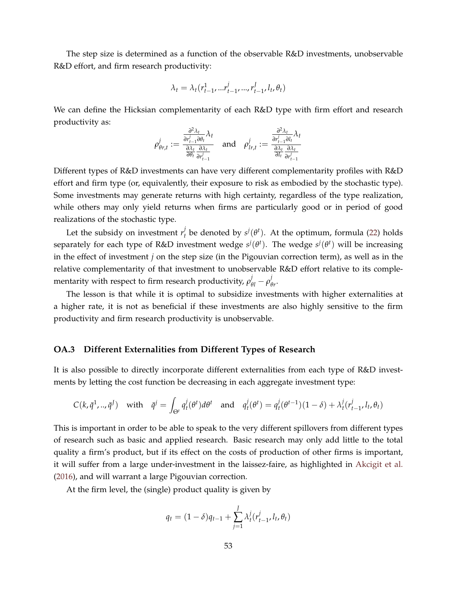The step size is determined as a function of the observable R&D investments, unobservable R&D effort, and firm research productivity:

$$
\lambda_t = \lambda_t (r_{t-1}^1, ... r_{t-1}^j, ..., r_{t-1}^J, l_t, \theta_t)
$$

We can define the Hicksian complementarity of each R&D type with firm effort and research productivity as:

$$
\rho_{\theta r,t}^{j} := \frac{\frac{\partial^2 \lambda_t}{\partial r_{t-1}^{j} \partial \theta_t} \lambda_t}{\frac{\partial \lambda_t}{\partial \theta_t} \frac{\partial \lambda_t}{\partial r_{t-1}^{j}}} \quad \text{and} \quad \rho_{l r,t}^{j} := \frac{\frac{\partial^2 \lambda_t}{\partial r_{t-1}^{j} \partial l_t} \lambda_t}{\frac{\partial \lambda_t}{\partial l_t} \frac{\partial \lambda_t}{\partial r_{t-1}^{j}}}
$$

Different types of R&D investments can have very different complementarity profiles with R&D effort and firm type (or, equivalently, their exposure to risk as embodied by the stochastic type). Some investments may generate returns with high certainty, regardless of the type realization, while others may only yield returns when firms are particularly good or in period of good realizations of the stochastic type.

Let the subsidy on investment  $r_t^j$  $\mathbf{f}_t^j$  be denoted by  $\mathbf{s}^j(\theta^t)$ . At the optimum, formula [\(22\)](#page-21-0) holds separately for each type of R&D investment wedge  $s^j(\theta^t)$ . The wedge  $s^j(\theta^t)$  will be increasing in the effect of investment *j* on the step size (in the Pigouvian correction term), as well as in the relative complementarity of that investment to unobservable R&D effort relative to its complementarity with respect to firm research productivity,  $\rho_{\theta l}^{j} - \rho_{\theta}^{j}$ *θr* .

The lesson is that while it is optimal to subsidize investments with higher externalities at a higher rate, it is not as beneficial if these investments are also highly sensitive to the firm productivity and firm research productivity is unobservable.

#### **OA.3 Different Externalities from Different Types of Research**

It is also possible to directly incorporate different externalities from each type of R&D investments by letting the cost function be decreasing in each aggregate investment type:

$$
C(k,\bar{q}^1,..,\bar{q}^J) \quad \text{with} \quad \bar{q}^j = \int_{\Theta^t} q_t^j(\theta^t) d\theta^t \quad \text{and} \quad q_t^j(\theta^t) = q_t^j(\theta^{t-1})(1-\delta) + \lambda_t^j(r_{t-1}^j, l_t, \theta_t)
$$

This is important in order to be able to speak to the very different spillovers from different types of research such as basic and applied research. Basic research may only add little to the total quality a firm's product, but if its effect on the costs of production of other firms is important, it will suffer from a large under-investment in the laissez-faire, as highlighted in [Akcigit et al.](#page-41-15) [\(2016\)](#page-41-15), and will warrant a large Pigouvian correction.

At the firm level, the (single) product quality is given by

$$
q_t = (1 - \delta)q_{t-1} + \sum_{j=1}^{J} \lambda_t^j (r_{t-1}^j, l_t, \theta_t)
$$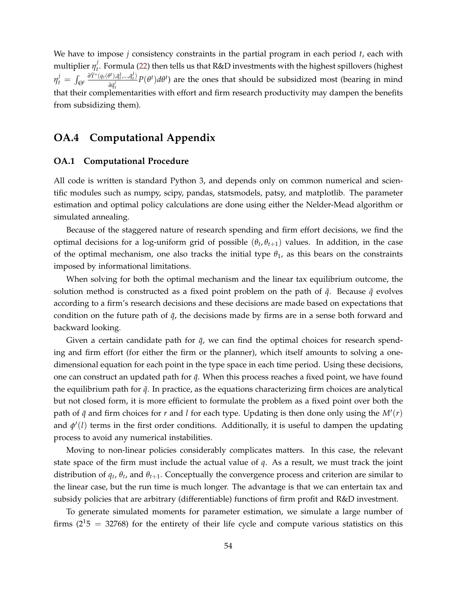We have to impose *j* consistency constraints in the partial program in each period *t*, each with multiplier  $\eta^j_t$ *t* . Formula [\(22\)](#page-21-0) then tells us that R&D investments with the highest spillovers (highest  $\eta^j_t = \int_{\Theta^t}$  $\partial \tilde{Y}^{*}(\bar{q}_{t}(\theta^{t}), \bar{q}_{t}^{1},...,\bar{q}_{t}^{J})$  $\frac{\partial^2 f}{\partial q^j_{t}}$ ,  $p(\theta^t)d\theta^t$ ) are the ones that should be subsidized most (bearing in mind *t* that their complementarities with effort and firm research productivity may dampen the benefits from subsidizing them).

### **OA.4 Computational Appendix**

#### **OA.1 Computational Procedure**

All code is written is standard Python 3, and depends only on common numerical and scientific modules such as numpy, scipy, pandas, statsmodels, patsy, and matplotlib. The parameter estimation and optimal policy calculations are done using either the Nelder-Mead algorithm or simulated annealing.

Because of the staggered nature of research spending and firm effort decisions, we find the optimal decisions for a log-uniform grid of possible  $(\theta_t, \theta_{t+1})$  values. In addition, in the case of the optimal mechanism, one also tracks the initial type  $\theta_1$ , as this bears on the constraints imposed by informational limitations.

When solving for both the optimal mechanism and the linear tax equilibrium outcome, the solution method is constructed as a fixed point problem on the path of  $\bar{q}$ . Because  $\bar{q}$  evolves according to a firm's research decisions and these decisions are made based on expectations that condition on the future path of  $\bar{q}$ , the decisions made by firms are in a sense both forward and backward looking.

Given a certain candidate path for  $\bar{q}$ , we can find the optimal choices for research spending and firm effort (for either the firm or the planner), which itself amounts to solving a onedimensional equation for each point in the type space in each time period. Using these decisions, one can construct an updated path for  $\bar{q}$ . When this process reaches a fixed point, we have found the equilibrium path for  $\bar{q}$ . In practice, as the equations characterizing firm choices are analytical but not closed form, it is more efficient to formulate the problem as a fixed point over both the path of  $\bar{q}$  and firm choices for  $r$  and  $l$  for each type. Updating is then done only using the  $M'(r)$ and  $\phi'(l)$  terms in the first order conditions. Additionally, it is useful to dampen the updating process to avoid any numerical instabilities.

Moving to non-linear policies considerably complicates matters. In this case, the relevant state space of the firm must include the actual value of *q*. As a result, we must track the joint distribution of *q<sup>t</sup>* , *θ<sup>t</sup>* , and *θt*+1. Conceptually the convergence process and criterion are similar to the linear case, but the run time is much longer. The advantage is that we can entertain tax and subsidy policies that are arbitrary (differentiable) functions of firm profit and R&D investment.

To generate simulated moments for parameter estimation, we simulate a large number of firms ( $2^{15}$  = 32768) for the entirety of their life cycle and compute various statistics on this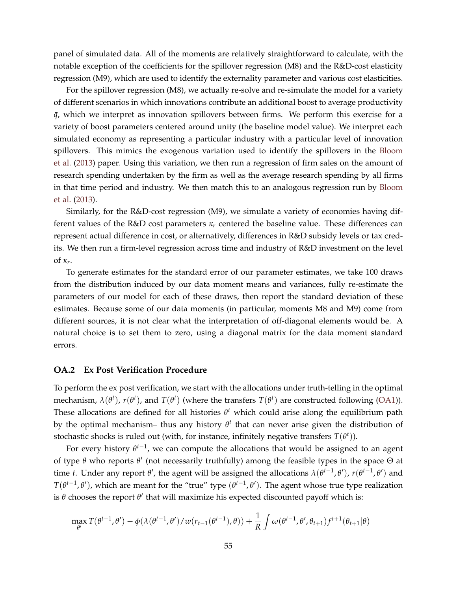panel of simulated data. All of the moments are relatively straightforward to calculate, with the notable exception of the coefficients for the spillover regression (M8) and the R&D-cost elasticity regression (M9), which are used to identify the externality parameter and various cost elasticities.

For the spillover regression (M8), we actually re-solve and re-simulate the model for a variety of different scenarios in which innovations contribute an additional boost to average productivity  $\bar{q}$ , which we interpret as innovation spillovers between firms. We perform this exercise for a variety of boost parameters centered around unity (the baseline model value). We interpret each simulated economy as representing a particular industry with a particular level of innovation spillovers. This mimics the exogenous variation used to identify the spillovers in the [Bloom](#page-41-8) [et al.](#page-41-8) [\(2013\)](#page-41-8) paper. Using this variation, we then run a regression of firm sales on the amount of research spending undertaken by the firm as well as the average research spending by all firms in that time period and industry. We then match this to an analogous regression run by [Bloom](#page-41-8) [et al.](#page-41-8) [\(2013\)](#page-41-8).

Similarly, for the R&D-cost regression (M9), we simulate a variety of economies having different values of the R&D cost parameters  $\kappa_r$  centered the baseline value. These differences can represent actual difference in cost, or alternatively, differences in R&D subsidy levels or tax credits. We then run a firm-level regression across time and industry of R&D investment on the level of *κ<sup>r</sup>* .

To generate estimates for the standard error of our parameter estimates, we take 100 draws from the distribution induced by our data moment means and variances, fully re-estimate the parameters of our model for each of these draws, then report the standard deviation of these estimates. Because some of our data moments (in particular, moments M8 and M9) come from different sources, it is not clear what the interpretation of off-diagonal elements would be. A natural choice is to set them to zero, using a diagonal matrix for the data moment standard errors.

#### <span id="page-54-0"></span>**OA.2 Ex Post Verification Procedure**

To perform the ex post verification, we start with the allocations under truth-telling in the optimal mechanism,  $\lambda(\theta^t)$ ,  $r(\theta^t)$ , and  $T(\theta^t)$  (where the transfers  $T(\theta^t)$  are constructed following [\(OA1\)](#page-48-0)). These allocations are defined for all histories  $\theta^t$  which could arise along the equilibrium path by the optimal mechanism– thus any history  $\theta^t$  that can never arise given the distribution of stochastic shocks is ruled out (with, for instance, infinitely negative transfers  $T(\theta^t)$ ).

For every history  $\theta^{t-1}$ , we can compute the allocations that would be assigned to an agent of type *θ* who reports *θ* 0 (not necessarily truthfully) among the feasible types in the space Θ at time *t*. Under any report  $\theta'$ , the agent will be assigned the allocations  $\lambda(\theta^{t-1}, \theta')$ ,  $r(\theta^{t-1}, \theta')$  and  $T(\theta^{t-1}, \theta')$ , which are meant for the "true" type  $(\theta^{t-1}, \theta')$ . The agent whose true type realization is  $\theta$  chooses the report  $\theta'$  that will maximize his expected discounted payoff which is:

$$
\max_{\theta'} T(\theta^{t-1}, \theta') - \phi(\lambda(\theta^{t-1}, \theta') / w(r_{t-1}(\theta^{t-1}), \theta)) + \frac{1}{R} \int \omega(\theta^{t-1}, \theta', \theta_{t+1}) f^{t+1}(\theta_{t+1}|\theta)
$$